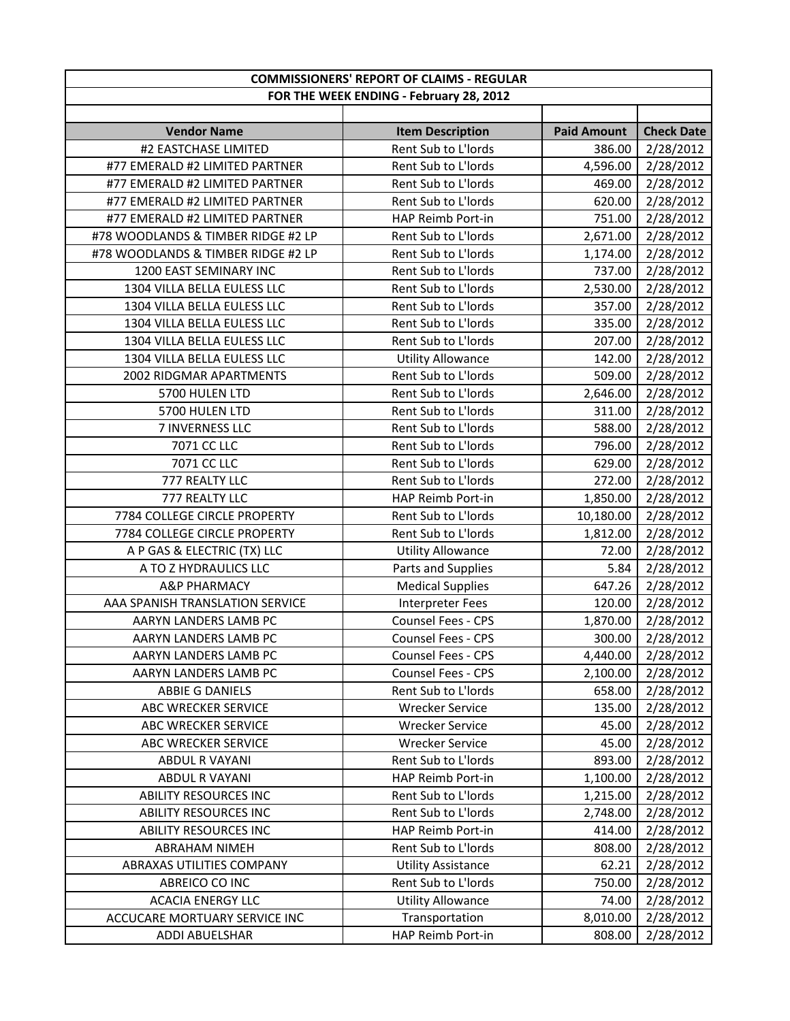|                                    | <b>COMMISSIONERS' REPORT OF CLAIMS - REGULAR</b> |                    |                   |
|------------------------------------|--------------------------------------------------|--------------------|-------------------|
|                                    | FOR THE WEEK ENDING - February 28, 2012          |                    |                   |
|                                    |                                                  |                    |                   |
| <b>Vendor Name</b>                 | <b>Item Description</b>                          | <b>Paid Amount</b> | <b>Check Date</b> |
| #2 EASTCHASE LIMITED               | Rent Sub to L'Iords                              | 386.00             | 2/28/2012         |
| #77 EMERALD #2 LIMITED PARTNER     | Rent Sub to L'Iords                              | 4,596.00           | 2/28/2012         |
| #77 EMERALD #2 LIMITED PARTNER     | Rent Sub to L'Iords                              | 469.00             | 2/28/2012         |
| #77 EMERALD #2 LIMITED PARTNER     | Rent Sub to L'Iords                              | 620.00             | 2/28/2012         |
| #77 EMERALD #2 LIMITED PARTNER     | HAP Reimb Port-in                                | 751.00             | 2/28/2012         |
| #78 WOODLANDS & TIMBER RIDGE #2 LP | Rent Sub to L'Iords                              | 2,671.00           | 2/28/2012         |
| #78 WOODLANDS & TIMBER RIDGE #2 LP | Rent Sub to L'Iords                              | 1,174.00           | 2/28/2012         |
| 1200 EAST SEMINARY INC             | Rent Sub to L'Iords                              | 737.00             | 2/28/2012         |
| 1304 VILLA BELLA EULESS LLC        | Rent Sub to L'Iords                              | 2,530.00           | 2/28/2012         |
| 1304 VILLA BELLA EULESS LLC        | Rent Sub to L'Iords                              | 357.00             | 2/28/2012         |
| 1304 VILLA BELLA EULESS LLC        | Rent Sub to L'Iords                              | 335.00             | 2/28/2012         |
| 1304 VILLA BELLA EULESS LLC        | Rent Sub to L'Iords                              | 207.00             | 2/28/2012         |
| 1304 VILLA BELLA EULESS LLC        | <b>Utility Allowance</b>                         | 142.00             | 2/28/2012         |
| 2002 RIDGMAR APARTMENTS            | Rent Sub to L'Iords                              | 509.00             | 2/28/2012         |
| 5700 HULEN LTD                     | Rent Sub to L'Iords                              | 2,646.00           | 2/28/2012         |
| 5700 HULEN LTD                     | Rent Sub to L'Iords                              | 311.00             | 2/28/2012         |
| 7 INVERNESS LLC                    | Rent Sub to L'Iords                              | 588.00             | 2/28/2012         |
| 7071 CC LLC                        | Rent Sub to L'Iords                              | 796.00             | 2/28/2012         |
| 7071 CC LLC                        | Rent Sub to L'Iords                              | 629.00             | 2/28/2012         |
| 777 REALTY LLC                     | Rent Sub to L'Iords                              | 272.00             | 2/28/2012         |
| 777 REALTY LLC                     | HAP Reimb Port-in                                | 1,850.00           | 2/28/2012         |
| 7784 COLLEGE CIRCLE PROPERTY       | Rent Sub to L'Iords                              | 10,180.00          | 2/28/2012         |
| 7784 COLLEGE CIRCLE PROPERTY       | Rent Sub to L'Iords                              | 1,812.00           | 2/28/2012         |
| A P GAS & ELECTRIC (TX) LLC        | <b>Utility Allowance</b>                         | 72.00              | 2/28/2012         |
| A TO Z HYDRAULICS LLC              | Parts and Supplies                               | 5.84               | 2/28/2012         |
| <b>A&amp;P PHARMACY</b>            | <b>Medical Supplies</b>                          | 647.26             | 2/28/2012         |
| AAA SPANISH TRANSLATION SERVICE    | Interpreter Fees                                 | 120.00             | 2/28/2012         |
| AARYN LANDERS LAMB PC              | Counsel Fees - CPS                               | 1,870.00           | 2/28/2012         |
| AARYN LANDERS LAMB PC              | <b>Counsel Fees - CPS</b>                        | 300.00             | 2/28/2012         |
| AARYN LANDERS LAMB PC              | <b>Counsel Fees - CPS</b>                        | 4,440.00           | 2/28/2012         |
| AARYN LANDERS LAMB PC              | <b>Counsel Fees - CPS</b>                        | 2,100.00           | 2/28/2012         |
| ABBIE G DANIELS                    | Rent Sub to L'Iords                              | 658.00             | 2/28/2012         |
| ABC WRECKER SERVICE                | <b>Wrecker Service</b>                           | 135.00             | 2/28/2012         |
| ABC WRECKER SERVICE                | <b>Wrecker Service</b>                           | 45.00              | 2/28/2012         |
| ABC WRECKER SERVICE                | <b>Wrecker Service</b>                           | 45.00              | 2/28/2012         |
| ABDUL R VAYANI                     | Rent Sub to L'Iords                              | 893.00             | 2/28/2012         |
| ABDUL R VAYANI                     | HAP Reimb Port-in                                | 1,100.00           | 2/28/2012         |
| <b>ABILITY RESOURCES INC</b>       | Rent Sub to L'Iords                              | 1,215.00           | 2/28/2012         |
| <b>ABILITY RESOURCES INC</b>       | Rent Sub to L'Iords                              | 2,748.00           | 2/28/2012         |
| <b>ABILITY RESOURCES INC</b>       | HAP Reimb Port-in                                | 414.00             | 2/28/2012         |
| <b>ABRAHAM NIMEH</b>               | Rent Sub to L'Iords                              | 808.00             | 2/28/2012         |
| ABRAXAS UTILITIES COMPANY          | <b>Utility Assistance</b>                        | 62.21              | 2/28/2012         |
| ABREICO CO INC                     | Rent Sub to L'Iords                              | 750.00             | 2/28/2012         |
| <b>ACACIA ENERGY LLC</b>           | <b>Utility Allowance</b>                         | 74.00              | 2/28/2012         |
| ACCUCARE MORTUARY SERVICE INC      | Transportation                                   | 8,010.00           | 2/28/2012         |
| ADDI ABUELSHAR                     | HAP Reimb Port-in                                | 808.00             | 2/28/2012         |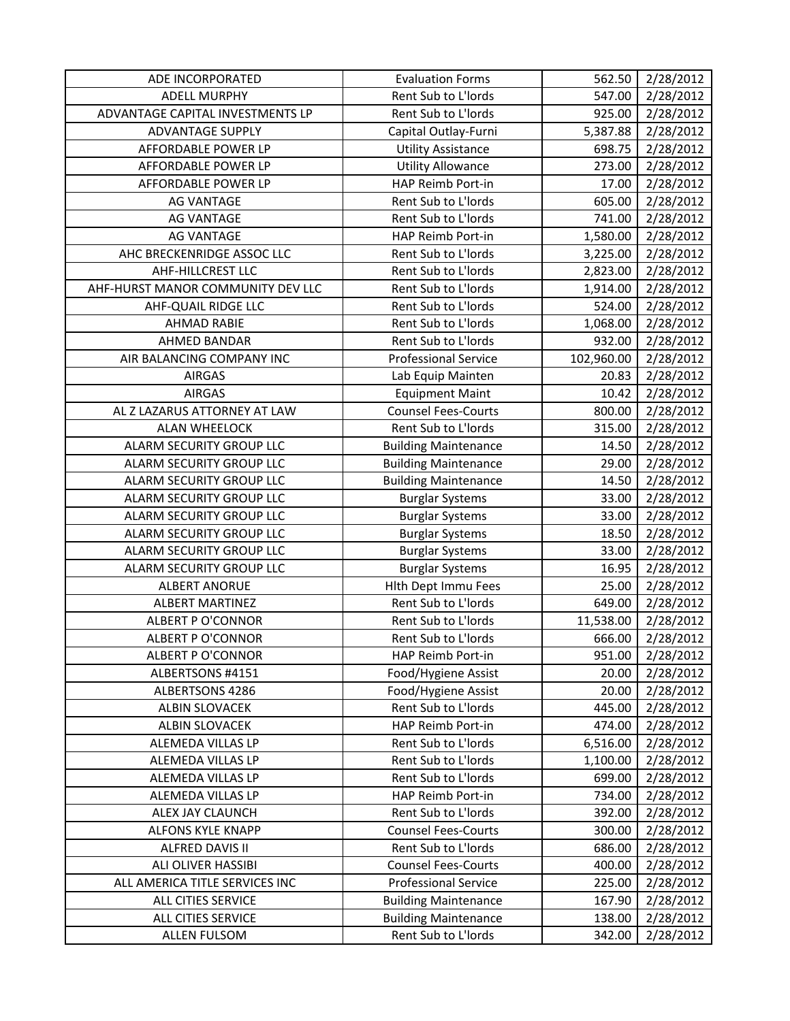| ADE INCORPORATED                  | <b>Evaluation Forms</b>     | 562.50     | 2/28/2012 |
|-----------------------------------|-----------------------------|------------|-----------|
| <b>ADELL MURPHY</b>               | Rent Sub to L'Iords         | 547.00     | 2/28/2012 |
| ADVANTAGE CAPITAL INVESTMENTS LP  | Rent Sub to L'Iords         | 925.00     | 2/28/2012 |
| <b>ADVANTAGE SUPPLY</b>           | Capital Outlay-Furni        | 5,387.88   | 2/28/2012 |
| AFFORDABLE POWER LP               | <b>Utility Assistance</b>   | 698.75     | 2/28/2012 |
| AFFORDABLE POWER LP               | <b>Utility Allowance</b>    | 273.00     | 2/28/2012 |
| AFFORDABLE POWER LP               | HAP Reimb Port-in           | 17.00      | 2/28/2012 |
| <b>AG VANTAGE</b>                 | Rent Sub to L'Iords         | 605.00     | 2/28/2012 |
| <b>AG VANTAGE</b>                 | Rent Sub to L'Iords         | 741.00     | 2/28/2012 |
| <b>AG VANTAGE</b>                 | HAP Reimb Port-in           | 1,580.00   | 2/28/2012 |
| AHC BRECKENRIDGE ASSOC LLC        | Rent Sub to L'Iords         | 3,225.00   | 2/28/2012 |
| AHF-HILLCREST LLC                 | Rent Sub to L'Iords         | 2,823.00   | 2/28/2012 |
| AHF-HURST MANOR COMMUNITY DEV LLC | Rent Sub to L'Iords         | 1,914.00   | 2/28/2012 |
| AHF-QUAIL RIDGE LLC               | Rent Sub to L'Iords         | 524.00     | 2/28/2012 |
| <b>AHMAD RABIE</b>                | Rent Sub to L'Iords         | 1,068.00   | 2/28/2012 |
| <b>AHMED BANDAR</b>               | Rent Sub to L'Iords         | 932.00     | 2/28/2012 |
| AIR BALANCING COMPANY INC         | <b>Professional Service</b> | 102,960.00 | 2/28/2012 |
| <b>AIRGAS</b>                     | Lab Equip Mainten           | 20.83      | 2/28/2012 |
| <b>AIRGAS</b>                     | <b>Equipment Maint</b>      | 10.42      | 2/28/2012 |
| AL Z LAZARUS ATTORNEY AT LAW      | <b>Counsel Fees-Courts</b>  | 800.00     | 2/28/2012 |
| <b>ALAN WHEELOCK</b>              | Rent Sub to L'Iords         | 315.00     | 2/28/2012 |
| ALARM SECURITY GROUP LLC          | <b>Building Maintenance</b> | 14.50      | 2/28/2012 |
| ALARM SECURITY GROUP LLC          | <b>Building Maintenance</b> | 29.00      | 2/28/2012 |
| ALARM SECURITY GROUP LLC          | <b>Building Maintenance</b> | 14.50      | 2/28/2012 |
| ALARM SECURITY GROUP LLC          | <b>Burglar Systems</b>      | 33.00      | 2/28/2012 |
| ALARM SECURITY GROUP LLC          | <b>Burglar Systems</b>      | 33.00      | 2/28/2012 |
| ALARM SECURITY GROUP LLC          | <b>Burglar Systems</b>      | 18.50      | 2/28/2012 |
| ALARM SECURITY GROUP LLC          | <b>Burglar Systems</b>      | 33.00      | 2/28/2012 |
| ALARM SECURITY GROUP LLC          | <b>Burglar Systems</b>      | 16.95      | 2/28/2012 |
| <b>ALBERT ANORUE</b>              | Hlth Dept Immu Fees         | 25.00      | 2/28/2012 |
| <b>ALBERT MARTINEZ</b>            | Rent Sub to L'Iords         | 649.00     | 2/28/2012 |
| <b>ALBERT P O'CONNOR</b>          | Rent Sub to L'Iords         | 11,538.00  | 2/28/2012 |
| <b>ALBERT P O'CONNOR</b>          | Rent Sub to L'Iords         | 666.00     | 2/28/2012 |
| <b>ALBERT P O'CONNOR</b>          | HAP Reimb Port-in           | 951.00     | 2/28/2012 |
| ALBERTSONS #4151                  | Food/Hygiene Assist         | 20.00      | 2/28/2012 |
| ALBERTSONS 4286                   | Food/Hygiene Assist         | 20.00      | 2/28/2012 |
| <b>ALBIN SLOVACEK</b>             | Rent Sub to L'Iords         | 445.00     | 2/28/2012 |
| <b>ALBIN SLOVACEK</b>             | HAP Reimb Port-in           | 474.00     | 2/28/2012 |
| ALEMEDA VILLAS LP                 | Rent Sub to L'Iords         | 6,516.00   | 2/28/2012 |
| ALEMEDA VILLAS LP                 | Rent Sub to L'Iords         | 1,100.00   | 2/28/2012 |
| ALEMEDA VILLAS LP                 | Rent Sub to L'Iords         | 699.00     | 2/28/2012 |
| ALEMEDA VILLAS LP                 | HAP Reimb Port-in           | 734.00     | 2/28/2012 |
| ALEX JAY CLAUNCH                  | Rent Sub to L'Iords         | 392.00     | 2/28/2012 |
| ALFONS KYLE KNAPP                 | <b>Counsel Fees-Courts</b>  | 300.00     | 2/28/2012 |
| ALFRED DAVIS II                   | Rent Sub to L'Iords         | 686.00     | 2/28/2012 |
| ALI OLIVER HASSIBI                | <b>Counsel Fees-Courts</b>  | 400.00     | 2/28/2012 |
| ALL AMERICA TITLE SERVICES INC    | <b>Professional Service</b> | 225.00     | 2/28/2012 |
| ALL CITIES SERVICE                | <b>Building Maintenance</b> | 167.90     | 2/28/2012 |
| ALL CITIES SERVICE                | <b>Building Maintenance</b> | 138.00     | 2/28/2012 |
| <b>ALLEN FULSOM</b>               | Rent Sub to L'Iords         | 342.00     | 2/28/2012 |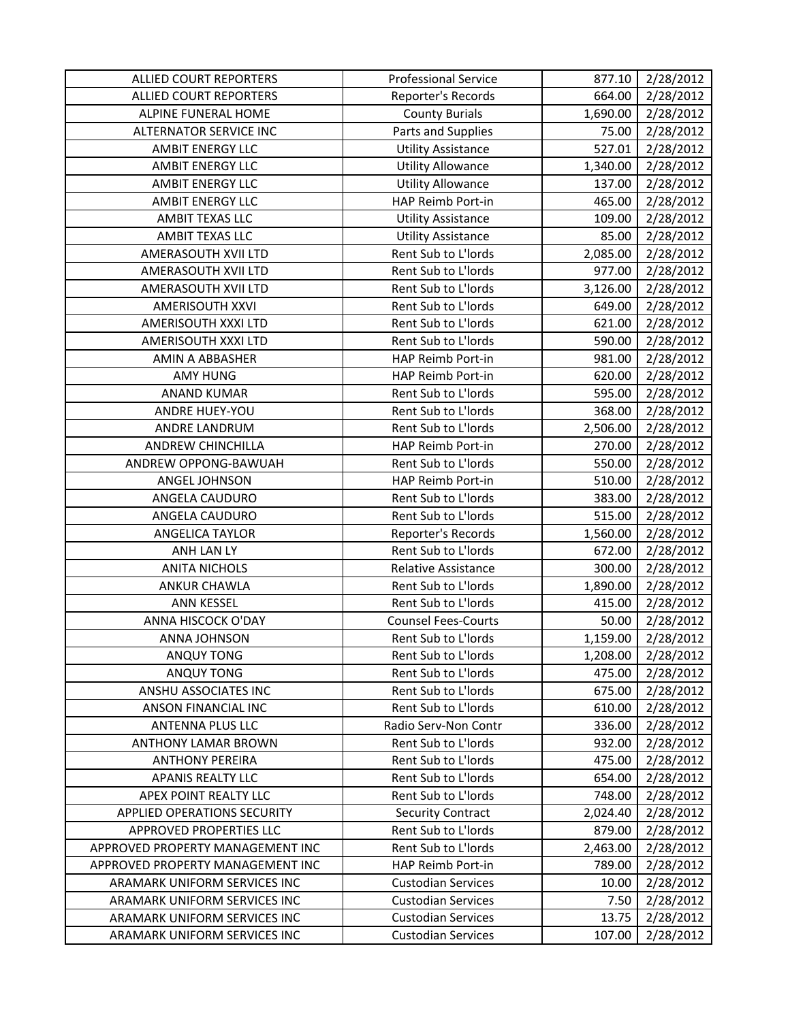| <b>ALLIED COURT REPORTERS</b>      | <b>Professional Service</b> | 877.10   | 2/28/2012 |
|------------------------------------|-----------------------------|----------|-----------|
| <b>ALLIED COURT REPORTERS</b>      | Reporter's Records          | 664.00   | 2/28/2012 |
| ALPINE FUNERAL HOME                | <b>County Burials</b>       | 1,690.00 | 2/28/2012 |
| <b>ALTERNATOR SERVICE INC</b>      | Parts and Supplies          | 75.00    | 2/28/2012 |
| <b>AMBIT ENERGY LLC</b>            | <b>Utility Assistance</b>   | 527.01   | 2/28/2012 |
| <b>AMBIT ENERGY LLC</b>            | <b>Utility Allowance</b>    | 1,340.00 | 2/28/2012 |
| <b>AMBIT ENERGY LLC</b>            | <b>Utility Allowance</b>    | 137.00   | 2/28/2012 |
| <b>AMBIT ENERGY LLC</b>            | HAP Reimb Port-in           | 465.00   | 2/28/2012 |
| AMBIT TEXAS LLC                    | <b>Utility Assistance</b>   | 109.00   | 2/28/2012 |
| <b>AMBIT TEXAS LLC</b>             | <b>Utility Assistance</b>   | 85.00    | 2/28/2012 |
| AMERASOUTH XVII LTD                | Rent Sub to L'Iords         | 2,085.00 | 2/28/2012 |
| AMERASOUTH XVII LTD                | Rent Sub to L'Iords         | 977.00   | 2/28/2012 |
| AMERASOUTH XVII LTD                | Rent Sub to L'Iords         | 3,126.00 | 2/28/2012 |
| AMERISOUTH XXVI                    | Rent Sub to L'Iords         | 649.00   | 2/28/2012 |
| AMERISOUTH XXXI LTD                | Rent Sub to L'Iords         | 621.00   | 2/28/2012 |
| AMERISOUTH XXXI LTD                | Rent Sub to L'Iords         | 590.00   | 2/28/2012 |
| AMIN A ABBASHER                    | HAP Reimb Port-in           | 981.00   | 2/28/2012 |
| <b>AMY HUNG</b>                    | HAP Reimb Port-in           | 620.00   | 2/28/2012 |
| <b>ANAND KUMAR</b>                 | Rent Sub to L'Iords         | 595.00   | 2/28/2012 |
| ANDRE HUEY-YOU                     | Rent Sub to L'Iords         | 368.00   | 2/28/2012 |
| ANDRE LANDRUM                      | Rent Sub to L'Iords         | 2,506.00 | 2/28/2012 |
| <b>ANDREW CHINCHILLA</b>           | HAP Reimb Port-in           | 270.00   | 2/28/2012 |
| ANDREW OPPONG-BAWUAH               | Rent Sub to L'Iords         | 550.00   | 2/28/2012 |
| ANGEL JOHNSON                      | HAP Reimb Port-in           | 510.00   | 2/28/2012 |
| ANGELA CAUDURO                     | Rent Sub to L'Iords         | 383.00   | 2/28/2012 |
| ANGELA CAUDURO                     | Rent Sub to L'Iords         | 515.00   | 2/28/2012 |
| <b>ANGELICA TAYLOR</b>             | Reporter's Records          | 1,560.00 | 2/28/2012 |
| ANH LAN LY                         | Rent Sub to L'Iords         | 672.00   | 2/28/2012 |
| <b>ANITA NICHOLS</b>               | Relative Assistance         | 300.00   | 2/28/2012 |
| <b>ANKUR CHAWLA</b>                | Rent Sub to L'Iords         | 1,890.00 | 2/28/2012 |
| <b>ANN KESSEL</b>                  | Rent Sub to L'Iords         | 415.00   | 2/28/2012 |
| ANNA HISCOCK O'DAY                 | <b>Counsel Fees-Courts</b>  | 50.00    | 2/28/2012 |
| ANNA JOHNSON                       | Rent Sub to L'Iords         | 1,159.00 | 2/28/2012 |
| ANQUY TONG                         | Rent Sub to L'Iords         | 1,208.00 | 2/28/2012 |
| ANQUY TONG                         | Rent Sub to L'Iords         | 475.00   | 2/28/2012 |
| ANSHU ASSOCIATES INC               | Rent Sub to L'Iords         | 675.00   | 2/28/2012 |
| ANSON FINANCIAL INC                | Rent Sub to L'Iords         | 610.00   | 2/28/2012 |
| ANTENNA PLUS LLC                   | Radio Serv-Non Contr        | 336.00   | 2/28/2012 |
| <b>ANTHONY LAMAR BROWN</b>         | Rent Sub to L'Iords         | 932.00   | 2/28/2012 |
| <b>ANTHONY PEREIRA</b>             | Rent Sub to L'Iords         | 475.00   | 2/28/2012 |
| <b>APANIS REALTY LLC</b>           | Rent Sub to L'Iords         | 654.00   | 2/28/2012 |
| APEX POINT REALTY LLC              | Rent Sub to L'Iords         | 748.00   | 2/28/2012 |
| <b>APPLIED OPERATIONS SECURITY</b> | <b>Security Contract</b>    | 2,024.40 | 2/28/2012 |
| APPROVED PROPERTIES LLC            | Rent Sub to L'Iords         | 879.00   | 2/28/2012 |
| APPROVED PROPERTY MANAGEMENT INC   | Rent Sub to L'Iords         | 2,463.00 | 2/28/2012 |
| APPROVED PROPERTY MANAGEMENT INC   | HAP Reimb Port-in           | 789.00   | 2/28/2012 |
| ARAMARK UNIFORM SERVICES INC       | <b>Custodian Services</b>   | 10.00    | 2/28/2012 |
| ARAMARK UNIFORM SERVICES INC       | <b>Custodian Services</b>   | 7.50     | 2/28/2012 |
| ARAMARK UNIFORM SERVICES INC       | <b>Custodian Services</b>   | 13.75    | 2/28/2012 |
| ARAMARK UNIFORM SERVICES INC       | <b>Custodian Services</b>   | 107.00   | 2/28/2012 |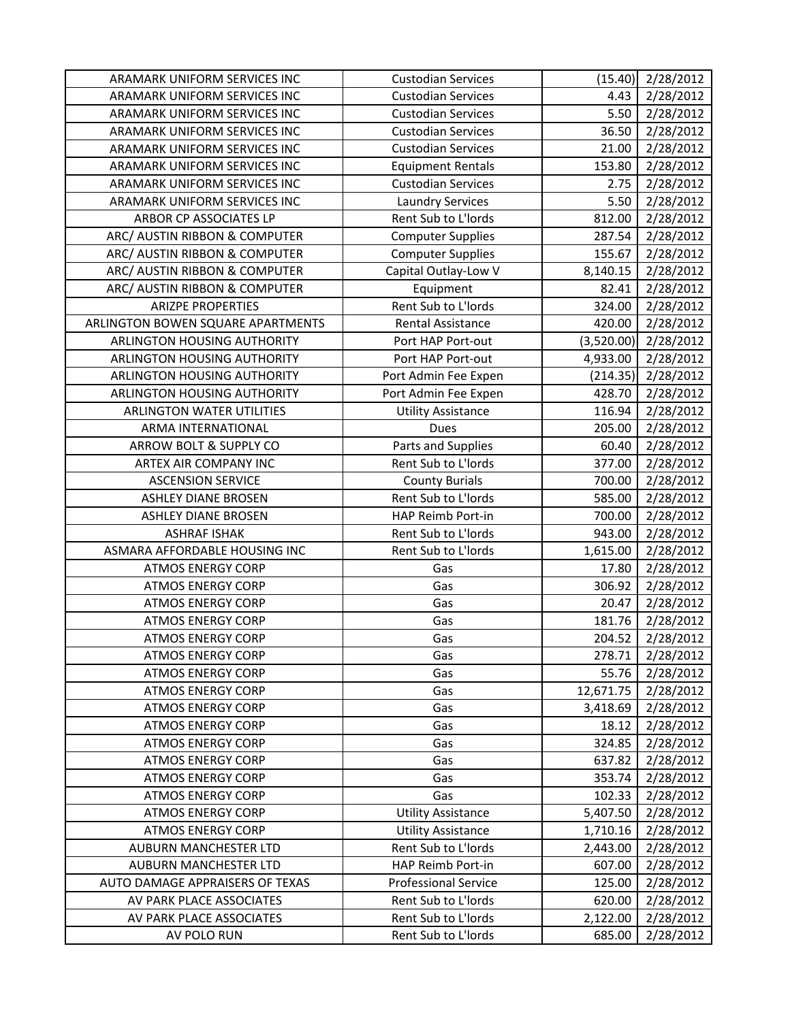| ARAMARK UNIFORM SERVICES INC      | <b>Custodian Services</b>   | (15.40)    | 2/28/2012 |
|-----------------------------------|-----------------------------|------------|-----------|
| ARAMARK UNIFORM SERVICES INC      | <b>Custodian Services</b>   | 4.43       | 2/28/2012 |
| ARAMARK UNIFORM SERVICES INC      | <b>Custodian Services</b>   | 5.50       | 2/28/2012 |
| ARAMARK UNIFORM SERVICES INC      | <b>Custodian Services</b>   | 36.50      | 2/28/2012 |
| ARAMARK UNIFORM SERVICES INC      | <b>Custodian Services</b>   | 21.00      | 2/28/2012 |
| ARAMARK UNIFORM SERVICES INC      | <b>Equipment Rentals</b>    | 153.80     | 2/28/2012 |
| ARAMARK UNIFORM SERVICES INC      | <b>Custodian Services</b>   | 2.75       | 2/28/2012 |
| ARAMARK UNIFORM SERVICES INC      | <b>Laundry Services</b>     | 5.50       | 2/28/2012 |
| ARBOR CP ASSOCIATES LP            | Rent Sub to L'Iords         | 812.00     | 2/28/2012 |
| ARC/ AUSTIN RIBBON & COMPUTER     | <b>Computer Supplies</b>    | 287.54     | 2/28/2012 |
| ARC/ AUSTIN RIBBON & COMPUTER     | <b>Computer Supplies</b>    | 155.67     | 2/28/2012 |
| ARC/ AUSTIN RIBBON & COMPUTER     | Capital Outlay-Low V        | 8,140.15   | 2/28/2012 |
| ARC/ AUSTIN RIBBON & COMPUTER     | Equipment                   | 82.41      | 2/28/2012 |
| <b>ARIZPE PROPERTIES</b>          | Rent Sub to L'Iords         | 324.00     | 2/28/2012 |
| ARLINGTON BOWEN SQUARE APARTMENTS | <b>Rental Assistance</b>    | 420.00     | 2/28/2012 |
| ARLINGTON HOUSING AUTHORITY       | Port HAP Port-out           | (3,520.00) | 2/28/2012 |
| ARLINGTON HOUSING AUTHORITY       | Port HAP Port-out           | 4,933.00   | 2/28/2012 |
| ARLINGTON HOUSING AUTHORITY       | Port Admin Fee Expen        | (214.35)   | 2/28/2012 |
| ARLINGTON HOUSING AUTHORITY       | Port Admin Fee Expen        | 428.70     | 2/28/2012 |
| <b>ARLINGTON WATER UTILITIES</b>  | <b>Utility Assistance</b>   | 116.94     | 2/28/2012 |
| ARMA INTERNATIONAL                | Dues                        | 205.00     | 2/28/2012 |
| ARROW BOLT & SUPPLY CO            | Parts and Supplies          | 60.40      | 2/28/2012 |
| ARTEX AIR COMPANY INC             | Rent Sub to L'Iords         | 377.00     | 2/28/2012 |
| <b>ASCENSION SERVICE</b>          | <b>County Burials</b>       | 700.00     | 2/28/2012 |
| <b>ASHLEY DIANE BROSEN</b>        | Rent Sub to L'Iords         | 585.00     | 2/28/2012 |
| <b>ASHLEY DIANE BROSEN</b>        | HAP Reimb Port-in           | 700.00     | 2/28/2012 |
| <b>ASHRAF ISHAK</b>               | Rent Sub to L'Iords         | 943.00     | 2/28/2012 |
| ASMARA AFFORDABLE HOUSING INC     | Rent Sub to L'Iords         | 1,615.00   | 2/28/2012 |
| <b>ATMOS ENERGY CORP</b>          | Gas                         | 17.80      | 2/28/2012 |
| <b>ATMOS ENERGY CORP</b>          | Gas                         | 306.92     | 2/28/2012 |
| <b>ATMOS ENERGY CORP</b>          | Gas                         | 20.47      | 2/28/2012 |
| <b>ATMOS ENERGY CORP</b>          | Gas                         | 181.76     | 2/28/2012 |
| <b>ATMOS ENERGY CORP</b>          | Gas                         | 204.52     | 2/28/2012 |
| <b>ATMOS ENERGY CORP</b>          | Gas                         | 278.71     | 2/28/2012 |
| <b>ATMOS ENERGY CORP</b>          | Gas                         | 55.76      | 2/28/2012 |
| <b>ATMOS ENERGY CORP</b>          | Gas                         | 12,671.75  | 2/28/2012 |
| <b>ATMOS ENERGY CORP</b>          | Gas                         | 3,418.69   | 2/28/2012 |
| <b>ATMOS ENERGY CORP</b>          | Gas                         | 18.12      | 2/28/2012 |
| <b>ATMOS ENERGY CORP</b>          | Gas                         | 324.85     | 2/28/2012 |
| <b>ATMOS ENERGY CORP</b>          | Gas                         | 637.82     | 2/28/2012 |
| <b>ATMOS ENERGY CORP</b>          | Gas                         | 353.74     | 2/28/2012 |
| <b>ATMOS ENERGY CORP</b>          | Gas                         | 102.33     | 2/28/2012 |
| <b>ATMOS ENERGY CORP</b>          | <b>Utility Assistance</b>   | 5,407.50   | 2/28/2012 |
| <b>ATMOS ENERGY CORP</b>          | <b>Utility Assistance</b>   | 1,710.16   | 2/28/2012 |
| AUBURN MANCHESTER LTD             | Rent Sub to L'Iords         | 2,443.00   | 2/28/2012 |
| AUBURN MANCHESTER LTD             | HAP Reimb Port-in           | 607.00     | 2/28/2012 |
| AUTO DAMAGE APPRAISERS OF TEXAS   | <b>Professional Service</b> | 125.00     | 2/28/2012 |
| AV PARK PLACE ASSOCIATES          | Rent Sub to L'Iords         | 620.00     | 2/28/2012 |
| AV PARK PLACE ASSOCIATES          | Rent Sub to L'Iords         | 2,122.00   | 2/28/2012 |
| AV POLO RUN                       | Rent Sub to L'Iords         | 685.00     | 2/28/2012 |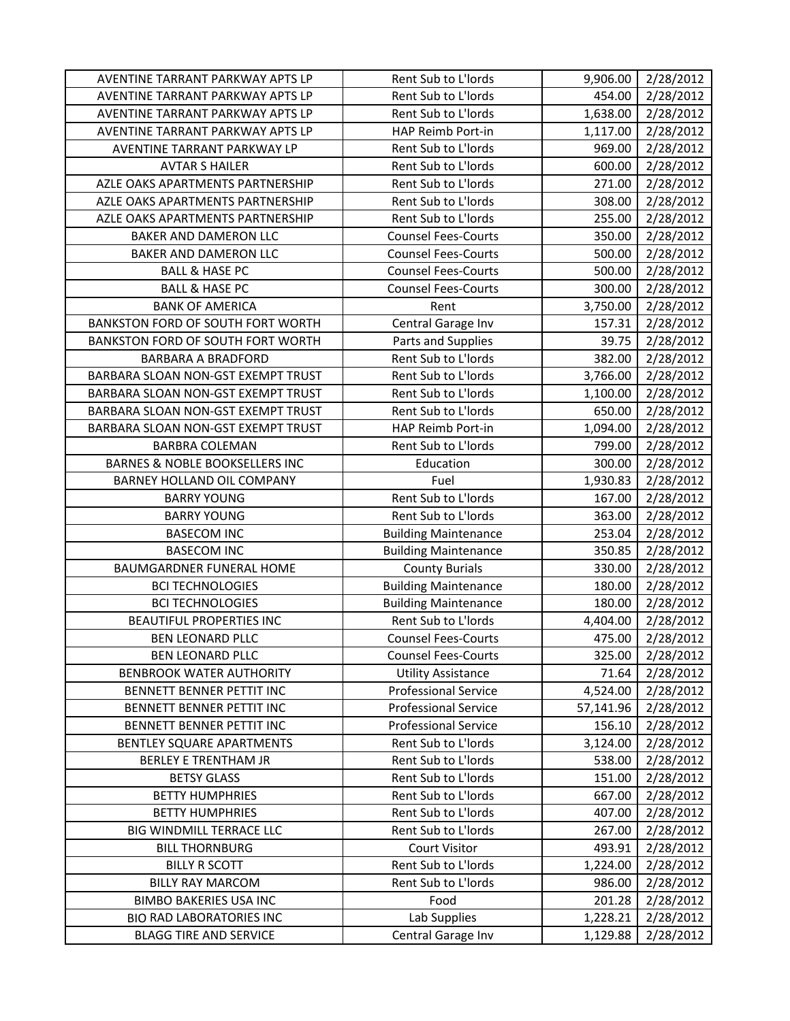| AVENTINE TARRANT PARKWAY APTS LP                                 | Rent Sub to L'Iords                | 9,906.00             | 2/28/2012              |
|------------------------------------------------------------------|------------------------------------|----------------------|------------------------|
| AVENTINE TARRANT PARKWAY APTS LP                                 | Rent Sub to L'Iords                | 454.00               | 2/28/2012              |
| AVENTINE TARRANT PARKWAY APTS LP                                 | Rent Sub to L'Iords                | 1,638.00             | 2/28/2012              |
| AVENTINE TARRANT PARKWAY APTS LP                                 | HAP Reimb Port-in                  | 1,117.00             | 2/28/2012              |
| AVENTINE TARRANT PARKWAY LP                                      | Rent Sub to L'Iords                | 969.00               | 2/28/2012              |
| <b>AVTAR S HAILER</b>                                            | Rent Sub to L'Iords                | 600.00               | 2/28/2012              |
| AZLE OAKS APARTMENTS PARTNERSHIP                                 | Rent Sub to L'Iords                | 271.00               | 2/28/2012              |
| AZLE OAKS APARTMENTS PARTNERSHIP                                 | Rent Sub to L'Iords                | 308.00               | 2/28/2012              |
| AZLE OAKS APARTMENTS PARTNERSHIP                                 | Rent Sub to L'Iords                | 255.00               | 2/28/2012              |
| BAKER AND DAMERON LLC                                            | <b>Counsel Fees-Courts</b>         | 350.00               | 2/28/2012              |
| BAKER AND DAMERON LLC                                            | <b>Counsel Fees-Courts</b>         | 500.00               | 2/28/2012              |
| <b>BALL &amp; HASE PC</b>                                        | <b>Counsel Fees-Courts</b>         | 500.00               | 2/28/2012              |
| <b>BALL &amp; HASE PC</b>                                        | <b>Counsel Fees-Courts</b>         | 300.00               | 2/28/2012              |
| <b>BANK OF AMERICA</b>                                           | Rent                               | 3,750.00             | 2/28/2012              |
| BANKSTON FORD OF SOUTH FORT WORTH                                | Central Garage Inv                 | 157.31               | 2/28/2012              |
| BANKSTON FORD OF SOUTH FORT WORTH                                | Parts and Supplies                 | 39.75                | 2/28/2012              |
| <b>BARBARA A BRADFORD</b>                                        | Rent Sub to L'Iords                | 382.00               | 2/28/2012              |
| BARBARA SLOAN NON-GST EXEMPT TRUST                               | Rent Sub to L'Iords                | 3,766.00             | 2/28/2012              |
| BARBARA SLOAN NON-GST EXEMPT TRUST                               | Rent Sub to L'Iords                | 1,100.00             | 2/28/2012              |
| BARBARA SLOAN NON-GST EXEMPT TRUST                               | Rent Sub to L'Iords                | 650.00               | 2/28/2012              |
| BARBARA SLOAN NON-GST EXEMPT TRUST                               | HAP Reimb Port-in                  | 1,094.00             | 2/28/2012              |
| <b>BARBRA COLEMAN</b>                                            | Rent Sub to L'Iords                | 799.00               | 2/28/2012              |
| <b>BARNES &amp; NOBLE BOOKSELLERS INC</b>                        | Education                          | 300.00               | 2/28/2012              |
| BARNEY HOLLAND OIL COMPANY                                       | Fuel                               | 1,930.83             | 2/28/2012              |
| <b>BARRY YOUNG</b>                                               | Rent Sub to L'Iords                | 167.00               | 2/28/2012              |
| <b>BARRY YOUNG</b>                                               | Rent Sub to L'Iords                | 363.00               | 2/28/2012              |
| <b>BASECOM INC</b>                                               | <b>Building Maintenance</b>        | 253.04               | 2/28/2012              |
| <b>BASECOM INC</b>                                               | <b>Building Maintenance</b>        | 350.85               | 2/28/2012              |
| BAUMGARDNER FUNERAL HOME                                         | <b>County Burials</b>              | 330.00               | 2/28/2012              |
| <b>BCI TECHNOLOGIES</b>                                          | <b>Building Maintenance</b>        | 180.00               | 2/28/2012              |
| <b>BCI TECHNOLOGIES</b>                                          | <b>Building Maintenance</b>        | 180.00               | 2/28/2012              |
| <b>BEAUTIFUL PROPERTIES INC</b>                                  |                                    |                      |                        |
|                                                                  | Rent Sub to L'Iords                | 4,404.00             | 2/28/2012              |
| <b>BEN LEONARD PLLC</b>                                          | <b>Counsel Fees-Courts</b>         | 475.00               | 2/28/2012              |
| <b>BEN LEONARD PLLC</b>                                          | <b>Counsel Fees-Courts</b>         | 325.00               | 2/28/2012              |
| <b>BENBROOK WATER AUTHORITY</b>                                  | <b>Utility Assistance</b>          | 71.64                | 2/28/2012              |
| <b>BENNETT BENNER PETTIT INC</b>                                 | <b>Professional Service</b>        | 4,524.00             | 2/28/2012              |
| BENNETT BENNER PETTIT INC                                        | <b>Professional Service</b>        | 57,141.96            | 2/28/2012              |
| BENNETT BENNER PETTIT INC                                        | <b>Professional Service</b>        | 156.10               | 2/28/2012              |
| BENTLEY SQUARE APARTMENTS                                        | Rent Sub to L'Iords                | 3,124.00             | 2/28/2012              |
| <b>BERLEY E TRENTHAM JR</b>                                      | Rent Sub to L'Iords                | 538.00               | 2/28/2012              |
| <b>BETSY GLASS</b>                                               | Rent Sub to L'Iords                | 151.00               | 2/28/2012              |
| <b>BETTY HUMPHRIES</b>                                           | Rent Sub to L'Iords                | 667.00               | 2/28/2012              |
| <b>BETTY HUMPHRIES</b>                                           | Rent Sub to L'Iords                | 407.00               | 2/28/2012              |
| BIG WINDMILL TERRACE LLC                                         | Rent Sub to L'Iords                | 267.00               | 2/28/2012              |
| <b>BILL THORNBURG</b>                                            | <b>Court Visitor</b>               | 493.91               | 2/28/2012              |
| <b>BILLY R SCOTT</b>                                             | Rent Sub to L'Iords                | 1,224.00             | 2/28/2012              |
| <b>BILLY RAY MARCOM</b>                                          | Rent Sub to L'Iords                | 986.00               | 2/28/2012              |
| <b>BIMBO BAKERIES USA INC</b>                                    | Food                               | 201.28               | 2/28/2012              |
| <b>BIO RAD LABORATORIES INC</b><br><b>BLAGG TIRE AND SERVICE</b> | Lab Supplies<br>Central Garage Inv | 1,228.21<br>1,129.88 | 2/28/2012<br>2/28/2012 |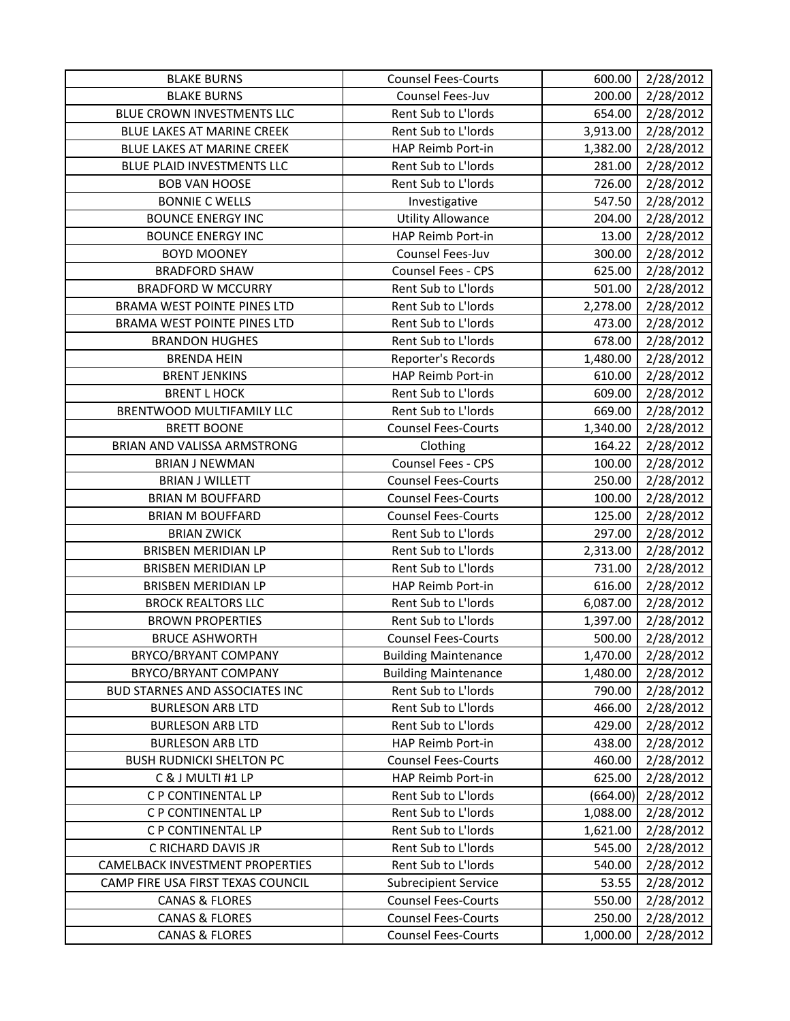| <b>BLAKE BURNS</b>                    | <b>Counsel Fees-Courts</b>  | 600.00   | 2/28/2012 |
|---------------------------------------|-----------------------------|----------|-----------|
| <b>BLAKE BURNS</b>                    | Counsel Fees-Juv            | 200.00   | 2/28/2012 |
| BLUE CROWN INVESTMENTS LLC            | Rent Sub to L'Iords         | 654.00   | 2/28/2012 |
| BLUE LAKES AT MARINE CREEK            | Rent Sub to L'Iords         | 3,913.00 | 2/28/2012 |
| BLUE LAKES AT MARINE CREEK            | HAP Reimb Port-in           | 1,382.00 | 2/28/2012 |
| BLUE PLAID INVESTMENTS LLC            | Rent Sub to L'Iords         | 281.00   | 2/28/2012 |
| <b>BOB VAN HOOSE</b>                  | Rent Sub to L'Iords         | 726.00   | 2/28/2012 |
| <b>BONNIE C WELLS</b>                 | Investigative               | 547.50   | 2/28/2012 |
| <b>BOUNCE ENERGY INC</b>              | <b>Utility Allowance</b>    | 204.00   | 2/28/2012 |
| <b>BOUNCE ENERGY INC</b>              | HAP Reimb Port-in           | 13.00    | 2/28/2012 |
| <b>BOYD MOONEY</b>                    | Counsel Fees-Juv            | 300.00   | 2/28/2012 |
| <b>BRADFORD SHAW</b>                  | Counsel Fees - CPS          | 625.00   | 2/28/2012 |
| <b>BRADFORD W MCCURRY</b>             | Rent Sub to L'Iords         | 501.00   | 2/28/2012 |
| <b>BRAMA WEST POINTE PINES LTD</b>    | Rent Sub to L'Iords         | 2,278.00 | 2/28/2012 |
| <b>BRAMA WEST POINTE PINES LTD</b>    | Rent Sub to L'Iords         | 473.00   | 2/28/2012 |
| <b>BRANDON HUGHES</b>                 | Rent Sub to L'Iords         | 678.00   | 2/28/2012 |
| <b>BRENDA HEIN</b>                    | Reporter's Records          | 1,480.00 | 2/28/2012 |
| <b>BRENT JENKINS</b>                  | HAP Reimb Port-in           | 610.00   | 2/28/2012 |
| <b>BRENT L HOCK</b>                   | Rent Sub to L'Iords         | 609.00   | 2/28/2012 |
| BRENTWOOD MULTIFAMILY LLC             | Rent Sub to L'Iords         | 669.00   | 2/28/2012 |
| <b>BRETT BOONE</b>                    | <b>Counsel Fees-Courts</b>  | 1,340.00 | 2/28/2012 |
| BRIAN AND VALISSA ARMSTRONG           | Clothing                    | 164.22   | 2/28/2012 |
| <b>BRIAN J NEWMAN</b>                 | Counsel Fees - CPS          | 100.00   | 2/28/2012 |
| <b>BRIAN J WILLETT</b>                | <b>Counsel Fees-Courts</b>  | 250.00   | 2/28/2012 |
| <b>BRIAN M BOUFFARD</b>               | <b>Counsel Fees-Courts</b>  | 100.00   | 2/28/2012 |
| <b>BRIAN M BOUFFARD</b>               | <b>Counsel Fees-Courts</b>  | 125.00   | 2/28/2012 |
| <b>BRIAN ZWICK</b>                    | Rent Sub to L'Iords         | 297.00   | 2/28/2012 |
| <b>BRISBEN MERIDIAN LP</b>            | Rent Sub to L'Iords         | 2,313.00 | 2/28/2012 |
| BRISBEN MERIDIAN LP                   | Rent Sub to L'Iords         | 731.00   | 2/28/2012 |
| <b>BRISBEN MERIDIAN LP</b>            | HAP Reimb Port-in           | 616.00   | 2/28/2012 |
| <b>BROCK REALTORS LLC</b>             | Rent Sub to L'Iords         | 6,087.00 | 2/28/2012 |
| <b>BROWN PROPERTIES</b>               | Rent Sub to L'Iords         | 1,397.00 | 2/28/2012 |
| <b>BRUCE ASHWORTH</b>                 | <b>Counsel Fees-Courts</b>  | 500.00   | 2/28/2012 |
| BRYCO/BRYANT COMPANY                  | <b>Building Maintenance</b> | 1,470.00 | 2/28/2012 |
| BRYCO/BRYANT COMPANY                  | <b>Building Maintenance</b> | 1,480.00 | 2/28/2012 |
| <b>BUD STARNES AND ASSOCIATES INC</b> | Rent Sub to L'Iords         | 790.00   | 2/28/2012 |
| <b>BURLESON ARB LTD</b>               | Rent Sub to L'Iords         | 466.00   | 2/28/2012 |
| <b>BURLESON ARB LTD</b>               | Rent Sub to L'Iords         | 429.00   | 2/28/2012 |
| <b>BURLESON ARB LTD</b>               | HAP Reimb Port-in           | 438.00   | 2/28/2012 |
| <b>BUSH RUDNICKI SHELTON PC</b>       | <b>Counsel Fees-Courts</b>  | 460.00   | 2/28/2012 |
| C & J MULTI #1 LP                     | HAP Reimb Port-in           | 625.00   | 2/28/2012 |
| C P CONTINENTAL LP                    | Rent Sub to L'Iords         | (664.00) | 2/28/2012 |
| C P CONTINENTAL LP                    | Rent Sub to L'Iords         | 1,088.00 | 2/28/2012 |
| C P CONTINENTAL LP                    | Rent Sub to L'Iords         | 1,621.00 | 2/28/2012 |
| C RICHARD DAVIS JR                    | Rent Sub to L'Iords         | 545.00   | 2/28/2012 |
| CAMELBACK INVESTMENT PROPERTIES       | Rent Sub to L'Iords         | 540.00   | 2/28/2012 |
| CAMP FIRE USA FIRST TEXAS COUNCIL     | <b>Subrecipient Service</b> | 53.55    | 2/28/2012 |
| <b>CANAS &amp; FLORES</b>             | <b>Counsel Fees-Courts</b>  | 550.00   | 2/28/2012 |
| <b>CANAS &amp; FLORES</b>             | <b>Counsel Fees-Courts</b>  | 250.00   | 2/28/2012 |
| <b>CANAS &amp; FLORES</b>             | <b>Counsel Fees-Courts</b>  | 1,000.00 | 2/28/2012 |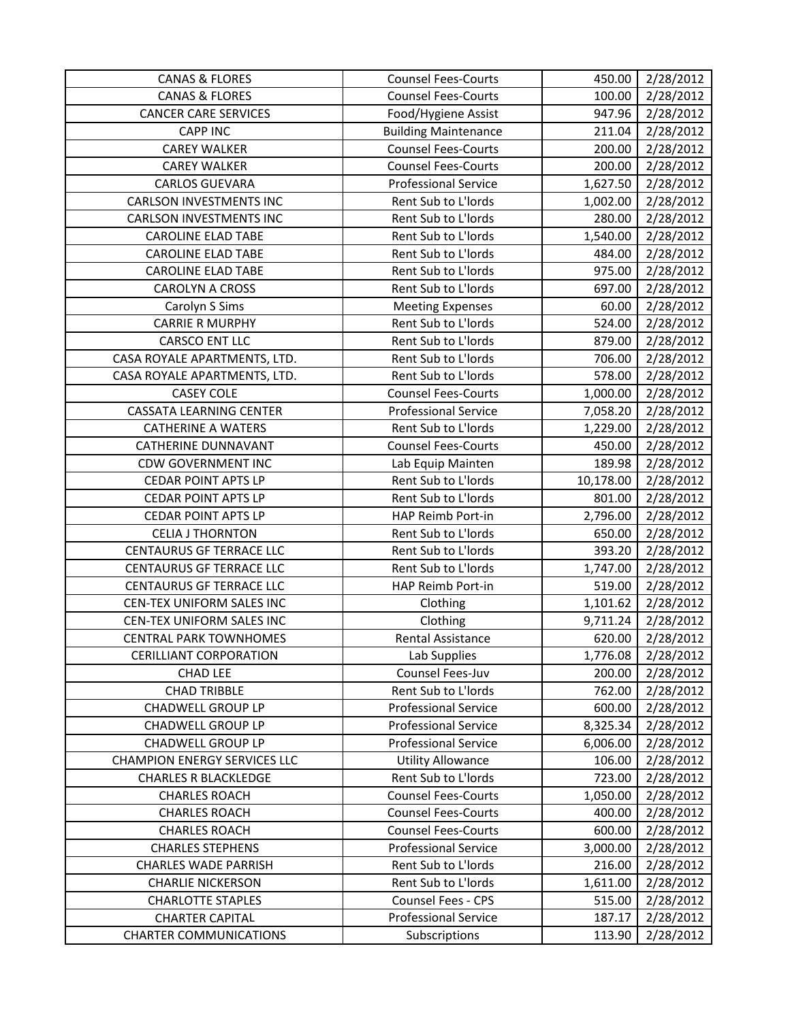| <b>CANAS &amp; FLORES</b>           | <b>Counsel Fees-Courts</b>  | 450.00    | 2/28/2012 |
|-------------------------------------|-----------------------------|-----------|-----------|
| <b>CANAS &amp; FLORES</b>           | <b>Counsel Fees-Courts</b>  | 100.00    | 2/28/2012 |
| <b>CANCER CARE SERVICES</b>         | Food/Hygiene Assist         | 947.96    | 2/28/2012 |
| <b>CAPP INC</b>                     | <b>Building Maintenance</b> | 211.04    | 2/28/2012 |
| <b>CAREY WALKER</b>                 | <b>Counsel Fees-Courts</b>  | 200.00    | 2/28/2012 |
| <b>CAREY WALKER</b>                 | <b>Counsel Fees-Courts</b>  | 200.00    | 2/28/2012 |
| <b>CARLOS GUEVARA</b>               | <b>Professional Service</b> | 1,627.50  | 2/28/2012 |
| <b>CARLSON INVESTMENTS INC</b>      | Rent Sub to L'Iords         | 1,002.00  | 2/28/2012 |
| <b>CARLSON INVESTMENTS INC</b>      | Rent Sub to L'Iords         | 280.00    | 2/28/2012 |
| <b>CAROLINE ELAD TABE</b>           | Rent Sub to L'Iords         | 1,540.00  | 2/28/2012 |
| <b>CAROLINE ELAD TABE</b>           | Rent Sub to L'Iords         | 484.00    | 2/28/2012 |
| <b>CAROLINE ELAD TABE</b>           | Rent Sub to L'Iords         | 975.00    | 2/28/2012 |
| <b>CAROLYN A CROSS</b>              | Rent Sub to L'Iords         | 697.00    | 2/28/2012 |
| Carolyn S Sims                      | <b>Meeting Expenses</b>     | 60.00     | 2/28/2012 |
| <b>CARRIE R MURPHY</b>              | Rent Sub to L'Iords         | 524.00    | 2/28/2012 |
| <b>CARSCO ENT LLC</b>               | Rent Sub to L'Iords         | 879.00    | 2/28/2012 |
| CASA ROYALE APARTMENTS, LTD.        | Rent Sub to L'Iords         | 706.00    | 2/28/2012 |
| CASA ROYALE APARTMENTS, LTD.        | Rent Sub to L'Iords         | 578.00    | 2/28/2012 |
| <b>CASEY COLE</b>                   | <b>Counsel Fees-Courts</b>  | 1,000.00  | 2/28/2012 |
| <b>CASSATA LEARNING CENTER</b>      | <b>Professional Service</b> | 7,058.20  | 2/28/2012 |
| <b>CATHERINE A WATERS</b>           | Rent Sub to L'Iords         | 1,229.00  | 2/28/2012 |
| <b>CATHERINE DUNNAVANT</b>          | <b>Counsel Fees-Courts</b>  | 450.00    | 2/28/2012 |
| <b>CDW GOVERNMENT INC</b>           | Lab Equip Mainten           | 189.98    | 2/28/2012 |
| <b>CEDAR POINT APTS LP</b>          | Rent Sub to L'Iords         | 10,178.00 | 2/28/2012 |
| <b>CEDAR POINT APTS LP</b>          | Rent Sub to L'Iords         | 801.00    | 2/28/2012 |
| <b>CEDAR POINT APTS LP</b>          | HAP Reimb Port-in           | 2,796.00  | 2/28/2012 |
| <b>CELIA J THORNTON</b>             | Rent Sub to L'Iords         | 650.00    | 2/28/2012 |
| <b>CENTAURUS GF TERRACE LLC</b>     | Rent Sub to L'Iords         | 393.20    | 2/28/2012 |
| <b>CENTAURUS GF TERRACE LLC</b>     | Rent Sub to L'Iords         | 1,747.00  | 2/28/2012 |
| <b>CENTAURUS GF TERRACE LLC</b>     | HAP Reimb Port-in           | 519.00    | 2/28/2012 |
| CEN-TEX UNIFORM SALES INC           | Clothing                    | 1,101.62  | 2/28/2012 |
| CEN-TEX UNIFORM SALES INC           | Clothing                    | 9,711.24  | 2/28/2012 |
| <b>CENTRAL PARK TOWNHOMES</b>       | Rental Assistance           | 620.00    | 2/28/2012 |
| <b>CERILLIANT CORPORATION</b>       | Lab Supplies                | 1,776.08  | 2/28/2012 |
| <b>CHAD LEE</b>                     | Counsel Fees-Juv            | 200.00    | 2/28/2012 |
| <b>CHAD TRIBBLE</b>                 | Rent Sub to L'Iords         | 762.00    | 2/28/2012 |
| <b>CHADWELL GROUP LP</b>            | <b>Professional Service</b> | 600.00    | 2/28/2012 |
| <b>CHADWELL GROUP LP</b>            | <b>Professional Service</b> | 8,325.34  | 2/28/2012 |
| <b>CHADWELL GROUP LP</b>            | <b>Professional Service</b> | 6,006.00  | 2/28/2012 |
| <b>CHAMPION ENERGY SERVICES LLC</b> | <b>Utility Allowance</b>    | 106.00    | 2/28/2012 |
| <b>CHARLES R BLACKLEDGE</b>         | Rent Sub to L'Iords         | 723.00    | 2/28/2012 |
| <b>CHARLES ROACH</b>                | <b>Counsel Fees-Courts</b>  | 1,050.00  | 2/28/2012 |
| <b>CHARLES ROACH</b>                | <b>Counsel Fees-Courts</b>  | 400.00    | 2/28/2012 |
| <b>CHARLES ROACH</b>                | <b>Counsel Fees-Courts</b>  | 600.00    | 2/28/2012 |
| <b>CHARLES STEPHENS</b>             | <b>Professional Service</b> | 3,000.00  | 2/28/2012 |
| <b>CHARLES WADE PARRISH</b>         | Rent Sub to L'Iords         | 216.00    | 2/28/2012 |
| <b>CHARLIE NICKERSON</b>            | Rent Sub to L'Iords         | 1,611.00  | 2/28/2012 |
| <b>CHARLOTTE STAPLES</b>            | Counsel Fees - CPS          | 515.00    | 2/28/2012 |
| <b>CHARTER CAPITAL</b>              | <b>Professional Service</b> | 187.17    | 2/28/2012 |
| <b>CHARTER COMMUNICATIONS</b>       | Subscriptions               | 113.90    | 2/28/2012 |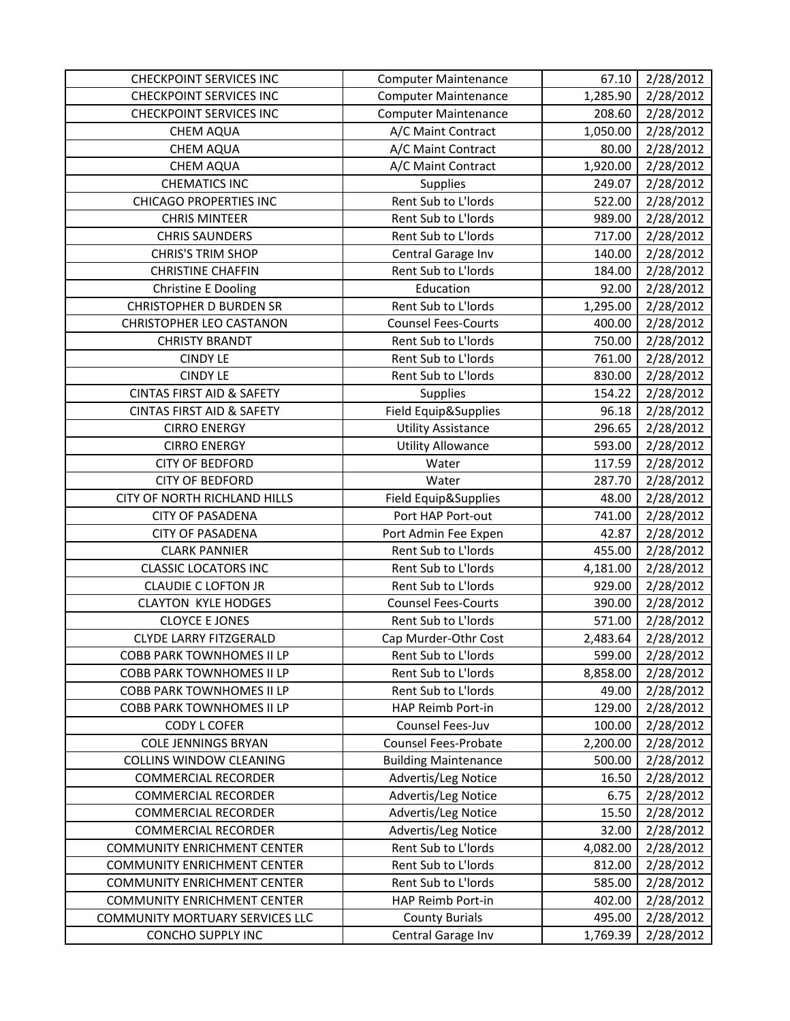| <b>CHECKPOINT SERVICES INC</b>       | <b>Computer Maintenance</b> | 67.10    | 2/28/2012 |
|--------------------------------------|-----------------------------|----------|-----------|
| <b>CHECKPOINT SERVICES INC</b>       | <b>Computer Maintenance</b> | 1,285.90 | 2/28/2012 |
| <b>CHECKPOINT SERVICES INC</b>       | <b>Computer Maintenance</b> | 208.60   | 2/28/2012 |
| <b>CHEM AQUA</b>                     | A/C Maint Contract          | 1,050.00 | 2/28/2012 |
| <b>CHEM AQUA</b>                     | A/C Maint Contract          | 80.00    | 2/28/2012 |
| <b>CHEM AQUA</b>                     | A/C Maint Contract          | 1,920.00 | 2/28/2012 |
| <b>CHEMATICS INC</b>                 | Supplies                    | 249.07   | 2/28/2012 |
| <b>CHICAGO PROPERTIES INC</b>        | Rent Sub to L'Iords         | 522.00   | 2/28/2012 |
| <b>CHRIS MINTEER</b>                 | Rent Sub to L'Iords         | 989.00   | 2/28/2012 |
| <b>CHRIS SAUNDERS</b>                | Rent Sub to L'Iords         | 717.00   | 2/28/2012 |
| <b>CHRIS'S TRIM SHOP</b>             | Central Garage Inv          | 140.00   | 2/28/2012 |
| <b>CHRISTINE CHAFFIN</b>             | Rent Sub to L'Iords         | 184.00   | 2/28/2012 |
| <b>Christine E Dooling</b>           | Education                   | 92.00    | 2/28/2012 |
| <b>CHRISTOPHER D BURDEN SR</b>       | Rent Sub to L'Iords         | 1,295.00 | 2/28/2012 |
| <b>CHRISTOPHER LEO CASTANON</b>      | <b>Counsel Fees-Courts</b>  | 400.00   | 2/28/2012 |
| <b>CHRISTY BRANDT</b>                | Rent Sub to L'Iords         | 750.00   | 2/28/2012 |
| <b>CINDY LE</b>                      | Rent Sub to L'Iords         | 761.00   | 2/28/2012 |
| <b>CINDY LE</b>                      | Rent Sub to L'Iords         | 830.00   | 2/28/2012 |
| <b>CINTAS FIRST AID &amp; SAFETY</b> | Supplies                    | 154.22   | 2/28/2012 |
| <b>CINTAS FIRST AID &amp; SAFETY</b> | Field Equip&Supplies        | 96.18    | 2/28/2012 |
| <b>CIRRO ENERGY</b>                  | <b>Utility Assistance</b>   | 296.65   | 2/28/2012 |
| <b>CIRRO ENERGY</b>                  | <b>Utility Allowance</b>    | 593.00   | 2/28/2012 |
| <b>CITY OF BEDFORD</b>               | Water                       | 117.59   | 2/28/2012 |
| <b>CITY OF BEDFORD</b>               | Water                       | 287.70   | 2/28/2012 |
| CITY OF NORTH RICHLAND HILLS         | Field Equip&Supplies        | 48.00    | 2/28/2012 |
| <b>CITY OF PASADENA</b>              | Port HAP Port-out           | 741.00   | 2/28/2012 |
| <b>CITY OF PASADENA</b>              | Port Admin Fee Expen        | 42.87    | 2/28/2012 |
| <b>CLARK PANNIER</b>                 | Rent Sub to L'Iords         | 455.00   | 2/28/2012 |
| <b>CLASSIC LOCATORS INC</b>          | Rent Sub to L'Iords         | 4,181.00 | 2/28/2012 |
| <b>CLAUDIE C LOFTON JR</b>           | Rent Sub to L'Iords         | 929.00   | 2/28/2012 |
| <b>CLAYTON KYLE HODGES</b>           | <b>Counsel Fees-Courts</b>  | 390.00   | 2/28/2012 |
| <b>CLOYCE E JONES</b>                | Rent Sub to L'Iords         | 571.00   | 2/28/2012 |
| <b>CLYDE LARRY FITZGERALD</b>        | Cap Murder-Othr Cost        | 2,483.64 | 2/28/2012 |
| <b>COBB PARK TOWNHOMES II LP</b>     | Rent Sub to L'Iords         | 599.00   | 2/28/2012 |
| <b>COBB PARK TOWNHOMES II LP</b>     | Rent Sub to L'Iords         | 8,858.00 | 2/28/2012 |
| COBB PARK TOWNHOMES II LP            | Rent Sub to L'Iords         | 49.00    | 2/28/2012 |
| <b>COBB PARK TOWNHOMES II LP</b>     | HAP Reimb Port-in           | 129.00   | 2/28/2012 |
| <b>CODY L COFER</b>                  | Counsel Fees-Juv            | 100.00   | 2/28/2012 |
| <b>COLE JENNINGS BRYAN</b>           | Counsel Fees-Probate        | 2,200.00 | 2/28/2012 |
| <b>COLLINS WINDOW CLEANING</b>       | <b>Building Maintenance</b> | 500.00   | 2/28/2012 |
| <b>COMMERCIAL RECORDER</b>           | Advertis/Leg Notice         | 16.50    | 2/28/2012 |
| <b>COMMERCIAL RECORDER</b>           | Advertis/Leg Notice         | 6.75     | 2/28/2012 |
| <b>COMMERCIAL RECORDER</b>           | Advertis/Leg Notice         | 15.50    | 2/28/2012 |
| <b>COMMERCIAL RECORDER</b>           | Advertis/Leg Notice         | 32.00    | 2/28/2012 |
| <b>COMMUNITY ENRICHMENT CENTER</b>   | Rent Sub to L'Iords         | 4,082.00 | 2/28/2012 |
| <b>COMMUNITY ENRICHMENT CENTER</b>   | Rent Sub to L'Iords         | 812.00   | 2/28/2012 |
| <b>COMMUNITY ENRICHMENT CENTER</b>   | Rent Sub to L'Iords         | 585.00   | 2/28/2012 |
| <b>COMMUNITY ENRICHMENT CENTER</b>   | HAP Reimb Port-in           | 402.00   | 2/28/2012 |
| COMMUNITY MORTUARY SERVICES LLC      | <b>County Burials</b>       | 495.00   | 2/28/2012 |
| CONCHO SUPPLY INC                    | Central Garage Inv          | 1,769.39 | 2/28/2012 |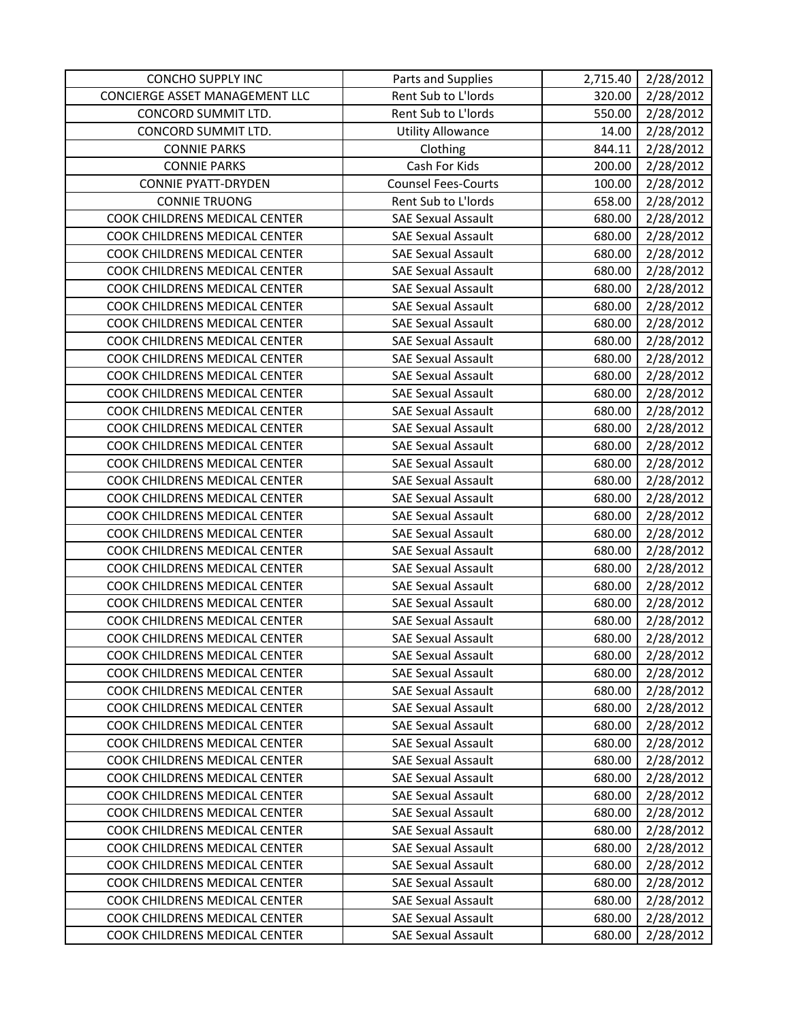| <b>CONCHO SUPPLY INC</b>       | Parts and Supplies         | 2,715.40 | 2/28/2012 |
|--------------------------------|----------------------------|----------|-----------|
| CONCIERGE ASSET MANAGEMENT LLC | Rent Sub to L'Iords        | 320.00   | 2/28/2012 |
| CONCORD SUMMIT LTD.            | Rent Sub to L'Iords        | 550.00   | 2/28/2012 |
| CONCORD SUMMIT LTD.            | <b>Utility Allowance</b>   | 14.00    | 2/28/2012 |
| <b>CONNIE PARKS</b>            | Clothing                   | 844.11   | 2/28/2012 |
| <b>CONNIE PARKS</b>            | Cash For Kids              | 200.00   | 2/28/2012 |
| <b>CONNIE PYATT-DRYDEN</b>     | <b>Counsel Fees-Courts</b> | 100.00   | 2/28/2012 |
| <b>CONNIE TRUONG</b>           | Rent Sub to L'Iords        | 658.00   | 2/28/2012 |
| COOK CHILDRENS MEDICAL CENTER  | <b>SAE Sexual Assault</b>  | 680.00   | 2/28/2012 |
| COOK CHILDRENS MEDICAL CENTER  | <b>SAE Sexual Assault</b>  | 680.00   | 2/28/2012 |
| COOK CHILDRENS MEDICAL CENTER  | <b>SAE Sexual Assault</b>  | 680.00   | 2/28/2012 |
| COOK CHILDRENS MEDICAL CENTER  | <b>SAE Sexual Assault</b>  | 680.00   | 2/28/2012 |
| COOK CHILDRENS MEDICAL CENTER  | <b>SAE Sexual Assault</b>  | 680.00   | 2/28/2012 |
| COOK CHILDRENS MEDICAL CENTER  | <b>SAE Sexual Assault</b>  | 680.00   | 2/28/2012 |
| COOK CHILDRENS MEDICAL CENTER  | <b>SAE Sexual Assault</b>  | 680.00   | 2/28/2012 |
| COOK CHILDRENS MEDICAL CENTER  | <b>SAE Sexual Assault</b>  | 680.00   | 2/28/2012 |
| COOK CHILDRENS MEDICAL CENTER  | <b>SAE Sexual Assault</b>  | 680.00   | 2/28/2012 |
| COOK CHILDRENS MEDICAL CENTER  | <b>SAE Sexual Assault</b>  | 680.00   | 2/28/2012 |
| COOK CHILDRENS MEDICAL CENTER  | <b>SAE Sexual Assault</b>  | 680.00   | 2/28/2012 |
| COOK CHILDRENS MEDICAL CENTER  | <b>SAE Sexual Assault</b>  | 680.00   | 2/28/2012 |
| COOK CHILDRENS MEDICAL CENTER  | <b>SAE Sexual Assault</b>  | 680.00   | 2/28/2012 |
| COOK CHILDRENS MEDICAL CENTER  | <b>SAE Sexual Assault</b>  | 680.00   | 2/28/2012 |
| COOK CHILDRENS MEDICAL CENTER  | <b>SAE Sexual Assault</b>  | 680.00   | 2/28/2012 |
| COOK CHILDRENS MEDICAL CENTER  | <b>SAE Sexual Assault</b>  | 680.00   | 2/28/2012 |
| COOK CHILDRENS MEDICAL CENTER  | <b>SAE Sexual Assault</b>  | 680.00   | 2/28/2012 |
| COOK CHILDRENS MEDICAL CENTER  | <b>SAE Sexual Assault</b>  | 680.00   | 2/28/2012 |
| COOK CHILDRENS MEDICAL CENTER  | <b>SAE Sexual Assault</b>  | 680.00   | 2/28/2012 |
| COOK CHILDRENS MEDICAL CENTER  | <b>SAE Sexual Assault</b>  | 680.00   | 2/28/2012 |
| COOK CHILDRENS MEDICAL CENTER  | <b>SAE Sexual Assault</b>  | 680.00   | 2/28/2012 |
| COOK CHILDRENS MEDICAL CENTER  | <b>SAE Sexual Assault</b>  | 680.00   | 2/28/2012 |
| COOK CHILDRENS MEDICAL CENTER  | <b>SAE Sexual Assault</b>  | 680.00   | 2/28/2012 |
| COOK CHILDRENS MEDICAL CENTER  | <b>SAE Sexual Assault</b>  | 680.00   | 2/28/2012 |
| COOK CHILDRENS MEDICAL CENTER  | <b>SAE Sexual Assault</b>  | 680.00   | 2/28/2012 |
| COOK CHILDRENS MEDICAL CENTER  | <b>SAE Sexual Assault</b>  | 680.00   | 2/28/2012 |
| COOK CHILDRENS MEDICAL CENTER  | <b>SAE Sexual Assault</b>  | 680.00   | 2/28/2012 |
| COOK CHILDRENS MEDICAL CENTER  | <b>SAE Sexual Assault</b>  | 680.00   | 2/28/2012 |
| COOK CHILDRENS MEDICAL CENTER  | <b>SAE Sexual Assault</b>  | 680.00   | 2/28/2012 |
| COOK CHILDRENS MEDICAL CENTER  | <b>SAE Sexual Assault</b>  | 680.00   | 2/28/2012 |
| COOK CHILDRENS MEDICAL CENTER  | <b>SAE Sexual Assault</b>  | 680.00   | 2/28/2012 |
| COOK CHILDRENS MEDICAL CENTER  | <b>SAE Sexual Assault</b>  | 680.00   | 2/28/2012 |
| COOK CHILDRENS MEDICAL CENTER  | <b>SAE Sexual Assault</b>  | 680.00   | 2/28/2012 |
| COOK CHILDRENS MEDICAL CENTER  | <b>SAE Sexual Assault</b>  | 680.00   | 2/28/2012 |
| COOK CHILDRENS MEDICAL CENTER  | <b>SAE Sexual Assault</b>  | 680.00   | 2/28/2012 |
| COOK CHILDRENS MEDICAL CENTER  | <b>SAE Sexual Assault</b>  | 680.00   | 2/28/2012 |
| COOK CHILDRENS MEDICAL CENTER  | <b>SAE Sexual Assault</b>  | 680.00   | 2/28/2012 |
| COOK CHILDRENS MEDICAL CENTER  | <b>SAE Sexual Assault</b>  | 680.00   | 2/28/2012 |
| COOK CHILDRENS MEDICAL CENTER  | <b>SAE Sexual Assault</b>  | 680.00   | 2/28/2012 |
| COOK CHILDRENS MEDICAL CENTER  | <b>SAE Sexual Assault</b>  | 680.00   | 2/28/2012 |
| COOK CHILDRENS MEDICAL CENTER  | <b>SAE Sexual Assault</b>  | 680.00   | 2/28/2012 |
| COOK CHILDRENS MEDICAL CENTER  | SAE Sexual Assault         | 680.00   | 2/28/2012 |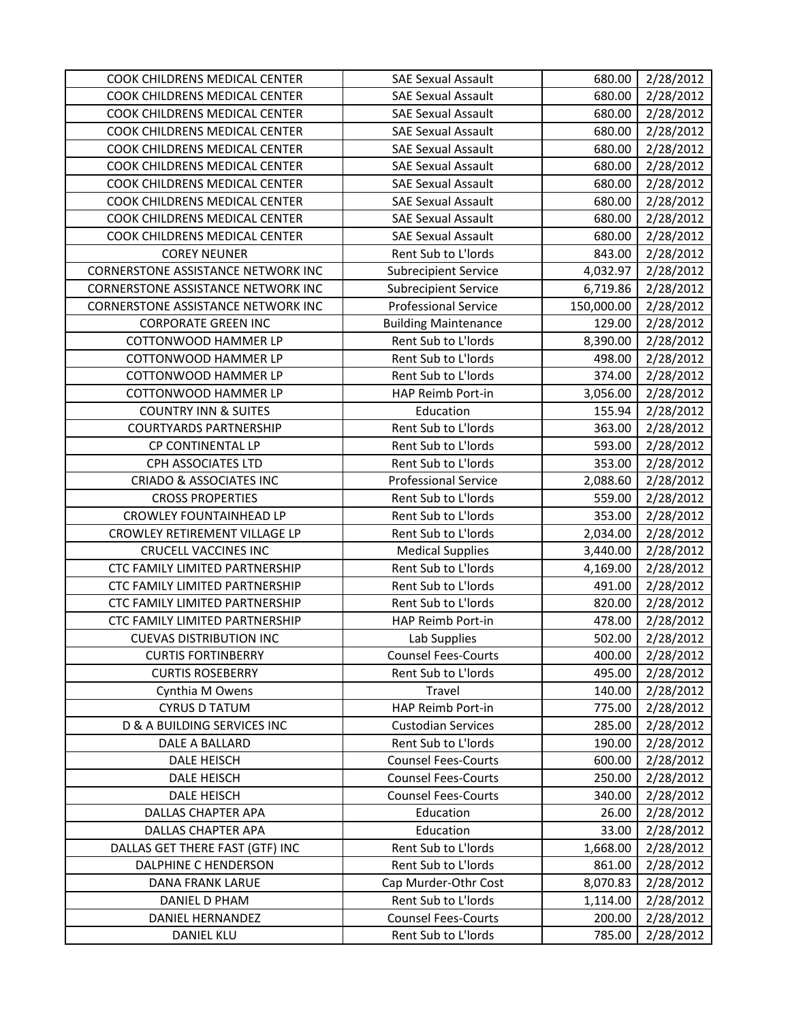| COOK CHILDRENS MEDICAL CENTER          | <b>SAE Sexual Assault</b>   | 680.00     | 2/28/2012 |
|----------------------------------------|-----------------------------|------------|-----------|
| COOK CHILDRENS MEDICAL CENTER          | <b>SAE Sexual Assault</b>   | 680.00     | 2/28/2012 |
| COOK CHILDRENS MEDICAL CENTER          | <b>SAE Sexual Assault</b>   | 680.00     | 2/28/2012 |
| COOK CHILDRENS MEDICAL CENTER          | <b>SAE Sexual Assault</b>   | 680.00     | 2/28/2012 |
| COOK CHILDRENS MEDICAL CENTER          | <b>SAE Sexual Assault</b>   | 680.00     | 2/28/2012 |
| COOK CHILDRENS MEDICAL CENTER          | <b>SAE Sexual Assault</b>   | 680.00     | 2/28/2012 |
| COOK CHILDRENS MEDICAL CENTER          | <b>SAE Sexual Assault</b>   | 680.00     | 2/28/2012 |
| COOK CHILDRENS MEDICAL CENTER          | <b>SAE Sexual Assault</b>   | 680.00     | 2/28/2012 |
| COOK CHILDRENS MEDICAL CENTER          | <b>SAE Sexual Assault</b>   | 680.00     | 2/28/2012 |
| COOK CHILDRENS MEDICAL CENTER          | <b>SAE Sexual Assault</b>   | 680.00     | 2/28/2012 |
| <b>COREY NEUNER</b>                    | Rent Sub to L'Iords         | 843.00     | 2/28/2012 |
| CORNERSTONE ASSISTANCE NETWORK INC     | <b>Subrecipient Service</b> | 4,032.97   | 2/28/2012 |
| CORNERSTONE ASSISTANCE NETWORK INC     | <b>Subrecipient Service</b> | 6,719.86   | 2/28/2012 |
| CORNERSTONE ASSISTANCE NETWORK INC     | <b>Professional Service</b> | 150,000.00 | 2/28/2012 |
| <b>CORPORATE GREEN INC</b>             | <b>Building Maintenance</b> | 129.00     | 2/28/2012 |
| <b>COTTONWOOD HAMMER LP</b>            | Rent Sub to L'Iords         | 8,390.00   | 2/28/2012 |
| <b>COTTONWOOD HAMMER LP</b>            | Rent Sub to L'Iords         | 498.00     | 2/28/2012 |
| <b>COTTONWOOD HAMMER LP</b>            | Rent Sub to L'Iords         | 374.00     | 2/28/2012 |
| COTTONWOOD HAMMER LP                   | HAP Reimb Port-in           | 3,056.00   | 2/28/2012 |
| <b>COUNTRY INN &amp; SUITES</b>        | Education                   | 155.94     | 2/28/2012 |
| <b>COURTYARDS PARTNERSHIP</b>          | Rent Sub to L'Iords         | 363.00     | 2/28/2012 |
| CP CONTINENTAL LP                      | Rent Sub to L'Iords         | 593.00     | 2/28/2012 |
| CPH ASSOCIATES LTD                     | Rent Sub to L'Iords         | 353.00     | 2/28/2012 |
| <b>CRIADO &amp; ASSOCIATES INC</b>     | <b>Professional Service</b> | 2,088.60   | 2/28/2012 |
| <b>CROSS PROPERTIES</b>                | Rent Sub to L'Iords         | 559.00     | 2/28/2012 |
| <b>CROWLEY FOUNTAINHEAD LP</b>         | Rent Sub to L'Iords         | 353.00     | 2/28/2012 |
| CROWLEY RETIREMENT VILLAGE LP          | Rent Sub to L'Iords         | 2,034.00   | 2/28/2012 |
| <b>CRUCELL VACCINES INC</b>            | <b>Medical Supplies</b>     | 3,440.00   | 2/28/2012 |
| CTC FAMILY LIMITED PARTNERSHIP         | Rent Sub to L'Iords         | 4,169.00   | 2/28/2012 |
| CTC FAMILY LIMITED PARTNERSHIP         | Rent Sub to L'Iords         | 491.00     | 2/28/2012 |
| CTC FAMILY LIMITED PARTNERSHIP         | Rent Sub to L'Iords         | 820.00     | 2/28/2012 |
| CTC FAMILY LIMITED PARTNERSHIP         | <b>HAP Reimb Port-in</b>    | 478.00     | 2/28/2012 |
| <b>CUEVAS DISTRIBUTION INC</b>         | Lab Supplies                | 502.00     | 2/28/2012 |
| <b>CURTIS FORTINBERRY</b>              | <b>Counsel Fees-Courts</b>  | 400.00     | 2/28/2012 |
| <b>CURTIS ROSEBERRY</b>                | Rent Sub to L'Iords         | 495.00     | 2/28/2012 |
| Cynthia M Owens                        | Travel                      | 140.00     | 2/28/2012 |
| <b>CYRUS D TATUM</b>                   | HAP Reimb Port-in           | 775.00     | 2/28/2012 |
| <b>D &amp; A BUILDING SERVICES INC</b> | <b>Custodian Services</b>   | 285.00     | 2/28/2012 |
| DALE A BALLARD                         | Rent Sub to L'Iords         | 190.00     | 2/28/2012 |
| <b>DALE HEISCH</b>                     | <b>Counsel Fees-Courts</b>  | 600.00     | 2/28/2012 |
| <b>DALE HEISCH</b>                     | <b>Counsel Fees-Courts</b>  | 250.00     | 2/28/2012 |
| <b>DALE HEISCH</b>                     | <b>Counsel Fees-Courts</b>  | 340.00     | 2/28/2012 |
| DALLAS CHAPTER APA                     | Education                   | 26.00      | 2/28/2012 |
| DALLAS CHAPTER APA                     | Education                   | 33.00      | 2/28/2012 |
| DALLAS GET THERE FAST (GTF) INC        | Rent Sub to L'Iords         | 1,668.00   | 2/28/2012 |
| DALPHINE C HENDERSON                   | Rent Sub to L'Iords         | 861.00     | 2/28/2012 |
| DANA FRANK LARUE                       | Cap Murder-Othr Cost        | 8,070.83   | 2/28/2012 |
| DANIEL D PHAM                          | Rent Sub to L'Iords         | 1,114.00   | 2/28/2012 |
| DANIEL HERNANDEZ                       | <b>Counsel Fees-Courts</b>  | 200.00     | 2/28/2012 |
| <b>DANIEL KLU</b>                      | Rent Sub to L'Iords         | 785.00     | 2/28/2012 |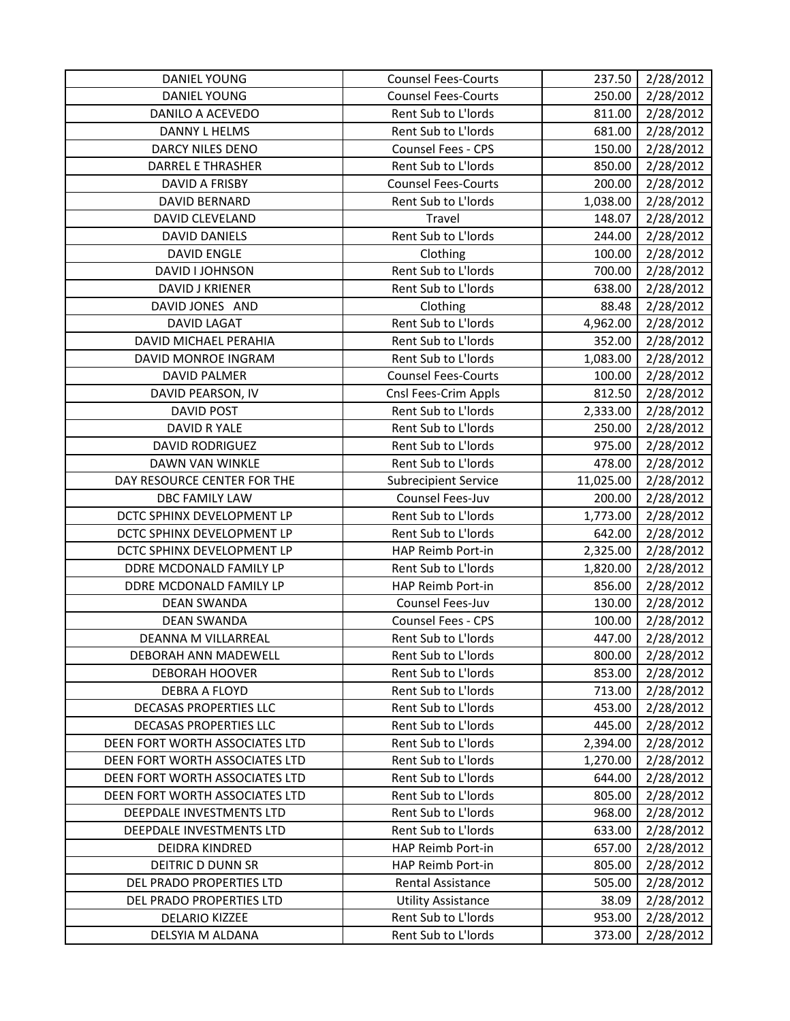| <b>DANIEL YOUNG</b>            | <b>Counsel Fees-Courts</b>  | 237.50    | 2/28/2012 |
|--------------------------------|-----------------------------|-----------|-----------|
| DANIEL YOUNG                   | <b>Counsel Fees-Courts</b>  | 250.00    | 2/28/2012 |
| DANILO A ACEVEDO               | Rent Sub to L'Iords         | 811.00    | 2/28/2012 |
| DANNY L HELMS                  | Rent Sub to L'Iords         | 681.00    | 2/28/2012 |
| DARCY NILES DENO               | Counsel Fees - CPS          | 150.00    | 2/28/2012 |
| <b>DARREL E THRASHER</b>       | Rent Sub to L'Iords         | 850.00    | 2/28/2012 |
| <b>DAVID A FRISBY</b>          | <b>Counsel Fees-Courts</b>  | 200.00    | 2/28/2012 |
| DAVID BERNARD                  | Rent Sub to L'Iords         | 1,038.00  | 2/28/2012 |
| DAVID CLEVELAND                | Travel                      | 148.07    | 2/28/2012 |
| <b>DAVID DANIELS</b>           | Rent Sub to L'Iords         | 244.00    | 2/28/2012 |
| <b>DAVID ENGLE</b>             | Clothing                    | 100.00    | 2/28/2012 |
| DAVID I JOHNSON                | Rent Sub to L'Iords         | 700.00    | 2/28/2012 |
| DAVID J KRIENER                | Rent Sub to L'Iords         | 638.00    | 2/28/2012 |
| DAVID JONES AND                | Clothing                    | 88.48     | 2/28/2012 |
| <b>DAVID LAGAT</b>             | Rent Sub to L'Iords         | 4,962.00  | 2/28/2012 |
| <b>DAVID MICHAEL PERAHIA</b>   | Rent Sub to L'Iords         | 352.00    | 2/28/2012 |
| DAVID MONROE INGRAM            | Rent Sub to L'Iords         | 1,083.00  | 2/28/2012 |
| <b>DAVID PALMER</b>            | <b>Counsel Fees-Courts</b>  | 100.00    | 2/28/2012 |
| DAVID PEARSON, IV              | Cnsl Fees-Crim Appls        | 812.50    | 2/28/2012 |
| <b>DAVID POST</b>              | Rent Sub to L'Iords         | 2,333.00  | 2/28/2012 |
| DAVID R YALE                   | Rent Sub to L'Iords         | 250.00    | 2/28/2012 |
| <b>DAVID RODRIGUEZ</b>         | Rent Sub to L'Iords         | 975.00    | 2/28/2012 |
| DAWN VAN WINKLE                | Rent Sub to L'Iords         | 478.00    | 2/28/2012 |
| DAY RESOURCE CENTER FOR THE    | <b>Subrecipient Service</b> | 11,025.00 | 2/28/2012 |
| <b>DBC FAMILY LAW</b>          | Counsel Fees-Juv            | 200.00    | 2/28/2012 |
| DCTC SPHINX DEVELOPMENT LP     | Rent Sub to L'Iords         | 1,773.00  | 2/28/2012 |
| DCTC SPHINX DEVELOPMENT LP     | Rent Sub to L'Iords         | 642.00    | 2/28/2012 |
| DCTC SPHINX DEVELOPMENT LP     | HAP Reimb Port-in           | 2,325.00  | 2/28/2012 |
| DDRE MCDONALD FAMILY LP        | Rent Sub to L'Iords         | 1,820.00  | 2/28/2012 |
| DDRE MCDONALD FAMILY LP        | HAP Reimb Port-in           | 856.00    | 2/28/2012 |
| <b>DEAN SWANDA</b>             | Counsel Fees-Juv            | 130.00    | 2/28/2012 |
| <b>DEAN SWANDA</b>             | Counsel Fees - CPS          | 100.00    | 2/28/2012 |
| DEANNA M VILLARREAL            | Rent Sub to L'Iords         | 447.00    | 2/28/2012 |
| DEBORAH ANN MADEWELL           | Rent Sub to L'Iords         | 800.00    | 2/28/2012 |
| <b>DEBORAH HOOVER</b>          | Rent Sub to L'Iords         | 853.00    | 2/28/2012 |
| DEBRA A FLOYD                  | Rent Sub to L'Iords         | 713.00    | 2/28/2012 |
| DECASAS PROPERTIES LLC         | Rent Sub to L'Iords         | 453.00    | 2/28/2012 |
| DECASAS PROPERTIES LLC         | Rent Sub to L'Iords         | 445.00    | 2/28/2012 |
| DEEN FORT WORTH ASSOCIATES LTD | Rent Sub to L'Iords         | 2,394.00  | 2/28/2012 |
| DEEN FORT WORTH ASSOCIATES LTD | Rent Sub to L'Iords         | 1,270.00  | 2/28/2012 |
| DEEN FORT WORTH ASSOCIATES LTD | Rent Sub to L'Iords         | 644.00    | 2/28/2012 |
| DEEN FORT WORTH ASSOCIATES LTD | Rent Sub to L'Iords         | 805.00    | 2/28/2012 |
| DEEPDALE INVESTMENTS LTD       | Rent Sub to L'Iords         | 968.00    | 2/28/2012 |
| DEEPDALE INVESTMENTS LTD       | Rent Sub to L'Iords         | 633.00    | 2/28/2012 |
| DEIDRA KINDRED                 | HAP Reimb Port-in           | 657.00    | 2/28/2012 |
| DEITRIC D DUNN SR              | HAP Reimb Port-in           | 805.00    | 2/28/2012 |
| DEL PRADO PROPERTIES LTD       | <b>Rental Assistance</b>    | 505.00    | 2/28/2012 |
| DEL PRADO PROPERTIES LTD       | <b>Utility Assistance</b>   | 38.09     | 2/28/2012 |
| <b>DELARIO KIZZEE</b>          | Rent Sub to L'Iords         | 953.00    | 2/28/2012 |
| DELSYIA M ALDANA               | Rent Sub to L'Iords         | 373.00    | 2/28/2012 |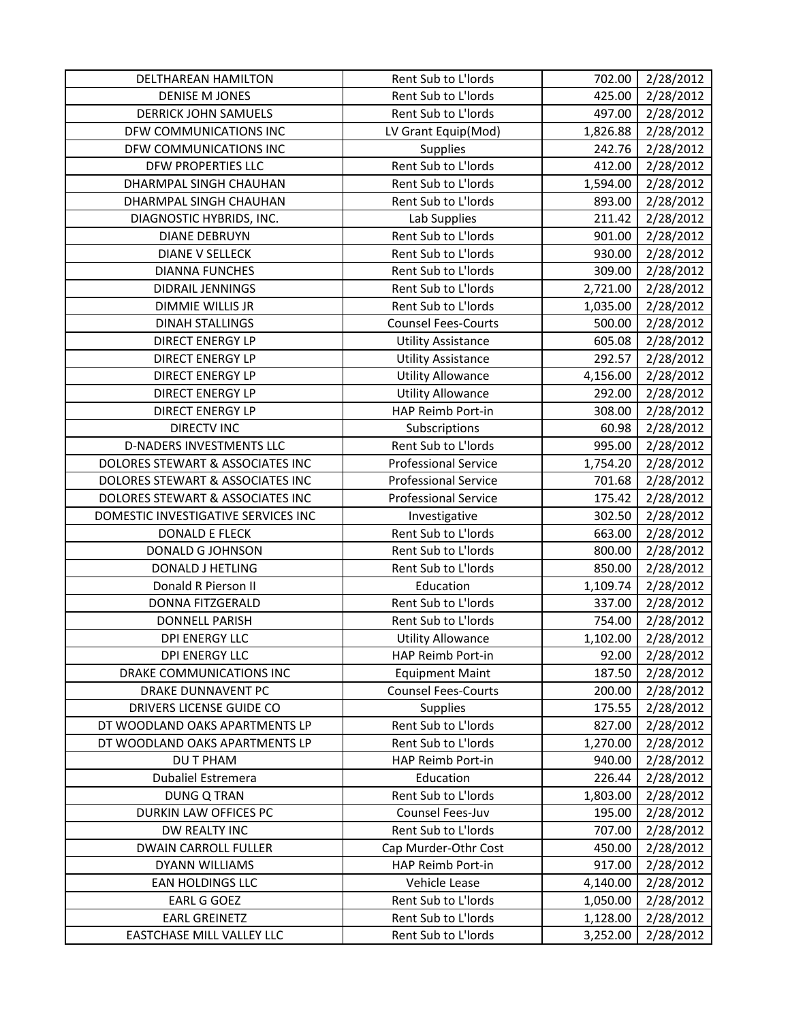| DELTHAREAN HAMILTON                 | Rent Sub to L'Iords         | 702.00   | 2/28/2012 |
|-------------------------------------|-----------------------------|----------|-----------|
| <b>DENISE M JONES</b>               | Rent Sub to L'Iords         | 425.00   | 2/28/2012 |
| <b>DERRICK JOHN SAMUELS</b>         | Rent Sub to L'Iords         | 497.00   | 2/28/2012 |
| DFW COMMUNICATIONS INC              | LV Grant Equip(Mod)         | 1,826.88 | 2/28/2012 |
| DFW COMMUNICATIONS INC              | Supplies                    | 242.76   | 2/28/2012 |
| DFW PROPERTIES LLC                  | Rent Sub to L'Iords         | 412.00   | 2/28/2012 |
| DHARMPAL SINGH CHAUHAN              | Rent Sub to L'Iords         | 1,594.00 | 2/28/2012 |
| DHARMPAL SINGH CHAUHAN              | Rent Sub to L'Iords         | 893.00   | 2/28/2012 |
| DIAGNOSTIC HYBRIDS, INC.            | Lab Supplies                | 211.42   | 2/28/2012 |
| <b>DIANE DEBRUYN</b>                | Rent Sub to L'Iords         | 901.00   | 2/28/2012 |
| <b>DIANE V SELLECK</b>              | Rent Sub to L'Iords         | 930.00   | 2/28/2012 |
| <b>DIANNA FUNCHES</b>               | Rent Sub to L'Iords         | 309.00   | 2/28/2012 |
| DIDRAIL JENNINGS                    | Rent Sub to L'Iords         | 2,721.00 | 2/28/2012 |
| <b>DIMMIE WILLIS JR</b>             | Rent Sub to L'Iords         | 1,035.00 | 2/28/2012 |
| <b>DINAH STALLINGS</b>              | <b>Counsel Fees-Courts</b>  | 500.00   | 2/28/2012 |
| <b>DIRECT ENERGY LP</b>             | <b>Utility Assistance</b>   | 605.08   | 2/28/2012 |
| <b>DIRECT ENERGY LP</b>             | <b>Utility Assistance</b>   | 292.57   | 2/28/2012 |
| <b>DIRECT ENERGY LP</b>             | <b>Utility Allowance</b>    | 4,156.00 | 2/28/2012 |
| <b>DIRECT ENERGY LP</b>             | <b>Utility Allowance</b>    | 292.00   | 2/28/2012 |
| <b>DIRECT ENERGY LP</b>             | HAP Reimb Port-in           | 308.00   | 2/28/2012 |
| <b>DIRECTV INC</b>                  | Subscriptions               | 60.98    | 2/28/2012 |
| <b>D-NADERS INVESTMENTS LLC</b>     | Rent Sub to L'Iords         | 995.00   | 2/28/2012 |
| DOLORES STEWART & ASSOCIATES INC    | <b>Professional Service</b> | 1,754.20 | 2/28/2012 |
| DOLORES STEWART & ASSOCIATES INC    | <b>Professional Service</b> | 701.68   | 2/28/2012 |
| DOLORES STEWART & ASSOCIATES INC    | <b>Professional Service</b> | 175.42   | 2/28/2012 |
|                                     |                             |          |           |
| DOMESTIC INVESTIGATIVE SERVICES INC | Investigative               | 302.50   | 2/28/2012 |
| <b>DONALD E FLECK</b>               | Rent Sub to L'Iords         | 663.00   | 2/28/2012 |
| DONALD G JOHNSON                    | Rent Sub to L'Iords         | 800.00   | 2/28/2012 |
| <b>DONALD J HETLING</b>             | Rent Sub to L'Iords         | 850.00   | 2/28/2012 |
| Donald R Pierson II                 | Education                   | 1,109.74 | 2/28/2012 |
| <b>DONNA FITZGERALD</b>             | Rent Sub to L'Iords         | 337.00   | 2/28/2012 |
| <b>DONNELL PARISH</b>               | Rent Sub to L'Iords         | 754.00   | 2/28/2012 |
| <b>DPI ENERGY LLC</b>               | <b>Utility Allowance</b>    | 1,102.00 | 2/28/2012 |
| <b>DPI ENERGY LLC</b>               | HAP Reimb Port-in           | 92.00    | 2/28/2012 |
| DRAKE COMMUNICATIONS INC            | <b>Equipment Maint</b>      | 187.50   | 2/28/2012 |
| DRAKE DUNNAVENT PC                  | <b>Counsel Fees-Courts</b>  | 200.00   | 2/28/2012 |
| DRIVERS LICENSE GUIDE CO            | <b>Supplies</b>             | 175.55   | 2/28/2012 |
| DT WOODLAND OAKS APARTMENTS LP      | Rent Sub to L'Iords         | 827.00   | 2/28/2012 |
| DT WOODLAND OAKS APARTMENTS LP      | Rent Sub to L'Iords         | 1,270.00 | 2/28/2012 |
| DU T PHAM                           | HAP Reimb Port-in           | 940.00   | 2/28/2012 |
| <b>Dubaliel Estremera</b>           | Education                   | 226.44   | 2/28/2012 |
| <b>DUNG Q TRAN</b>                  | Rent Sub to L'Iords         | 1,803.00 | 2/28/2012 |
| DURKIN LAW OFFICES PC               | Counsel Fees-Juv            | 195.00   | 2/28/2012 |
| DW REALTY INC                       | Rent Sub to L'Iords         | 707.00   | 2/28/2012 |
| <b>DWAIN CARROLL FULLER</b>         | Cap Murder-Othr Cost        | 450.00   | 2/28/2012 |
| DYANN WILLIAMS                      | HAP Reimb Port-in           | 917.00   | 2/28/2012 |
| EAN HOLDINGS LLC                    | Vehicle Lease               | 4,140.00 | 2/28/2012 |
| <b>EARL G GOEZ</b>                  | Rent Sub to L'Iords         | 1,050.00 | 2/28/2012 |
| <b>EARL GREINETZ</b>                | Rent Sub to L'Iords         | 1,128.00 | 2/28/2012 |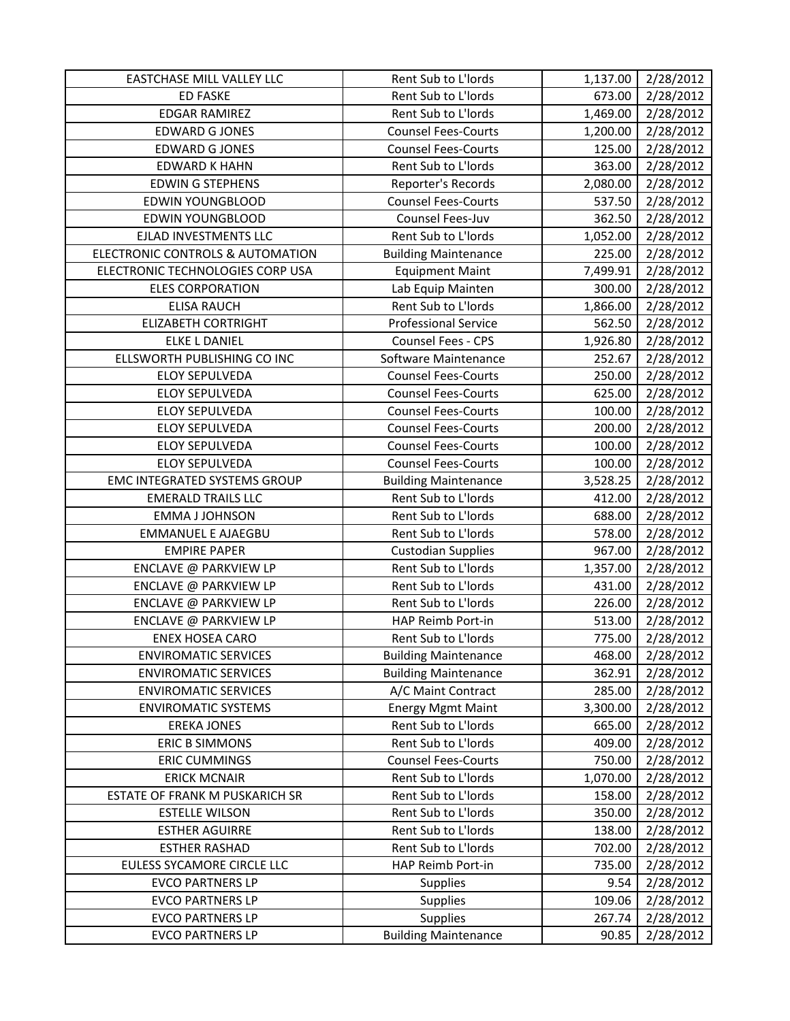| EASTCHASE MILL VALLEY LLC             | Rent Sub to L'Iords         | 1,137.00 | 2/28/2012 |
|---------------------------------------|-----------------------------|----------|-----------|
| <b>ED FASKE</b>                       | Rent Sub to L'Iords         | 673.00   | 2/28/2012 |
| <b>EDGAR RAMIREZ</b>                  | Rent Sub to L'Iords         | 1,469.00 | 2/28/2012 |
| <b>EDWARD G JONES</b>                 | <b>Counsel Fees-Courts</b>  | 1,200.00 | 2/28/2012 |
| <b>EDWARD G JONES</b>                 | <b>Counsel Fees-Courts</b>  | 125.00   | 2/28/2012 |
| <b>EDWARD K HAHN</b>                  | Rent Sub to L'Iords         | 363.00   | 2/28/2012 |
| <b>EDWIN G STEPHENS</b>               | Reporter's Records          | 2,080.00 | 2/28/2012 |
| <b>EDWIN YOUNGBLOOD</b>               | <b>Counsel Fees-Courts</b>  | 537.50   | 2/28/2012 |
| <b>EDWIN YOUNGBLOOD</b>               | Counsel Fees-Juv            | 362.50   | 2/28/2012 |
| EJLAD INVESTMENTS LLC                 | Rent Sub to L'Iords         | 1,052.00 | 2/28/2012 |
| ELECTRONIC CONTROLS & AUTOMATION      | <b>Building Maintenance</b> | 225.00   | 2/28/2012 |
| ELECTRONIC TECHNOLOGIES CORP USA      | <b>Equipment Maint</b>      | 7,499.91 | 2/28/2012 |
| <b>ELES CORPORATION</b>               | Lab Equip Mainten           | 300.00   | 2/28/2012 |
| <b>ELISA RAUCH</b>                    | Rent Sub to L'Iords         | 1,866.00 | 2/28/2012 |
| <b>ELIZABETH CORTRIGHT</b>            | <b>Professional Service</b> | 562.50   | 2/28/2012 |
| <b>ELKE L DANIEL</b>                  | <b>Counsel Fees - CPS</b>   | 1,926.80 | 2/28/2012 |
| ELLSWORTH PUBLISHING CO INC           | Software Maintenance        | 252.67   | 2/28/2012 |
| <b>ELOY SEPULVEDA</b>                 | <b>Counsel Fees-Courts</b>  | 250.00   | 2/28/2012 |
| <b>ELOY SEPULVEDA</b>                 | <b>Counsel Fees-Courts</b>  | 625.00   | 2/28/2012 |
| <b>ELOY SEPULVEDA</b>                 | <b>Counsel Fees-Courts</b>  | 100.00   | 2/28/2012 |
| <b>ELOY SEPULVEDA</b>                 | <b>Counsel Fees-Courts</b>  | 200.00   | 2/28/2012 |
| <b>ELOY SEPULVEDA</b>                 | <b>Counsel Fees-Courts</b>  | 100.00   | 2/28/2012 |
| <b>ELOY SEPULVEDA</b>                 | <b>Counsel Fees-Courts</b>  | 100.00   | 2/28/2012 |
| EMC INTEGRATED SYSTEMS GROUP          | <b>Building Maintenance</b> | 3,528.25 | 2/28/2012 |
| <b>EMERALD TRAILS LLC</b>             | Rent Sub to L'Iords         | 412.00   | 2/28/2012 |
| <b>EMMA J JOHNSON</b>                 | Rent Sub to L'Iords         | 688.00   | 2/28/2012 |
| <b>EMMANUEL E AJAEGBU</b>             | Rent Sub to L'Iords         | 578.00   | 2/28/2012 |
| <b>EMPIRE PAPER</b>                   | <b>Custodian Supplies</b>   | 967.00   | 2/28/2012 |
| ENCLAVE @ PARKVIEW LP                 | Rent Sub to L'Iords         | 1,357.00 | 2/28/2012 |
| ENCLAVE @ PARKVIEW LP                 | Rent Sub to L'Iords         | 431.00   | 2/28/2012 |
| ENCLAVE @ PARKVIEW LP                 | Rent Sub to L'Iords         | 226.00   | 2/28/2012 |
| ENCLAVE @ PARKVIEW LP                 | HAP Reimb Port-in           | 513.00   | 2/28/2012 |
| <b>ENEX HOSEA CARO</b>                | Rent Sub to L'Iords         | 775.00   | 2/28/2012 |
| <b>ENVIROMATIC SERVICES</b>           | <b>Building Maintenance</b> | 468.00   | 2/28/2012 |
| <b>ENVIROMATIC SERVICES</b>           | <b>Building Maintenance</b> | 362.91   | 2/28/2012 |
| <b>ENVIROMATIC SERVICES</b>           | A/C Maint Contract          | 285.00   | 2/28/2012 |
| <b>ENVIROMATIC SYSTEMS</b>            | <b>Energy Mgmt Maint</b>    | 3,300.00 | 2/28/2012 |
| <b>EREKA JONES</b>                    | Rent Sub to L'Iords         | 665.00   | 2/28/2012 |
| <b>ERIC B SIMMONS</b>                 | Rent Sub to L'Iords         | 409.00   | 2/28/2012 |
| <b>ERIC CUMMINGS</b>                  | <b>Counsel Fees-Courts</b>  | 750.00   | 2/28/2012 |
| <b>ERICK MCNAIR</b>                   | Rent Sub to L'Iords         | 1,070.00 | 2/28/2012 |
| <b>ESTATE OF FRANK M PUSKARICH SR</b> | Rent Sub to L'Iords         | 158.00   | 2/28/2012 |
| <b>ESTELLE WILSON</b>                 | Rent Sub to L'Iords         | 350.00   | 2/28/2012 |
| <b>ESTHER AGUIRRE</b>                 | Rent Sub to L'Iords         | 138.00   | 2/28/2012 |
| <b>ESTHER RASHAD</b>                  | Rent Sub to L'Iords         | 702.00   | 2/28/2012 |
| EULESS SYCAMORE CIRCLE LLC            | HAP Reimb Port-in           | 735.00   | 2/28/2012 |
| <b>EVCO PARTNERS LP</b>               | <b>Supplies</b>             | 9.54     | 2/28/2012 |
| <b>EVCO PARTNERS LP</b>               | Supplies                    | 109.06   | 2/28/2012 |
| <b>EVCO PARTNERS LP</b>               | Supplies                    | 267.74   | 2/28/2012 |
| <b>EVCO PARTNERS LP</b>               | <b>Building Maintenance</b> | 90.85    | 2/28/2012 |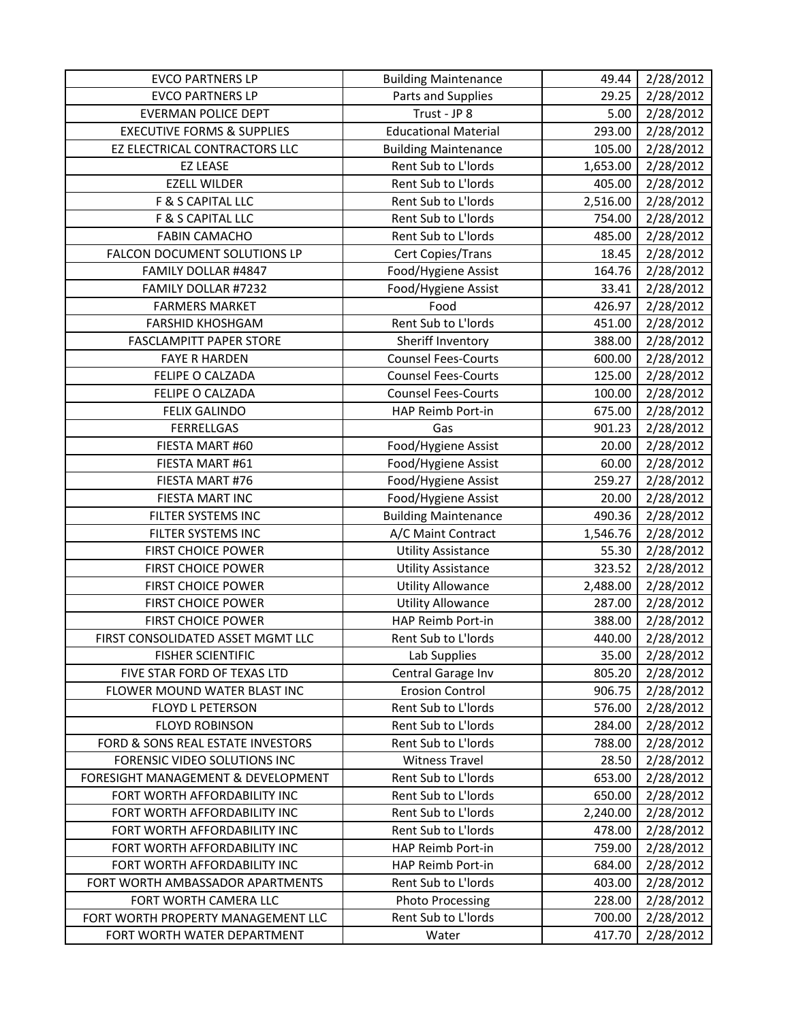| <b>EVCO PARTNERS LP</b>               | <b>Building Maintenance</b> | 49.44    | 2/28/2012 |
|---------------------------------------|-----------------------------|----------|-----------|
| <b>EVCO PARTNERS LP</b>               | Parts and Supplies          | 29.25    | 2/28/2012 |
| <b>EVERMAN POLICE DEPT</b>            | Trust - JP 8                | 5.00     | 2/28/2012 |
| <b>EXECUTIVE FORMS &amp; SUPPLIES</b> | <b>Educational Material</b> | 293.00   | 2/28/2012 |
| EZ ELECTRICAL CONTRACTORS LLC         | <b>Building Maintenance</b> | 105.00   | 2/28/2012 |
| <b>EZ LEASE</b>                       | Rent Sub to L'Iords         | 1,653.00 | 2/28/2012 |
| <b>EZELL WILDER</b>                   | Rent Sub to L'Iords         | 405.00   | 2/28/2012 |
| F & S CAPITAL LLC                     | Rent Sub to L'Iords         | 2,516.00 | 2/28/2012 |
| F & S CAPITAL LLC                     | Rent Sub to L'Iords         | 754.00   | 2/28/2012 |
| <b>FABIN CAMACHO</b>                  | Rent Sub to L'Iords         | 485.00   | 2/28/2012 |
| FALCON DOCUMENT SOLUTIONS LP          | Cert Copies/Trans           | 18.45    | 2/28/2012 |
| FAMILY DOLLAR #4847                   | Food/Hygiene Assist         | 164.76   | 2/28/2012 |
| FAMILY DOLLAR #7232                   | Food/Hygiene Assist         | 33.41    | 2/28/2012 |
| <b>FARMERS MARKET</b>                 | Food                        | 426.97   | 2/28/2012 |
| <b>FARSHID KHOSHGAM</b>               | Rent Sub to L'Iords         | 451.00   | 2/28/2012 |
| <b>FASCLAMPITT PAPER STORE</b>        | Sheriff Inventory           | 388.00   | 2/28/2012 |
| <b>FAYE R HARDEN</b>                  | <b>Counsel Fees-Courts</b>  | 600.00   | 2/28/2012 |
| FELIPE O CALZADA                      | <b>Counsel Fees-Courts</b>  | 125.00   | 2/28/2012 |
| FELIPE O CALZADA                      | <b>Counsel Fees-Courts</b>  | 100.00   | 2/28/2012 |
| <b>FELIX GALINDO</b>                  | HAP Reimb Port-in           | 675.00   | 2/28/2012 |
| <b>FERRELLGAS</b>                     | Gas                         | 901.23   | 2/28/2012 |
| FIESTA MART #60                       | Food/Hygiene Assist         | 20.00    | 2/28/2012 |
| FIESTA MART #61                       | Food/Hygiene Assist         | 60.00    | 2/28/2012 |
| FIESTA MART #76                       | Food/Hygiene Assist         | 259.27   | 2/28/2012 |
| FIESTA MART INC                       | Food/Hygiene Assist         | 20.00    | 2/28/2012 |
| FILTER SYSTEMS INC                    | <b>Building Maintenance</b> | 490.36   | 2/28/2012 |
| FILTER SYSTEMS INC                    | A/C Maint Contract          | 1,546.76 | 2/28/2012 |
| <b>FIRST CHOICE POWER</b>             | <b>Utility Assistance</b>   | 55.30    | 2/28/2012 |
| <b>FIRST CHOICE POWER</b>             | <b>Utility Assistance</b>   | 323.52   | 2/28/2012 |
| <b>FIRST CHOICE POWER</b>             | <b>Utility Allowance</b>    | 2,488.00 | 2/28/2012 |
| <b>FIRST CHOICE POWER</b>             | <b>Utility Allowance</b>    | 287.00   | 2/28/2012 |
| <b>FIRST CHOICE POWER</b>             | HAP Reimb Port-in           | 388.00   | 2/28/2012 |
| FIRST CONSOLIDATED ASSET MGMT LLC     | Rent Sub to L'Iords         | 440.00   | 2/28/2012 |
| <b>FISHER SCIENTIFIC</b>              | Lab Supplies                | 35.00    | 2/28/2012 |
| FIVE STAR FORD OF TEXAS LTD           | Central Garage Inv          | 805.20   | 2/28/2012 |
| FLOWER MOUND WATER BLAST INC          | <b>Erosion Control</b>      | 906.75   | 2/28/2012 |
| <b>FLOYD L PETERSON</b>               | Rent Sub to L'Iords         | 576.00   | 2/28/2012 |
| <b>FLOYD ROBINSON</b>                 | Rent Sub to L'Iords         | 284.00   | 2/28/2012 |
| FORD & SONS REAL ESTATE INVESTORS     | Rent Sub to L'Iords         | 788.00   | 2/28/2012 |
| FORENSIC VIDEO SOLUTIONS INC          | <b>Witness Travel</b>       | 28.50    | 2/28/2012 |
| FORESIGHT MANAGEMENT & DEVELOPMENT    | Rent Sub to L'Iords         | 653.00   | 2/28/2012 |
| FORT WORTH AFFORDABILITY INC          | Rent Sub to L'Iords         | 650.00   | 2/28/2012 |
| FORT WORTH AFFORDABILITY INC          | Rent Sub to L'Iords         | 2,240.00 | 2/28/2012 |
| FORT WORTH AFFORDABILITY INC          | Rent Sub to L'Iords         | 478.00   | 2/28/2012 |
| FORT WORTH AFFORDABILITY INC          | HAP Reimb Port-in           | 759.00   | 2/28/2012 |
| FORT WORTH AFFORDABILITY INC          | HAP Reimb Port-in           | 684.00   | 2/28/2012 |
| FORT WORTH AMBASSADOR APARTMENTS      | Rent Sub to L'Iords         | 403.00   | 2/28/2012 |
| FORT WORTH CAMERA LLC                 | <b>Photo Processing</b>     | 228.00   | 2/28/2012 |
| FORT WORTH PROPERTY MANAGEMENT LLC    | Rent Sub to L'Iords         | 700.00   | 2/28/2012 |
| FORT WORTH WATER DEPARTMENT           | Water                       | 417.70   | 2/28/2012 |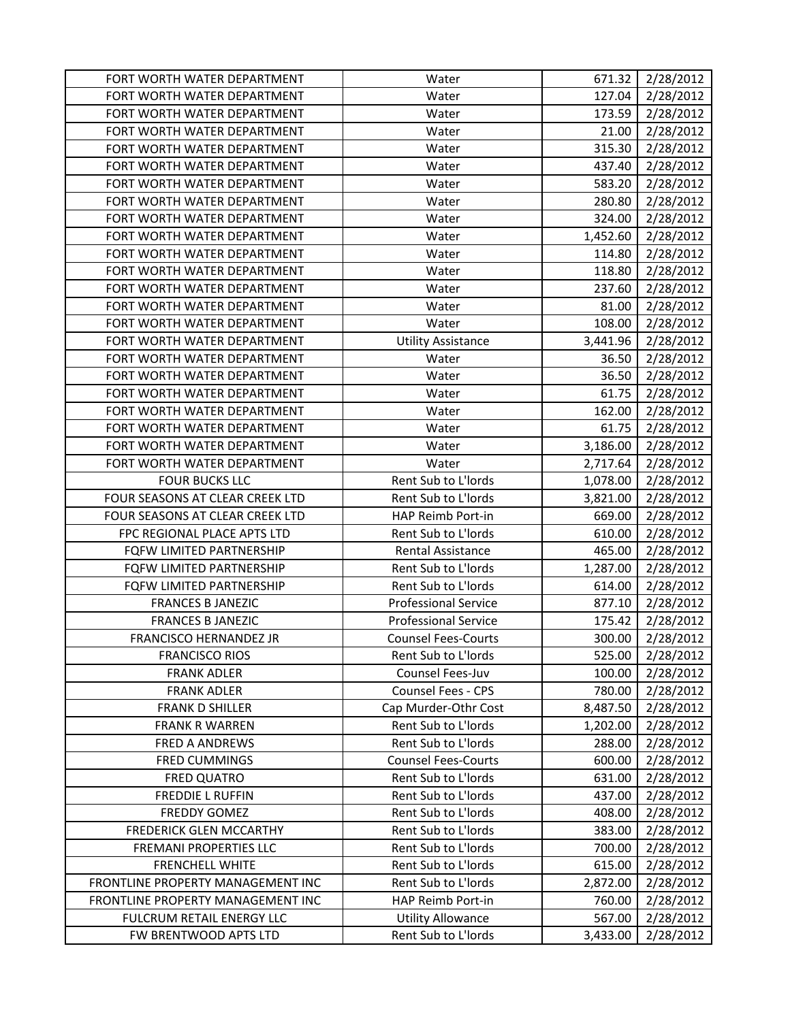| FORT WORTH WATER DEPARTMENT       | Water                       | 671.32   | 2/28/2012 |
|-----------------------------------|-----------------------------|----------|-----------|
| FORT WORTH WATER DEPARTMENT       | Water                       | 127.04   | 2/28/2012 |
| FORT WORTH WATER DEPARTMENT       | Water                       | 173.59   | 2/28/2012 |
| FORT WORTH WATER DEPARTMENT       | Water                       | 21.00    | 2/28/2012 |
| FORT WORTH WATER DEPARTMENT       | Water                       | 315.30   | 2/28/2012 |
| FORT WORTH WATER DEPARTMENT       | Water                       | 437.40   | 2/28/2012 |
| FORT WORTH WATER DEPARTMENT       | Water                       | 583.20   | 2/28/2012 |
| FORT WORTH WATER DEPARTMENT       | Water                       | 280.80   | 2/28/2012 |
| FORT WORTH WATER DEPARTMENT       | Water                       | 324.00   | 2/28/2012 |
| FORT WORTH WATER DEPARTMENT       | Water                       | 1,452.60 | 2/28/2012 |
| FORT WORTH WATER DEPARTMENT       | Water                       | 114.80   | 2/28/2012 |
| FORT WORTH WATER DEPARTMENT       | Water                       | 118.80   | 2/28/2012 |
| FORT WORTH WATER DEPARTMENT       | Water                       | 237.60   | 2/28/2012 |
| FORT WORTH WATER DEPARTMENT       | Water                       | 81.00    | 2/28/2012 |
| FORT WORTH WATER DEPARTMENT       | Water                       | 108.00   | 2/28/2012 |
| FORT WORTH WATER DEPARTMENT       | <b>Utility Assistance</b>   | 3,441.96 | 2/28/2012 |
| FORT WORTH WATER DEPARTMENT       | Water                       | 36.50    | 2/28/2012 |
| FORT WORTH WATER DEPARTMENT       | Water                       | 36.50    | 2/28/2012 |
| FORT WORTH WATER DEPARTMENT       | Water                       | 61.75    | 2/28/2012 |
| FORT WORTH WATER DEPARTMENT       | Water                       | 162.00   | 2/28/2012 |
| FORT WORTH WATER DEPARTMENT       | Water                       | 61.75    | 2/28/2012 |
| FORT WORTH WATER DEPARTMENT       | Water                       | 3,186.00 | 2/28/2012 |
| FORT WORTH WATER DEPARTMENT       | Water                       | 2,717.64 | 2/28/2012 |
| <b>FOUR BUCKS LLC</b>             | Rent Sub to L'Iords         | 1,078.00 | 2/28/2012 |
| FOUR SEASONS AT CLEAR CREEK LTD   | Rent Sub to L'Iords         | 3,821.00 | 2/28/2012 |
| FOUR SEASONS AT CLEAR CREEK LTD   | HAP Reimb Port-in           | 669.00   | 2/28/2012 |
| FPC REGIONAL PLACE APTS LTD       | Rent Sub to L'Iords         | 610.00   | 2/28/2012 |
| FQFW LIMITED PARTNERSHIP          | <b>Rental Assistance</b>    | 465.00   | 2/28/2012 |
| FQFW LIMITED PARTNERSHIP          | Rent Sub to L'Iords         | 1,287.00 | 2/28/2012 |
| <b>FQFW LIMITED PARTNERSHIP</b>   | Rent Sub to L'Iords         | 614.00   | 2/28/2012 |
| <b>FRANCES B JANEZIC</b>          | <b>Professional Service</b> | 877.10   | 2/28/2012 |
| <b>FRANCES B JANEZIC</b>          | <b>Professional Service</b> | 175.42   | 2/28/2012 |
| <b>FRANCISCO HERNANDEZ JR</b>     | <b>Counsel Fees-Courts</b>  | 300.00   | 2/28/2012 |
| <b>FRANCISCO RIOS</b>             | Rent Sub to L'Iords         | 525.00   | 2/28/2012 |
| <b>FRANK ADLER</b>                | Counsel Fees-Juv            | 100.00   | 2/28/2012 |
| <b>FRANK ADLER</b>                | Counsel Fees - CPS          | 780.00   | 2/28/2012 |
| <b>FRANK D SHILLER</b>            | Cap Murder-Othr Cost        | 8,487.50 | 2/28/2012 |
| <b>FRANK R WARREN</b>             | Rent Sub to L'Iords         | 1,202.00 | 2/28/2012 |
| <b>FRED A ANDREWS</b>             | Rent Sub to L'Iords         | 288.00   | 2/28/2012 |
| <b>FRED CUMMINGS</b>              | <b>Counsel Fees-Courts</b>  | 600.00   | 2/28/2012 |
| <b>FRED QUATRO</b>                | Rent Sub to L'Iords         | 631.00   | 2/28/2012 |
| <b>FREDDIE L RUFFIN</b>           | Rent Sub to L'Iords         | 437.00   | 2/28/2012 |
| <b>FREDDY GOMEZ</b>               | Rent Sub to L'Iords         | 408.00   | 2/28/2012 |
| <b>FREDERICK GLEN MCCARTHY</b>    | Rent Sub to L'Iords         | 383.00   | 2/28/2012 |
| FREMANI PROPERTIES LLC            | Rent Sub to L'Iords         | 700.00   | 2/28/2012 |
| <b>FRENCHELL WHITE</b>            | Rent Sub to L'Iords         | 615.00   | 2/28/2012 |
| FRONTLINE PROPERTY MANAGEMENT INC | Rent Sub to L'Iords         | 2,872.00 | 2/28/2012 |
| FRONTLINE PROPERTY MANAGEMENT INC | HAP Reimb Port-in           | 760.00   | 2/28/2012 |
| FULCRUM RETAIL ENERGY LLC         | <b>Utility Allowance</b>    | 567.00   | 2/28/2012 |
| FW BRENTWOOD APTS LTD             | Rent Sub to L'Iords         | 3,433.00 | 2/28/2012 |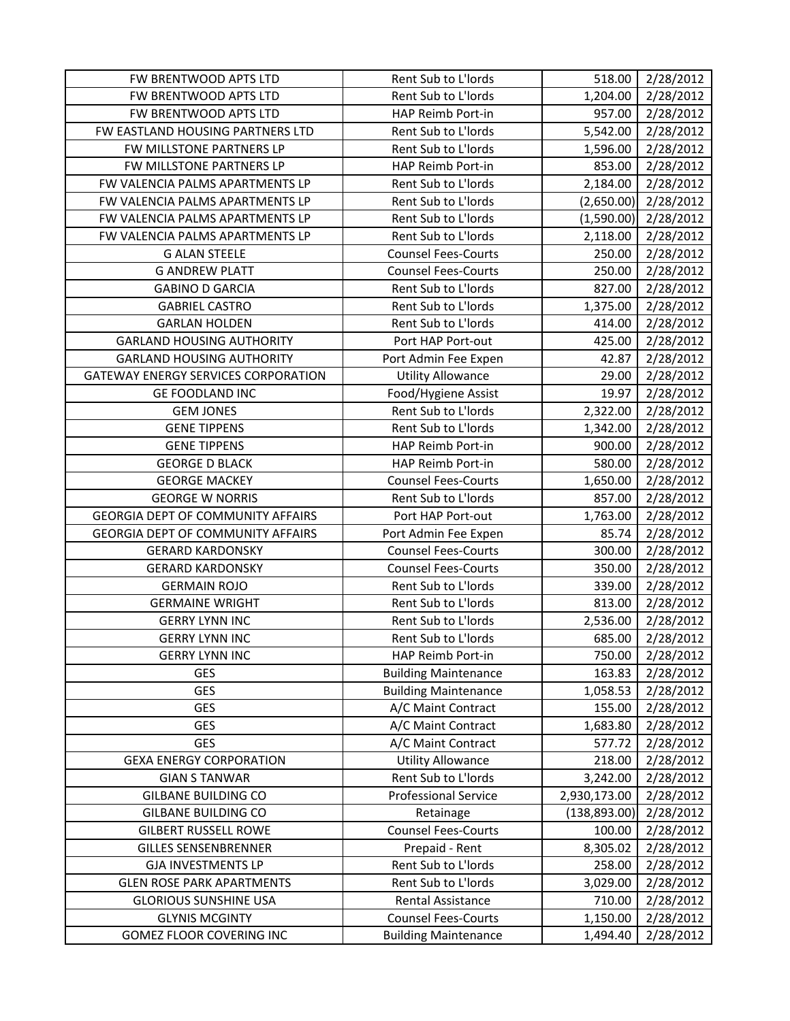| FW BRENTWOOD APTS LTD                      | Rent Sub to L'Iords         | 518.00        | 2/28/2012 |
|--------------------------------------------|-----------------------------|---------------|-----------|
| FW BRENTWOOD APTS LTD                      | Rent Sub to L'Iords         | 1,204.00      | 2/28/2012 |
| FW BRENTWOOD APTS LTD                      | HAP Reimb Port-in           | 957.00        | 2/28/2012 |
| FW EASTLAND HOUSING PARTNERS LTD           | Rent Sub to L'Iords         | 5,542.00      | 2/28/2012 |
| FW MILLSTONE PARTNERS LP                   | Rent Sub to L'Iords         | 1,596.00      | 2/28/2012 |
| FW MILLSTONE PARTNERS LP                   | HAP Reimb Port-in           | 853.00        | 2/28/2012 |
| FW VALENCIA PALMS APARTMENTS LP            | Rent Sub to L'Iords         | 2,184.00      | 2/28/2012 |
| FW VALENCIA PALMS APARTMENTS LP            | Rent Sub to L'Iords         | (2,650.00)    | 2/28/2012 |
| FW VALENCIA PALMS APARTMENTS LP            | Rent Sub to L'Iords         | (1,590.00)    | 2/28/2012 |
| FW VALENCIA PALMS APARTMENTS LP            | Rent Sub to L'Iords         | 2,118.00      | 2/28/2012 |
| <b>G ALAN STEELE</b>                       | <b>Counsel Fees-Courts</b>  | 250.00        | 2/28/2012 |
| <b>G ANDREW PLATT</b>                      | <b>Counsel Fees-Courts</b>  | 250.00        | 2/28/2012 |
| <b>GABINO D GARCIA</b>                     | Rent Sub to L'Iords         | 827.00        | 2/28/2012 |
| <b>GABRIEL CASTRO</b>                      | Rent Sub to L'Iords         | 1,375.00      | 2/28/2012 |
| <b>GARLAN HOLDEN</b>                       | Rent Sub to L'Iords         | 414.00        | 2/28/2012 |
| <b>GARLAND HOUSING AUTHORITY</b>           | Port HAP Port-out           | 425.00        | 2/28/2012 |
| <b>GARLAND HOUSING AUTHORITY</b>           | Port Admin Fee Expen        | 42.87         | 2/28/2012 |
| <b>GATEWAY ENERGY SERVICES CORPORATION</b> | <b>Utility Allowance</b>    | 29.00         | 2/28/2012 |
| <b>GE FOODLAND INC</b>                     | Food/Hygiene Assist         | 19.97         | 2/28/2012 |
| <b>GEM JONES</b>                           | Rent Sub to L'Iords         | 2,322.00      | 2/28/2012 |
| <b>GENE TIPPENS</b>                        | Rent Sub to L'Iords         | 1,342.00      | 2/28/2012 |
| <b>GENE TIPPENS</b>                        | HAP Reimb Port-in           | 900.00        | 2/28/2012 |
| <b>GEORGE D BLACK</b>                      | HAP Reimb Port-in           | 580.00        | 2/28/2012 |
| <b>GEORGE MACKEY</b>                       | <b>Counsel Fees-Courts</b>  | 1,650.00      | 2/28/2012 |
| <b>GEORGE W NORRIS</b>                     | Rent Sub to L'Iords         | 857.00        | 2/28/2012 |
| <b>GEORGIA DEPT OF COMMUNITY AFFAIRS</b>   | Port HAP Port-out           | 1,763.00      | 2/28/2012 |
| <b>GEORGIA DEPT OF COMMUNITY AFFAIRS</b>   | Port Admin Fee Expen        | 85.74         | 2/28/2012 |
| <b>GERARD KARDONSKY</b>                    | <b>Counsel Fees-Courts</b>  | 300.00        | 2/28/2012 |
| <b>GERARD KARDONSKY</b>                    | <b>Counsel Fees-Courts</b>  | 350.00        | 2/28/2012 |
| <b>GERMAIN ROJO</b>                        | Rent Sub to L'Iords         | 339.00        | 2/28/2012 |
| <b>GERMAINE WRIGHT</b>                     | Rent Sub to L'Iords         | 813.00        | 2/28/2012 |
| <b>GERRY LYNN INC</b>                      | Rent Sub to L'Iords         | 2,536.00      | 2/28/2012 |
| <b>GERRY LYNN INC</b>                      | Rent Sub to L'Iords         | 685.00        | 2/28/2012 |
| <b>GERRY LYNN INC</b>                      | HAP Reimb Port-in           | 750.00        | 2/28/2012 |
| <b>GES</b>                                 | <b>Building Maintenance</b> | 163.83        | 2/28/2012 |
| <b>GES</b>                                 | <b>Building Maintenance</b> | 1,058.53      | 2/28/2012 |
| <b>GES</b>                                 | A/C Maint Contract          | 155.00        | 2/28/2012 |
| <b>GES</b>                                 | A/C Maint Contract          | 1,683.80      | 2/28/2012 |
| GES                                        | A/C Maint Contract          | 577.72        | 2/28/2012 |
| <b>GEXA ENERGY CORPORATION</b>             | <b>Utility Allowance</b>    | 218.00        | 2/28/2012 |
| <b>GIAN S TANWAR</b>                       | Rent Sub to L'Iords         | 3,242.00      | 2/28/2012 |
| <b>GILBANE BUILDING CO</b>                 | <b>Professional Service</b> | 2,930,173.00  | 2/28/2012 |
| <b>GILBANE BUILDING CO</b>                 | Retainage                   | (138, 893.00) | 2/28/2012 |
| <b>GILBERT RUSSELL ROWE</b>                | <b>Counsel Fees-Courts</b>  | 100.00        | 2/28/2012 |
| <b>GILLES SENSENBRENNER</b>                | Prepaid - Rent              | 8,305.02      | 2/28/2012 |
| <b>GJA INVESTMENTS LP</b>                  | Rent Sub to L'Iords         | 258.00        | 2/28/2012 |
| <b>GLEN ROSE PARK APARTMENTS</b>           | Rent Sub to L'Iords         | 3,029.00      | 2/28/2012 |
| <b>GLORIOUS SUNSHINE USA</b>               | Rental Assistance           | 710.00        | 2/28/2012 |
| <b>GLYNIS MCGINTY</b>                      | <b>Counsel Fees-Courts</b>  | 1,150.00      | 2/28/2012 |
| GOMEZ FLOOR COVERING INC                   | <b>Building Maintenance</b> | 1,494.40      | 2/28/2012 |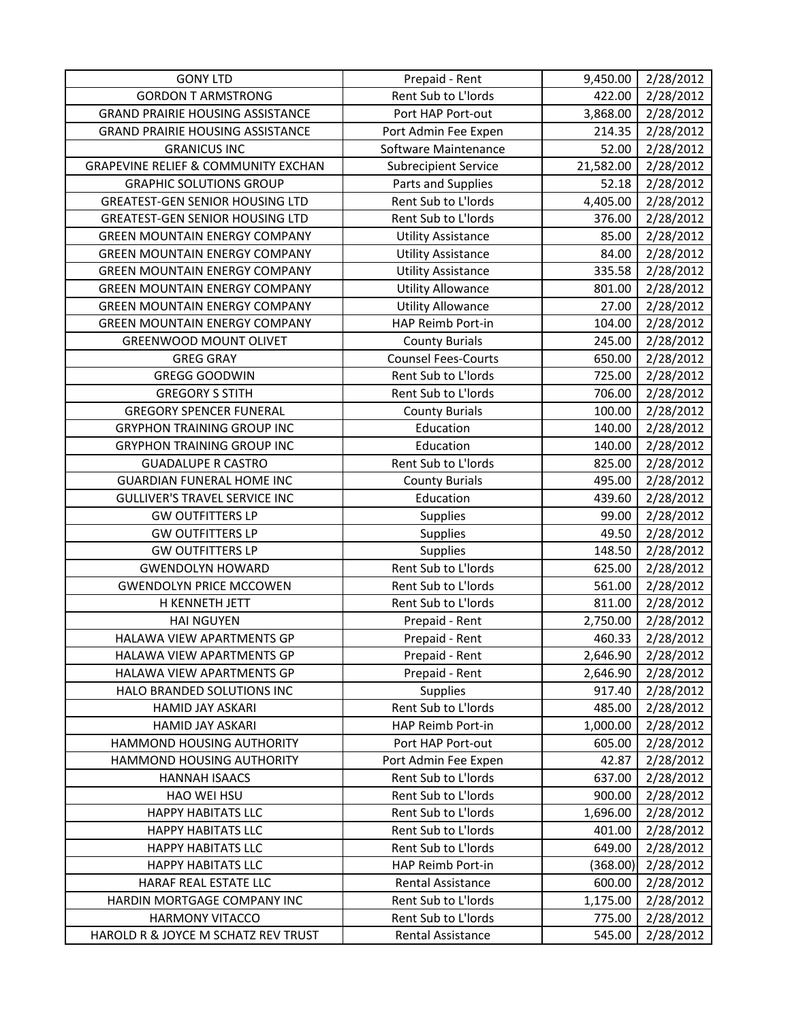| <b>GONY LTD</b>                                               | Prepaid - Rent                           | 9,450.00         | 2/28/2012              |
|---------------------------------------------------------------|------------------------------------------|------------------|------------------------|
| <b>GORDON T ARMSTRONG</b>                                     | Rent Sub to L'Iords                      | 422.00           | 2/28/2012              |
| <b>GRAND PRAIRIE HOUSING ASSISTANCE</b>                       | Port HAP Port-out                        | 3,868.00         | 2/28/2012              |
| <b>GRAND PRAIRIE HOUSING ASSISTANCE</b>                       | Port Admin Fee Expen                     | 214.35           | 2/28/2012              |
| <b>GRANICUS INC</b>                                           | Software Maintenance                     | 52.00            | 2/28/2012              |
| <b>GRAPEVINE RELIEF &amp; COMMUNITY EXCHAN</b>                | <b>Subrecipient Service</b>              | 21,582.00        | 2/28/2012              |
| <b>GRAPHIC SOLUTIONS GROUP</b>                                | Parts and Supplies                       | 52.18            | 2/28/2012              |
| <b>GREATEST-GEN SENIOR HOUSING LTD</b>                        | Rent Sub to L'Iords                      | 4,405.00         | 2/28/2012              |
| <b>GREATEST-GEN SENIOR HOUSING LTD</b>                        | Rent Sub to L'Iords                      | 376.00           | 2/28/2012              |
| <b>GREEN MOUNTAIN ENERGY COMPANY</b>                          | <b>Utility Assistance</b>                | 85.00            | 2/28/2012              |
| <b>GREEN MOUNTAIN ENERGY COMPANY</b>                          | <b>Utility Assistance</b>                | 84.00            | 2/28/2012              |
| <b>GREEN MOUNTAIN ENERGY COMPANY</b>                          | <b>Utility Assistance</b>                | 335.58           | 2/28/2012              |
| <b>GREEN MOUNTAIN ENERGY COMPANY</b>                          | <b>Utility Allowance</b>                 | 801.00           | 2/28/2012              |
| <b>GREEN MOUNTAIN ENERGY COMPANY</b>                          | <b>Utility Allowance</b>                 | 27.00            | 2/28/2012              |
| <b>GREEN MOUNTAIN ENERGY COMPANY</b>                          | HAP Reimb Port-in                        | 104.00           | 2/28/2012              |
| <b>GREENWOOD MOUNT OLIVET</b>                                 | <b>County Burials</b>                    | 245.00           | 2/28/2012              |
| <b>GREG GRAY</b>                                              | <b>Counsel Fees-Courts</b>               | 650.00           | 2/28/2012              |
| <b>GREGG GOODWIN</b>                                          | Rent Sub to L'Iords                      | 725.00           | 2/28/2012              |
| <b>GREGORY S STITH</b>                                        | Rent Sub to L'Iords                      | 706.00           | 2/28/2012              |
| <b>GREGORY SPENCER FUNERAL</b>                                | <b>County Burials</b>                    | 100.00           | 2/28/2012              |
| <b>GRYPHON TRAINING GROUP INC</b>                             | Education                                | 140.00           | 2/28/2012              |
| <b>GRYPHON TRAINING GROUP INC</b>                             | Education                                | 140.00           | 2/28/2012              |
| <b>GUADALUPE R CASTRO</b>                                     | Rent Sub to L'Iords                      | 825.00           | 2/28/2012              |
| <b>GUARDIAN FUNERAL HOME INC</b>                              | <b>County Burials</b>                    | 495.00           | 2/28/2012              |
| <b>GULLIVER'S TRAVEL SERVICE INC</b>                          | Education                                | 439.60           | 2/28/2012              |
| <b>GW OUTFITTERS LP</b>                                       | Supplies                                 | 99.00            | 2/28/2012              |
|                                                               |                                          |                  |                        |
| <b>GW OUTFITTERS LP</b>                                       | Supplies                                 | 49.50            | 2/28/2012              |
| <b>GW OUTFITTERS LP</b>                                       | <b>Supplies</b>                          | 148.50           | 2/28/2012              |
| <b>GWENDOLYN HOWARD</b>                                       | Rent Sub to L'Iords                      | 625.00           | 2/28/2012              |
| <b>GWENDOLYN PRICE MCCOWEN</b>                                | Rent Sub to L'Iords                      | 561.00           | 2/28/2012              |
| H KENNETH JETT                                                | Rent Sub to L'Iords                      | 811.00           | 2/28/2012              |
| <b>HAI NGUYEN</b>                                             | Prepaid - Rent                           | 2,750.00         | 2/28/2012              |
| HALAWA VIEW APARTMENTS GP                                     | Prepaid - Rent                           | 460.33           | 2/28/2012              |
| HALAWA VIEW APARTMENTS GP                                     | Prepaid - Rent                           | 2,646.90         | 2/28/2012              |
| HALAWA VIEW APARTMENTS GP                                     | Prepaid - Rent                           | 2,646.90         | 2/28/2012              |
| HALO BRANDED SOLUTIONS INC                                    | <b>Supplies</b>                          | 917.40           | 2/28/2012              |
| HAMID JAY ASKARI                                              | Rent Sub to L'Iords                      | 485.00           | 2/28/2012              |
| HAMID JAY ASKARI                                              | HAP Reimb Port-in                        | 1,000.00         | 2/28/2012              |
| HAMMOND HOUSING AUTHORITY                                     | Port HAP Port-out                        | 605.00           | 2/28/2012              |
| HAMMOND HOUSING AUTHORITY                                     | Port Admin Fee Expen                     | 42.87            | 2/28/2012              |
| <b>HANNAH ISAACS</b>                                          | Rent Sub to L'Iords                      | 637.00           | 2/28/2012              |
| <b>HAO WEI HSU</b>                                            | Rent Sub to L'Iords                      | 900.00           | 2/28/2012              |
| <b>HAPPY HABITATS LLC</b>                                     | Rent Sub to L'Iords                      | 1,696.00         | 2/28/2012              |
| <b>HAPPY HABITATS LLC</b>                                     | Rent Sub to L'Iords                      | 401.00           | 2/28/2012              |
| <b>HAPPY HABITATS LLC</b>                                     | Rent Sub to L'Iords                      | 649.00           | 2/28/2012              |
| <b>HAPPY HABITATS LLC</b>                                     | HAP Reimb Port-in                        | (368.00)         | 2/28/2012              |
| HARAF REAL ESTATE LLC                                         | Rental Assistance                        | 600.00           | 2/28/2012              |
| HARDIN MORTGAGE COMPANY INC                                   | Rent Sub to L'Iords                      | 1,175.00         | 2/28/2012              |
| <b>HARMONY VITACCO</b><br>HAROLD R & JOYCE M SCHATZ REV TRUST | Rent Sub to L'Iords<br>Rental Assistance | 775.00<br>545.00 | 2/28/2012<br>2/28/2012 |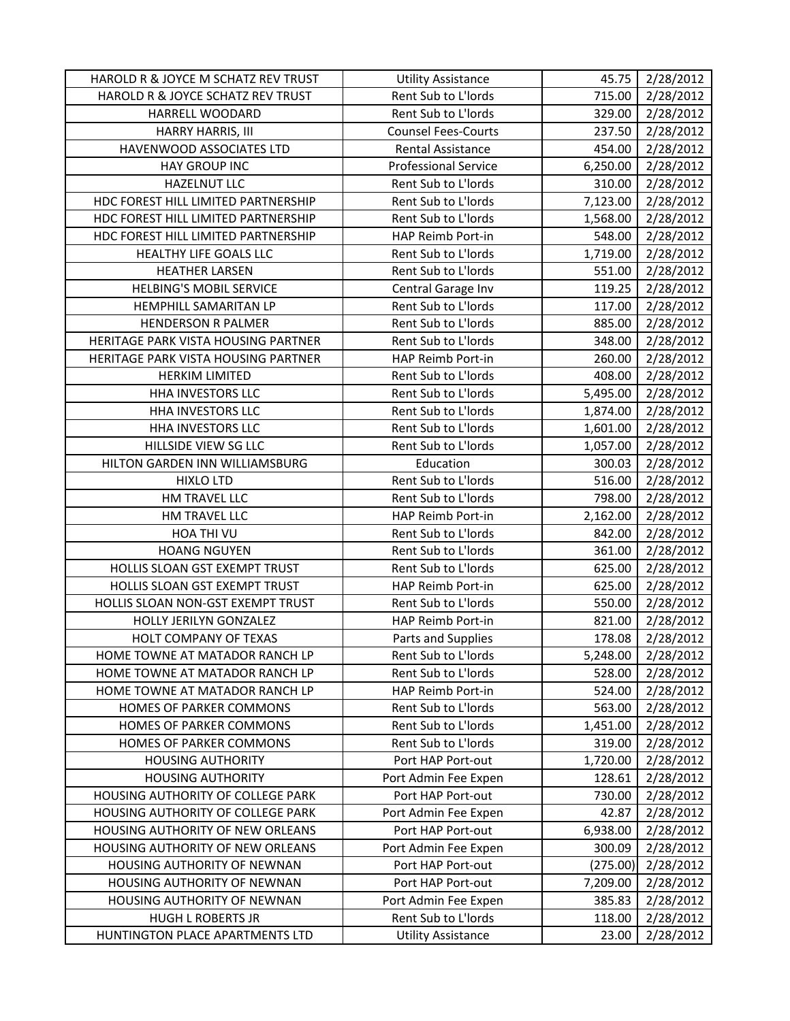| HAROLD R & JOYCE M SCHATZ REV TRUST | <b>Utility Assistance</b>   | 45.75    | 2/28/2012 |
|-------------------------------------|-----------------------------|----------|-----------|
| HAROLD R & JOYCE SCHATZ REV TRUST   | Rent Sub to L'Iords         | 715.00   | 2/28/2012 |
| HARRELL WOODARD                     | Rent Sub to L'Iords         | 329.00   | 2/28/2012 |
| HARRY HARRIS, III                   | <b>Counsel Fees-Courts</b>  | 237.50   | 2/28/2012 |
| HAVENWOOD ASSOCIATES LTD            | <b>Rental Assistance</b>    | 454.00   | 2/28/2012 |
| <b>HAY GROUP INC</b>                | <b>Professional Service</b> | 6,250.00 | 2/28/2012 |
| <b>HAZELNUT LLC</b>                 | Rent Sub to L'Iords         | 310.00   | 2/28/2012 |
| HDC FOREST HILL LIMITED PARTNERSHIP | Rent Sub to L'Iords         | 7,123.00 | 2/28/2012 |
| HDC FOREST HILL LIMITED PARTNERSHIP | Rent Sub to L'Iords         | 1,568.00 | 2/28/2012 |
| HDC FOREST HILL LIMITED PARTNERSHIP | HAP Reimb Port-in           | 548.00   | 2/28/2012 |
| HEALTHY LIFE GOALS LLC              | Rent Sub to L'Iords         | 1,719.00 | 2/28/2012 |
| <b>HEATHER LARSEN</b>               | Rent Sub to L'Iords         | 551.00   | 2/28/2012 |
| <b>HELBING'S MOBIL SERVICE</b>      | Central Garage Inv          | 119.25   | 2/28/2012 |
| HEMPHILL SAMARITAN LP               | Rent Sub to L'Iords         | 117.00   | 2/28/2012 |
| <b>HENDERSON R PALMER</b>           | Rent Sub to L'Iords         | 885.00   | 2/28/2012 |
| HERITAGE PARK VISTA HOUSING PARTNER | Rent Sub to L'Iords         | 348.00   | 2/28/2012 |
| HERITAGE PARK VISTA HOUSING PARTNER | HAP Reimb Port-in           | 260.00   | 2/28/2012 |
| <b>HERKIM LIMITED</b>               | Rent Sub to L'Iords         | 408.00   | 2/28/2012 |
| HHA INVESTORS LLC                   | Rent Sub to L'Iords         | 5,495.00 | 2/28/2012 |
| HHA INVESTORS LLC                   | Rent Sub to L'Iords         | 1,874.00 | 2/28/2012 |
| HHA INVESTORS LLC                   | Rent Sub to L'Iords         | 1,601.00 | 2/28/2012 |
| HILLSIDE VIEW SG LLC                | Rent Sub to L'Iords         | 1,057.00 | 2/28/2012 |
| HILTON GARDEN INN WILLIAMSBURG      | Education                   | 300.03   | 2/28/2012 |
| <b>HIXLO LTD</b>                    | Rent Sub to L'Iords         | 516.00   | 2/28/2012 |
| HM TRAVEL LLC                       | Rent Sub to L'Iords         | 798.00   | 2/28/2012 |
| HM TRAVEL LLC                       | HAP Reimb Port-in           | 2,162.00 | 2/28/2012 |
| HOA THI VU                          | Rent Sub to L'Iords         | 842.00   | 2/28/2012 |
| <b>HOANG NGUYEN</b>                 | Rent Sub to L'Iords         | 361.00   | 2/28/2012 |
| HOLLIS SLOAN GST EXEMPT TRUST       | Rent Sub to L'Iords         | 625.00   | 2/28/2012 |
| HOLLIS SLOAN GST EXEMPT TRUST       | HAP Reimb Port-in           | 625.00   | 2/28/2012 |
| HOLLIS SLOAN NON-GST EXEMPT TRUST   | Rent Sub to L'Iords         | 550.00   | 2/28/2012 |
| HOLLY JERILYN GONZALEZ              | HAP Reimb Port-in           | 821.00   | 2/28/2012 |
| <b>HOLT COMPANY OF TEXAS</b>        | Parts and Supplies          | 178.08   | 2/28/2012 |
| HOME TOWNE AT MATADOR RANCH LP      | Rent Sub to L'Iords         | 5,248.00 | 2/28/2012 |
| HOME TOWNE AT MATADOR RANCH LP      | Rent Sub to L'Iords         | 528.00   | 2/28/2012 |
| HOME TOWNE AT MATADOR RANCH LP      | HAP Reimb Port-in           | 524.00   | 2/28/2012 |
| HOMES OF PARKER COMMONS             | Rent Sub to L'Iords         | 563.00   | 2/28/2012 |
| HOMES OF PARKER COMMONS             | Rent Sub to L'Iords         | 1,451.00 | 2/28/2012 |
| HOMES OF PARKER COMMONS             | Rent Sub to L'Iords         | 319.00   | 2/28/2012 |
| <b>HOUSING AUTHORITY</b>            | Port HAP Port-out           | 1,720.00 | 2/28/2012 |
| <b>HOUSING AUTHORITY</b>            | Port Admin Fee Expen        | 128.61   | 2/28/2012 |
| HOUSING AUTHORITY OF COLLEGE PARK   | Port HAP Port-out           | 730.00   | 2/28/2012 |
| HOUSING AUTHORITY OF COLLEGE PARK   | Port Admin Fee Expen        | 42.87    | 2/28/2012 |
| HOUSING AUTHORITY OF NEW ORLEANS    | Port HAP Port-out           | 6,938.00 | 2/28/2012 |
| HOUSING AUTHORITY OF NEW ORLEANS    | Port Admin Fee Expen        | 300.09   | 2/28/2012 |
| HOUSING AUTHORITY OF NEWNAN         | Port HAP Port-out           | (275.00) | 2/28/2012 |
| HOUSING AUTHORITY OF NEWNAN         | Port HAP Port-out           | 7,209.00 | 2/28/2012 |
| HOUSING AUTHORITY OF NEWNAN         | Port Admin Fee Expen        | 385.83   | 2/28/2012 |
| <b>HUGH L ROBERTS JR</b>            | Rent Sub to L'Iords         | 118.00   | 2/28/2012 |
| HUNTINGTON PLACE APARTMENTS LTD     | <b>Utility Assistance</b>   | 23.00    | 2/28/2012 |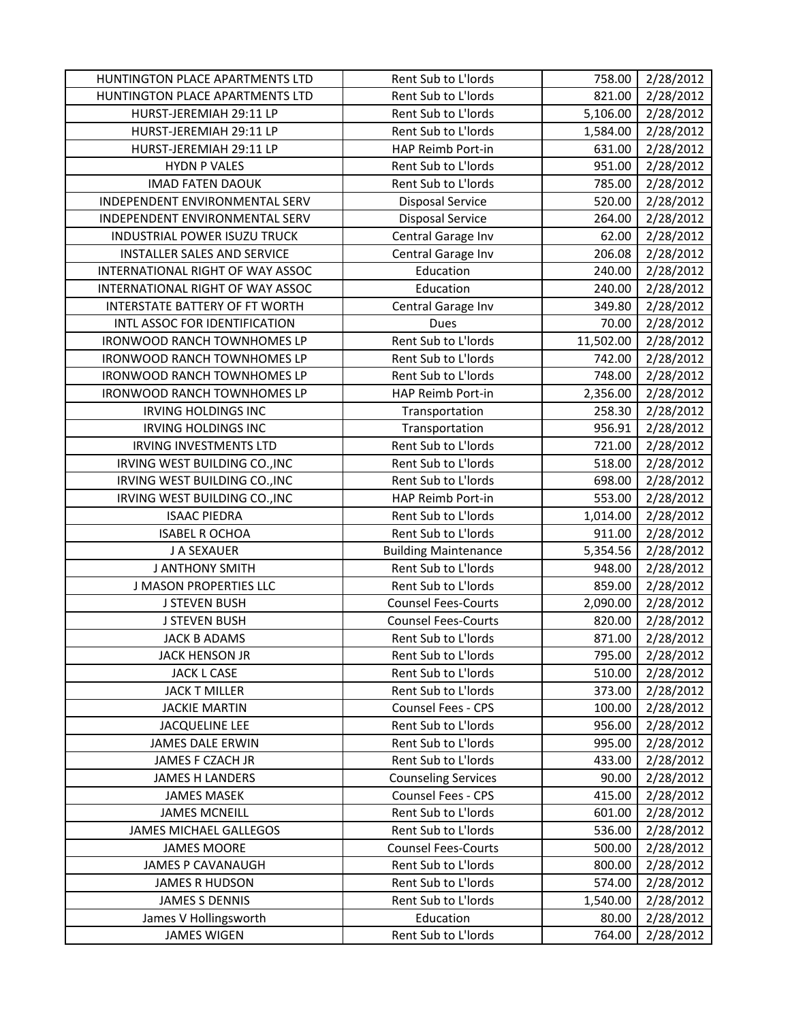| HUNTINGTON PLACE APARTMENTS LTD    | Rent Sub to L'Iords         | 758.00    | 2/28/2012 |
|------------------------------------|-----------------------------|-----------|-----------|
| HUNTINGTON PLACE APARTMENTS LTD    | Rent Sub to L'Iords         | 821.00    | 2/28/2012 |
| HURST-JEREMIAH 29:11 LP            | Rent Sub to L'Iords         | 5,106.00  | 2/28/2012 |
| HURST-JEREMIAH 29:11 LP            | Rent Sub to L'Iords         | 1,584.00  | 2/28/2012 |
| HURST-JEREMIAH 29:11 LP            | HAP Reimb Port-in           | 631.00    | 2/28/2012 |
| <b>HYDN P VALES</b>                | Rent Sub to L'Iords         | 951.00    | 2/28/2012 |
| <b>IMAD FATEN DAOUK</b>            | Rent Sub to L'Iords         | 785.00    | 2/28/2012 |
| INDEPENDENT ENVIRONMENTAL SERV     | <b>Disposal Service</b>     | 520.00    | 2/28/2012 |
| INDEPENDENT ENVIRONMENTAL SERV     | <b>Disposal Service</b>     | 264.00    | 2/28/2012 |
| INDUSTRIAL POWER ISUZU TRUCK       | Central Garage Inv          | 62.00     | 2/28/2012 |
| <b>INSTALLER SALES AND SERVICE</b> | Central Garage Inv          | 206.08    | 2/28/2012 |
| INTERNATIONAL RIGHT OF WAY ASSOC   | Education                   | 240.00    | 2/28/2012 |
| INTERNATIONAL RIGHT OF WAY ASSOC   | Education                   | 240.00    | 2/28/2012 |
| INTERSTATE BATTERY OF FT WORTH     | Central Garage Inv          | 349.80    | 2/28/2012 |
| INTL ASSOC FOR IDENTIFICATION      | Dues                        | 70.00     | 2/28/2012 |
| <b>IRONWOOD RANCH TOWNHOMES LP</b> | Rent Sub to L'Iords         | 11,502.00 | 2/28/2012 |
| <b>IRONWOOD RANCH TOWNHOMES LP</b> | Rent Sub to L'Iords         | 742.00    | 2/28/2012 |
| <b>IRONWOOD RANCH TOWNHOMES LP</b> | Rent Sub to L'Iords         | 748.00    | 2/28/2012 |
| <b>IRONWOOD RANCH TOWNHOMES LP</b> | HAP Reimb Port-in           | 2,356.00  | 2/28/2012 |
| <b>IRVING HOLDINGS INC</b>         | Transportation              | 258.30    | 2/28/2012 |
| <b>IRVING HOLDINGS INC</b>         | Transportation              | 956.91    | 2/28/2012 |
| <b>IRVING INVESTMENTS LTD</b>      | Rent Sub to L'Iords         | 721.00    | 2/28/2012 |
| IRVING WEST BUILDING CO., INC      | Rent Sub to L'Iords         | 518.00    | 2/28/2012 |
| IRVING WEST BUILDING CO., INC      | Rent Sub to L'Iords         | 698.00    | 2/28/2012 |
| IRVING WEST BUILDING CO., INC      | HAP Reimb Port-in           | 553.00    | 2/28/2012 |
| <b>ISAAC PIEDRA</b>                | Rent Sub to L'Iords         | 1,014.00  | 2/28/2012 |
| <b>ISABEL R OCHOA</b>              | Rent Sub to L'Iords         | 911.00    | 2/28/2012 |
| J A SEXAUER                        | <b>Building Maintenance</b> | 5,354.56  | 2/28/2012 |
| <b>J ANTHONY SMITH</b>             | Rent Sub to L'Iords         | 948.00    | 2/28/2012 |
| <b>J MASON PROPERTIES LLC</b>      | Rent Sub to L'Iords         | 859.00    | 2/28/2012 |
| <b>J STEVEN BUSH</b>               | <b>Counsel Fees-Courts</b>  | 2,090.00  | 2/28/2012 |
| <b>J STEVEN BUSH</b>               | <b>Counsel Fees-Courts</b>  | 820.00    | 2/28/2012 |
| <b>JACK B ADAMS</b>                | Rent Sub to L'Iords         | 871.00    | 2/28/2012 |
| JACK HENSON JR                     | Rent Sub to L'Iords         | 795.00    | 2/28/2012 |
| <b>JACK L CASE</b>                 | Rent Sub to L'Iords         | 510.00    | 2/28/2012 |
| <b>JACK T MILLER</b>               | Rent Sub to L'Iords         | 373.00    | 2/28/2012 |
| <b>JACKIE MARTIN</b>               | Counsel Fees - CPS          | 100.00    | 2/28/2012 |
| <b>JACQUELINE LEE</b>              | Rent Sub to L'Iords         | 956.00    | 2/28/2012 |
| <b>JAMES DALE ERWIN</b>            | Rent Sub to L'Iords         | 995.00    | 2/28/2012 |
| JAMES F CZACH JR                   | Rent Sub to L'Iords         | 433.00    | 2/28/2012 |
| <b>JAMES H LANDERS</b>             | <b>Counseling Services</b>  | 90.00     | 2/28/2012 |
| <b>JAMES MASEK</b>                 | Counsel Fees - CPS          | 415.00    | 2/28/2012 |
| <b>JAMES MCNEILL</b>               | Rent Sub to L'Iords         | 601.00    | 2/28/2012 |
| <b>JAMES MICHAEL GALLEGOS</b>      | Rent Sub to L'Iords         | 536.00    | 2/28/2012 |
| <b>JAMES MOORE</b>                 | <b>Counsel Fees-Courts</b>  | 500.00    | 2/28/2012 |
| <b>JAMES P CAVANAUGH</b>           | Rent Sub to L'Iords         | 800.00    | 2/28/2012 |
| <b>JAMES R HUDSON</b>              | Rent Sub to L'Iords         | 574.00    | 2/28/2012 |
| <b>JAMES S DENNIS</b>              | Rent Sub to L'Iords         | 1,540.00  | 2/28/2012 |
| James V Hollingsworth              | Education                   | 80.00     | 2/28/2012 |
| <b>JAMES WIGEN</b>                 | Rent Sub to L'Iords         | 764.00    | 2/28/2012 |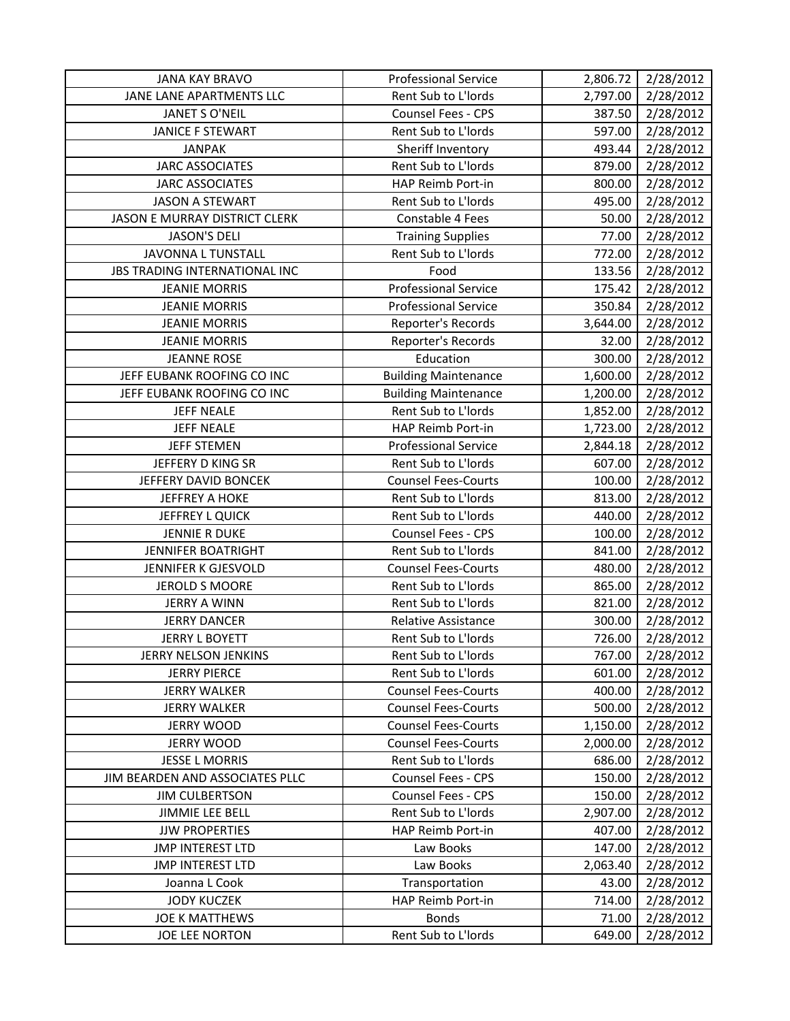| <b>JANA KAY BRAVO</b>           | <b>Professional Service</b> | 2,806.72 | 2/28/2012 |
|---------------------------------|-----------------------------|----------|-----------|
| JANE LANE APARTMENTS LLC        | Rent Sub to L'Iords         | 2,797.00 | 2/28/2012 |
| JANET S O'NEIL                  | Counsel Fees - CPS          | 387.50   | 2/28/2012 |
| <b>JANICE F STEWART</b>         | Rent Sub to L'Iords         | 597.00   | 2/28/2012 |
| <b>JANPAK</b>                   | Sheriff Inventory           | 493.44   | 2/28/2012 |
| <b>JARC ASSOCIATES</b>          | Rent Sub to L'Iords         | 879.00   | 2/28/2012 |
| <b>JARC ASSOCIATES</b>          | HAP Reimb Port-in           | 800.00   | 2/28/2012 |
| <b>JASON A STEWART</b>          | Rent Sub to L'Iords         | 495.00   | 2/28/2012 |
| JASON E MURRAY DISTRICT CLERK   | Constable 4 Fees            | 50.00    | 2/28/2012 |
| <b>JASON'S DELI</b>             | <b>Training Supplies</b>    | 77.00    | 2/28/2012 |
| JAVONNA L TUNSTALL              | Rent Sub to L'Iords         | 772.00   | 2/28/2012 |
| JBS TRADING INTERNATIONAL INC   | Food                        | 133.56   | 2/28/2012 |
| <b>JEANIE MORRIS</b>            | <b>Professional Service</b> | 175.42   | 2/28/2012 |
| <b>JEANIE MORRIS</b>            | <b>Professional Service</b> | 350.84   | 2/28/2012 |
| <b>JEANIE MORRIS</b>            | Reporter's Records          | 3,644.00 | 2/28/2012 |
| <b>JEANIE MORRIS</b>            | Reporter's Records          | 32.00    | 2/28/2012 |
| <b>JEANNE ROSE</b>              | Education                   | 300.00   | 2/28/2012 |
| JEFF EUBANK ROOFING CO INC      | <b>Building Maintenance</b> | 1,600.00 | 2/28/2012 |
| JEFF EUBANK ROOFING CO INC      | <b>Building Maintenance</b> | 1,200.00 | 2/28/2012 |
| <b>JEFF NEALE</b>               | Rent Sub to L'Iords         | 1,852.00 | 2/28/2012 |
| <b>JEFF NEALE</b>               | HAP Reimb Port-in           | 1,723.00 | 2/28/2012 |
| <b>JEFF STEMEN</b>              | <b>Professional Service</b> | 2,844.18 | 2/28/2012 |
| JEFFERY D KING SR               | Rent Sub to L'Iords         | 607.00   | 2/28/2012 |
| JEFFERY DAVID BONCEK            | <b>Counsel Fees-Courts</b>  | 100.00   | 2/28/2012 |
| <b>JEFFREY A HOKE</b>           | Rent Sub to L'Iords         | 813.00   | 2/28/2012 |
| JEFFREY L QUICK                 | Rent Sub to L'Iords         | 440.00   | 2/28/2012 |
| <b>JENNIE R DUKE</b>            | <b>Counsel Fees - CPS</b>   | 100.00   | 2/28/2012 |
| <b>JENNIFER BOATRIGHT</b>       | Rent Sub to L'Iords         | 841.00   | 2/28/2012 |
| JENNIFER K GJESVOLD             | <b>Counsel Fees-Courts</b>  | 480.00   | 2/28/2012 |
| <b>JEROLD S MOORE</b>           | Rent Sub to L'Iords         | 865.00   | 2/28/2012 |
| <b>JERRY A WINN</b>             | Rent Sub to L'Iords         | 821.00   | 2/28/2012 |
| <b>JERRY DANCER</b>             | <b>Relative Assistance</b>  | 300.00   | 2/28/2012 |
| <b>JERRY L BOYETT</b>           | Rent Sub to L'Iords         | 726.00   | 2/28/2012 |
| JERRY NELSON JENKINS            | Rent Sub to L'Iords         | 767.00   | 2/28/2012 |
| <b>JERRY PIERCE</b>             | Rent Sub to L'Iords         | 601.00   | 2/28/2012 |
| <b>JERRY WALKER</b>             | <b>Counsel Fees-Courts</b>  | 400.00   | 2/28/2012 |
| <b>JERRY WALKER</b>             | <b>Counsel Fees-Courts</b>  | 500.00   | 2/28/2012 |
| <b>JERRY WOOD</b>               | <b>Counsel Fees-Courts</b>  | 1,150.00 | 2/28/2012 |
| <b>JERRY WOOD</b>               | <b>Counsel Fees-Courts</b>  | 2,000.00 | 2/28/2012 |
| <b>JESSE L MORRIS</b>           | Rent Sub to L'Iords         | 686.00   | 2/28/2012 |
| JIM BEARDEN AND ASSOCIATES PLLC | Counsel Fees - CPS          | 150.00   | 2/28/2012 |
| <b>JIM CULBERTSON</b>           | <b>Counsel Fees - CPS</b>   | 150.00   | 2/28/2012 |
| <b>JIMMIE LEE BELL</b>          | Rent Sub to L'Iords         | 2,907.00 | 2/28/2012 |
| <b>JJW PROPERTIES</b>           | HAP Reimb Port-in           | 407.00   | 2/28/2012 |
| <b>JMP INTEREST LTD</b>         | Law Books                   | 147.00   | 2/28/2012 |
| <b>JMP INTEREST LTD</b>         | Law Books                   | 2,063.40 | 2/28/2012 |
| Joanna L Cook                   | Transportation              | 43.00    | 2/28/2012 |
| <b>JODY KUCZEK</b>              | HAP Reimb Port-in           | 714.00   | 2/28/2012 |
| <b>JOE K MATTHEWS</b>           | <b>Bonds</b>                | 71.00    | 2/28/2012 |
| JOE LEE NORTON                  | Rent Sub to L'Iords         | 649.00   | 2/28/2012 |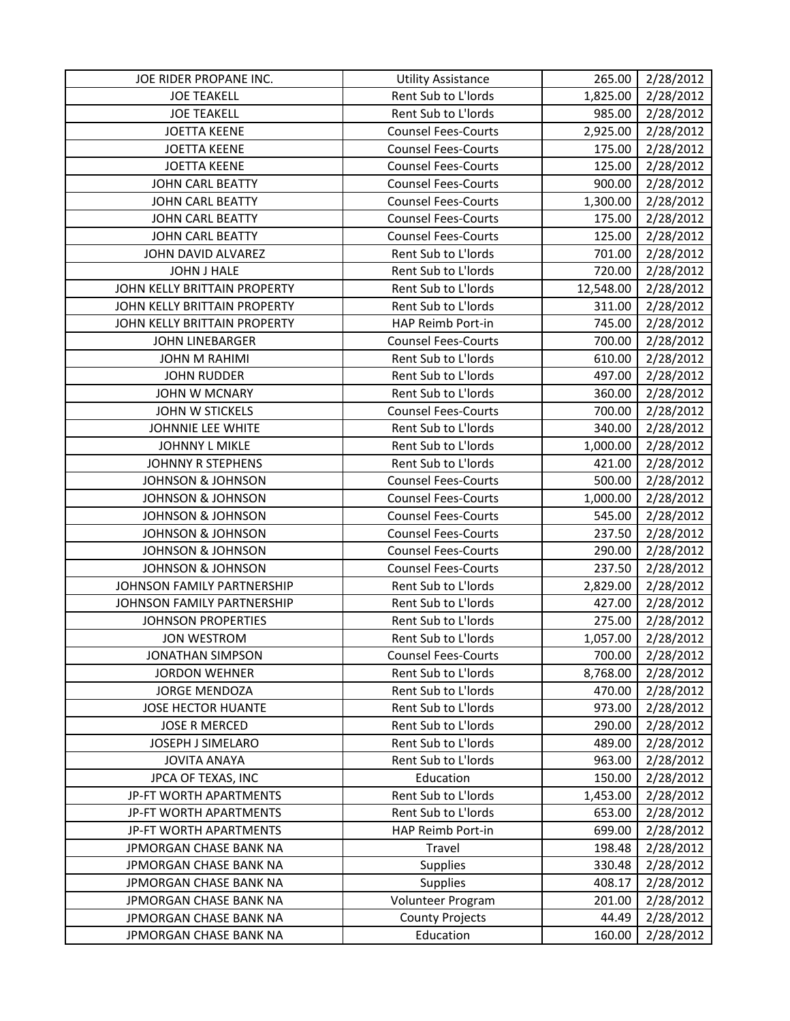| JOE RIDER PROPANE INC.       | <b>Utility Assistance</b>  | 265.00    | 2/28/2012 |
|------------------------------|----------------------------|-----------|-----------|
| <b>JOE TEAKELL</b>           | Rent Sub to L'Iords        | 1,825.00  | 2/28/2012 |
| <b>JOE TEAKELL</b>           | Rent Sub to L'Iords        | 985.00    | 2/28/2012 |
| <b>JOETTA KEENE</b>          | <b>Counsel Fees-Courts</b> | 2,925.00  | 2/28/2012 |
| <b>JOETTA KEENE</b>          | <b>Counsel Fees-Courts</b> | 175.00    | 2/28/2012 |
| <b>JOETTA KEENE</b>          | <b>Counsel Fees-Courts</b> | 125.00    | 2/28/2012 |
| <b>JOHN CARL BEATTY</b>      | <b>Counsel Fees-Courts</b> | 900.00    | 2/28/2012 |
| <b>JOHN CARL BEATTY</b>      | <b>Counsel Fees-Courts</b> | 1,300.00  | 2/28/2012 |
| <b>JOHN CARL BEATTY</b>      | <b>Counsel Fees-Courts</b> | 175.00    | 2/28/2012 |
| <b>JOHN CARL BEATTY</b>      | <b>Counsel Fees-Courts</b> | 125.00    | 2/28/2012 |
| JOHN DAVID ALVAREZ           | Rent Sub to L'Iords        | 701.00    | 2/28/2012 |
| <b>JOHN J HALE</b>           | Rent Sub to L'Iords        | 720.00    | 2/28/2012 |
| JOHN KELLY BRITTAIN PROPERTY | Rent Sub to L'Iords        | 12,548.00 | 2/28/2012 |
| JOHN KELLY BRITTAIN PROPERTY | Rent Sub to L'Iords        | 311.00    | 2/28/2012 |
| JOHN KELLY BRITTAIN PROPERTY | HAP Reimb Port-in          | 745.00    | 2/28/2012 |
| <b>JOHN LINEBARGER</b>       | <b>Counsel Fees-Courts</b> | 700.00    | 2/28/2012 |
| <b>JOHN M RAHIMI</b>         | Rent Sub to L'Iords        | 610.00    | 2/28/2012 |
| <b>JOHN RUDDER</b>           | Rent Sub to L'Iords        | 497.00    | 2/28/2012 |
| <b>JOHN W MCNARY</b>         | Rent Sub to L'Iords        | 360.00    | 2/28/2012 |
| <b>JOHN W STICKELS</b>       | <b>Counsel Fees-Courts</b> | 700.00    | 2/28/2012 |
| JOHNNIE LEE WHITE            | Rent Sub to L'Iords        | 340.00    | 2/28/2012 |
| <b>JOHNNY L MIKLE</b>        | Rent Sub to L'Iords        | 1,000.00  | 2/28/2012 |
| <b>JOHNNY R STEPHENS</b>     | Rent Sub to L'Iords        | 421.00    | 2/28/2012 |
| <b>JOHNSON &amp; JOHNSON</b> | <b>Counsel Fees-Courts</b> | 500.00    | 2/28/2012 |
| <b>JOHNSON &amp; JOHNSON</b> | <b>Counsel Fees-Courts</b> | 1,000.00  | 2/28/2012 |
| <b>JOHNSON &amp; JOHNSON</b> | <b>Counsel Fees-Courts</b> | 545.00    | 2/28/2012 |
| <b>JOHNSON &amp; JOHNSON</b> | <b>Counsel Fees-Courts</b> | 237.50    | 2/28/2012 |
| <b>JOHNSON &amp; JOHNSON</b> | <b>Counsel Fees-Courts</b> | 290.00    | 2/28/2012 |
| <b>JOHNSON &amp; JOHNSON</b> | <b>Counsel Fees-Courts</b> | 237.50    | 2/28/2012 |
| JOHNSON FAMILY PARTNERSHIP   | Rent Sub to L'Iords        | 2,829.00  | 2/28/2012 |
| JOHNSON FAMILY PARTNERSHIP   | Rent Sub to L'Iords        | 427.00    | 2/28/2012 |
| <b>JOHNSON PROPERTIES</b>    | Rent Sub to L'Iords        | 275.00    | 2/28/2012 |
| <b>JON WESTROM</b>           | Rent Sub to L'Iords        | 1,057.00  | 2/28/2012 |
| <b>JONATHAN SIMPSON</b>      | <b>Counsel Fees-Courts</b> | 700.00    | 2/28/2012 |
| <b>JORDON WEHNER</b>         | Rent Sub to L'Iords        | 8,768.00  | 2/28/2012 |
| <b>JORGE MENDOZA</b>         | Rent Sub to L'Iords        | 470.00    | 2/28/2012 |
| <b>JOSE HECTOR HUANTE</b>    | Rent Sub to L'Iords        | 973.00    | 2/28/2012 |
| <b>JOSE R MERCED</b>         | Rent Sub to L'Iords        | 290.00    | 2/28/2012 |
| JOSEPH J SIMELARO            | Rent Sub to L'Iords        | 489.00    | 2/28/2012 |
| <b>JOVITA ANAYA</b>          | Rent Sub to L'Iords        | 963.00    | 2/28/2012 |
| JPCA OF TEXAS, INC           | Education                  | 150.00    | 2/28/2012 |
| JP-FT WORTH APARTMENTS       | Rent Sub to L'Iords        | 1,453.00  | 2/28/2012 |
| JP-FT WORTH APARTMENTS       | Rent Sub to L'Iords        | 653.00    | 2/28/2012 |
| JP-FT WORTH APARTMENTS       | HAP Reimb Port-in          | 699.00    | 2/28/2012 |
| JPMORGAN CHASE BANK NA       | Travel                     | 198.48    | 2/28/2012 |
| JPMORGAN CHASE BANK NA       | <b>Supplies</b>            | 330.48    | 2/28/2012 |
| JPMORGAN CHASE BANK NA       | <b>Supplies</b>            | 408.17    | 2/28/2012 |
| JPMORGAN CHASE BANK NA       | Volunteer Program          | 201.00    | 2/28/2012 |
| JPMORGAN CHASE BANK NA       | <b>County Projects</b>     | 44.49     | 2/28/2012 |
| JPMORGAN CHASE BANK NA       | Education                  | 160.00    | 2/28/2012 |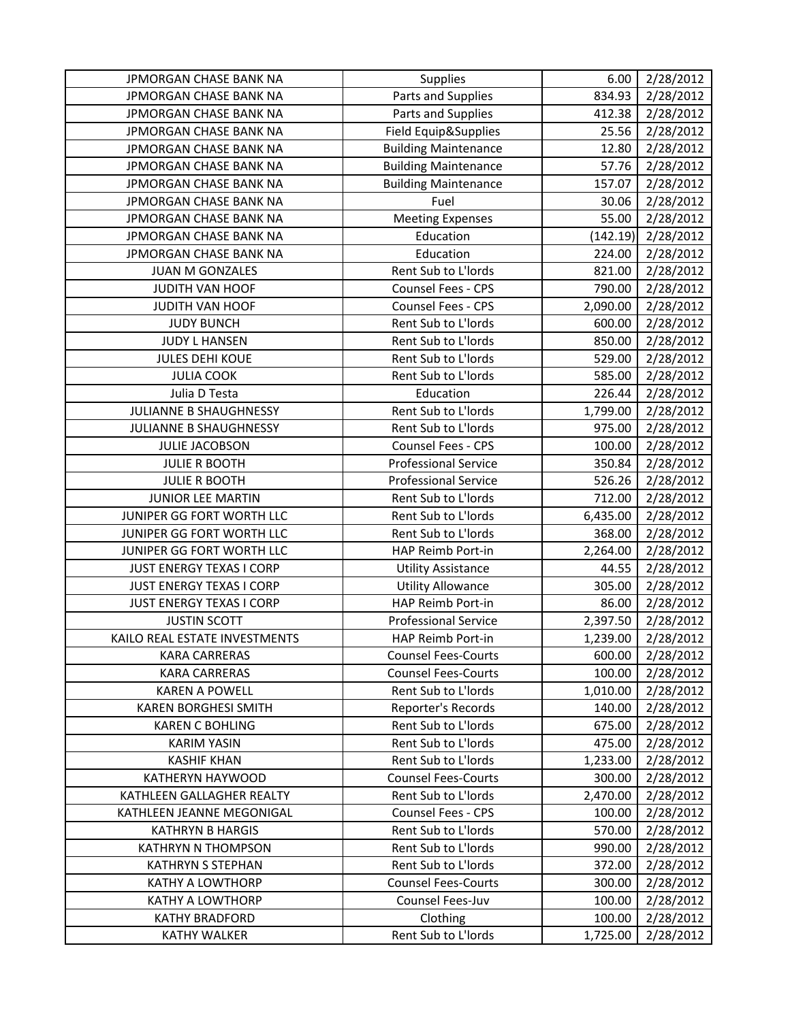| JPMORGAN CHASE BANK NA          | Supplies                    | 6.00     | 2/28/2012 |
|---------------------------------|-----------------------------|----------|-----------|
| JPMORGAN CHASE BANK NA          | Parts and Supplies          | 834.93   | 2/28/2012 |
| JPMORGAN CHASE BANK NA          | Parts and Supplies          | 412.38   | 2/28/2012 |
| JPMORGAN CHASE BANK NA          | Field Equip&Supplies        | 25.56    | 2/28/2012 |
| JPMORGAN CHASE BANK NA          | <b>Building Maintenance</b> | 12.80    | 2/28/2012 |
| JPMORGAN CHASE BANK NA          | <b>Building Maintenance</b> | 57.76    | 2/28/2012 |
| JPMORGAN CHASE BANK NA          | <b>Building Maintenance</b> | 157.07   | 2/28/2012 |
| JPMORGAN CHASE BANK NA          | Fuel                        | 30.06    | 2/28/2012 |
| JPMORGAN CHASE BANK NA          | <b>Meeting Expenses</b>     | 55.00    | 2/28/2012 |
| JPMORGAN CHASE BANK NA          | Education                   | (142.19) | 2/28/2012 |
| JPMORGAN CHASE BANK NA          | Education                   | 224.00   | 2/28/2012 |
| JUAN M GONZALES                 | Rent Sub to L'Iords         | 821.00   | 2/28/2012 |
| JUDITH VAN HOOF                 | Counsel Fees - CPS          | 790.00   | 2/28/2012 |
| JUDITH VAN HOOF                 | Counsel Fees - CPS          | 2,090.00 | 2/28/2012 |
| <b>JUDY BUNCH</b>               | Rent Sub to L'Iords         | 600.00   | 2/28/2012 |
| <b>JUDY L HANSEN</b>            | Rent Sub to L'Iords         | 850.00   | 2/28/2012 |
| <b>JULES DEHI KOUE</b>          | Rent Sub to L'Iords         | 529.00   | 2/28/2012 |
| <b>JULIA COOK</b>               | Rent Sub to L'Iords         | 585.00   | 2/28/2012 |
| Julia D Testa                   | Education                   | 226.44   | 2/28/2012 |
| JULIANNE B SHAUGHNESSY          | Rent Sub to L'Iords         | 1,799.00 | 2/28/2012 |
| JULIANNE B SHAUGHNESSY          | Rent Sub to L'Iords         | 975.00   | 2/28/2012 |
| <b>JULIE JACOBSON</b>           | Counsel Fees - CPS          | 100.00   | 2/28/2012 |
| <b>JULIE R BOOTH</b>            | <b>Professional Service</b> | 350.84   | 2/28/2012 |
| <b>JULIE R BOOTH</b>            | <b>Professional Service</b> | 526.26   | 2/28/2012 |
| JUNIOR LEE MARTIN               | Rent Sub to L'Iords         | 712.00   | 2/28/2012 |
| JUNIPER GG FORT WORTH LLC       | Rent Sub to L'Iords         | 6,435.00 | 2/28/2012 |
| JUNIPER GG FORT WORTH LLC       | Rent Sub to L'Iords         | 368.00   | 2/28/2012 |
| JUNIPER GG FORT WORTH LLC       | HAP Reimb Port-in           | 2,264.00 | 2/28/2012 |
| JUST ENERGY TEXAS I CORP        | <b>Utility Assistance</b>   | 44.55    | 2/28/2012 |
| JUST ENERGY TEXAS I CORP        | <b>Utility Allowance</b>    | 305.00   | 2/28/2012 |
| <b>JUST ENERGY TEXAS I CORP</b> | HAP Reimb Port-in           | 86.00    | 2/28/2012 |
| <b>JUSTIN SCOTT</b>             | <b>Professional Service</b> | 2,397.50 | 2/28/2012 |
| KAILO REAL ESTATE INVESTMENTS   | HAP Reimb Port-in           | 1,239.00 | 2/28/2012 |
| <b>KARA CARRERAS</b>            | <b>Counsel Fees-Courts</b>  | 600.00   | 2/28/2012 |
| <b>KARA CARRERAS</b>            | <b>Counsel Fees-Courts</b>  | 100.00   | 2/28/2012 |
| <b>KAREN A POWELL</b>           | Rent Sub to L'Iords         | 1,010.00 | 2/28/2012 |
| <b>KAREN BORGHESI SMITH</b>     | Reporter's Records          | 140.00   | 2/28/2012 |
| <b>KAREN C BOHLING</b>          | Rent Sub to L'Iords         | 675.00   | 2/28/2012 |
| <b>KARIM YASIN</b>              | Rent Sub to L'Iords         | 475.00   | 2/28/2012 |
| <b>KASHIF KHAN</b>              | Rent Sub to L'Iords         | 1,233.00 | 2/28/2012 |
| KATHERYN HAYWOOD                | <b>Counsel Fees-Courts</b>  | 300.00   | 2/28/2012 |
| KATHLEEN GALLAGHER REALTY       | Rent Sub to L'Iords         | 2,470.00 | 2/28/2012 |
| KATHLEEN JEANNE MEGONIGAL       | <b>Counsel Fees - CPS</b>   | 100.00   | 2/28/2012 |
| <b>KATHRYN B HARGIS</b>         | Rent Sub to L'Iords         | 570.00   | 2/28/2012 |
| <b>KATHRYN N THOMPSON</b>       | Rent Sub to L'Iords         | 990.00   | 2/28/2012 |
| <b>KATHRYN S STEPHAN</b>        | Rent Sub to L'Iords         | 372.00   | 2/28/2012 |
| <b>KATHY A LOWTHORP</b>         | <b>Counsel Fees-Courts</b>  | 300.00   | 2/28/2012 |
| <b>KATHY A LOWTHORP</b>         | Counsel Fees-Juv            | 100.00   | 2/28/2012 |
| <b>KATHY BRADFORD</b>           | Clothing                    | 100.00   | 2/28/2012 |
| <b>KATHY WALKER</b>             | Rent Sub to L'Iords         | 1,725.00 | 2/28/2012 |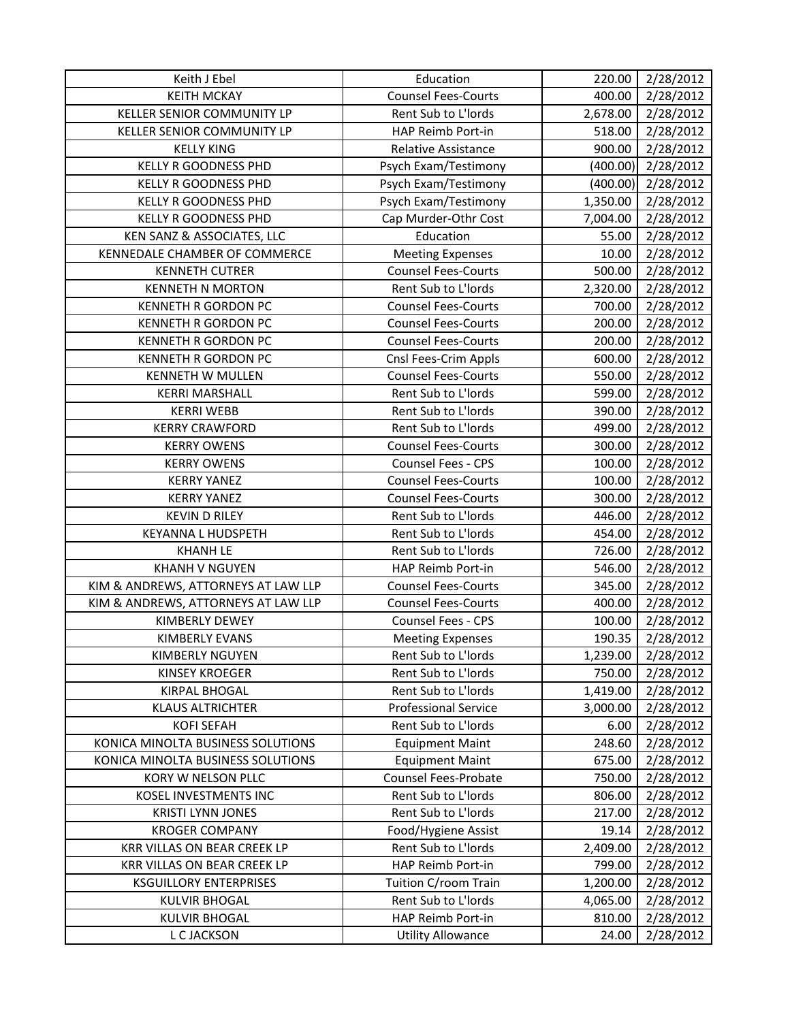| Keith J Ebel                        | Education                   | 220.00   | 2/28/2012 |
|-------------------------------------|-----------------------------|----------|-----------|
| <b>KEITH MCKAY</b>                  | <b>Counsel Fees-Courts</b>  | 400.00   | 2/28/2012 |
| KELLER SENIOR COMMUNITY LP          | Rent Sub to L'Iords         | 2,678.00 | 2/28/2012 |
| KELLER SENIOR COMMUNITY LP          | HAP Reimb Port-in           | 518.00   | 2/28/2012 |
| <b>KELLY KING</b>                   | <b>Relative Assistance</b>  | 900.00   | 2/28/2012 |
| <b>KELLY R GOODNESS PHD</b>         | Psych Exam/Testimony        | (400.00) | 2/28/2012 |
| <b>KELLY R GOODNESS PHD</b>         | Psych Exam/Testimony        | (400.00) | 2/28/2012 |
| <b>KELLY R GOODNESS PHD</b>         | Psych Exam/Testimony        | 1,350.00 | 2/28/2012 |
| <b>KELLY R GOODNESS PHD</b>         | Cap Murder-Othr Cost        | 7,004.00 | 2/28/2012 |
| KEN SANZ & ASSOCIATES, LLC          | Education                   | 55.00    | 2/28/2012 |
| KENNEDALE CHAMBER OF COMMERCE       | <b>Meeting Expenses</b>     | 10.00    | 2/28/2012 |
| <b>KENNETH CUTRER</b>               | <b>Counsel Fees-Courts</b>  | 500.00   | 2/28/2012 |
| <b>KENNETH N MORTON</b>             | Rent Sub to L'Iords         | 2,320.00 | 2/28/2012 |
| <b>KENNETH R GORDON PC</b>          | <b>Counsel Fees-Courts</b>  | 700.00   | 2/28/2012 |
| <b>KENNETH R GORDON PC</b>          | <b>Counsel Fees-Courts</b>  | 200.00   | 2/28/2012 |
| <b>KENNETH R GORDON PC</b>          | <b>Counsel Fees-Courts</b>  | 200.00   | 2/28/2012 |
| KENNETH R GORDON PC                 | Cnsl Fees-Crim Appls        | 600.00   | 2/28/2012 |
| <b>KENNETH W MULLEN</b>             | <b>Counsel Fees-Courts</b>  | 550.00   | 2/28/2012 |
| <b>KERRI MARSHALL</b>               | Rent Sub to L'Iords         | 599.00   | 2/28/2012 |
| <b>KERRI WEBB</b>                   | Rent Sub to L'Iords         | 390.00   | 2/28/2012 |
| <b>KERRY CRAWFORD</b>               | Rent Sub to L'Iords         | 499.00   | 2/28/2012 |
| <b>KERRY OWENS</b>                  | <b>Counsel Fees-Courts</b>  | 300.00   | 2/28/2012 |
| <b>KERRY OWENS</b>                  | Counsel Fees - CPS          | 100.00   | 2/28/2012 |
| <b>KERRY YANEZ</b>                  | <b>Counsel Fees-Courts</b>  | 100.00   | 2/28/2012 |
| <b>KERRY YANEZ</b>                  | <b>Counsel Fees-Courts</b>  | 300.00   | 2/28/2012 |
| <b>KEVIN D RILEY</b>                | Rent Sub to L'Iords         | 446.00   | 2/28/2012 |
| KEYANNA L HUDSPETH                  | Rent Sub to L'Iords         | 454.00   | 2/28/2012 |
| <b>KHANH LE</b>                     | Rent Sub to L'Iords         | 726.00   | 2/28/2012 |
| <b>KHANH V NGUYEN</b>               | HAP Reimb Port-in           | 546.00   | 2/28/2012 |
| KIM & ANDREWS, ATTORNEYS AT LAW LLP | <b>Counsel Fees-Courts</b>  | 345.00   | 2/28/2012 |
| KIM & ANDREWS, ATTORNEYS AT LAW LLP | <b>Counsel Fees-Courts</b>  | 400.00   | 2/28/2012 |
| <b>KIMBERLY DEWEY</b>               | Counsel Fees - CPS          | 100.00   | 2/28/2012 |
| <b>KIMBERLY EVANS</b>               | <b>Meeting Expenses</b>     | 190.35   | 2/28/2012 |
| <b>KIMBERLY NGUYEN</b>              | Rent Sub to L'Iords         | 1,239.00 | 2/28/2012 |
| <b>KINSEY KROEGER</b>               | Rent Sub to L'Iords         | 750.00   | 2/28/2012 |
| <b>KIRPAL BHOGAL</b>                | Rent Sub to L'Iords         | 1,419.00 | 2/28/2012 |
| <b>KLAUS ALTRICHTER</b>             | <b>Professional Service</b> | 3,000.00 | 2/28/2012 |
| <b>KOFI SEFAH</b>                   | Rent Sub to L'Iords         | 6.00     | 2/28/2012 |
| KONICA MINOLTA BUSINESS SOLUTIONS   | <b>Equipment Maint</b>      | 248.60   | 2/28/2012 |
| KONICA MINOLTA BUSINESS SOLUTIONS   | <b>Equipment Maint</b>      | 675.00   | 2/28/2012 |
| KORY W NELSON PLLC                  | Counsel Fees-Probate        | 750.00   | 2/28/2012 |
| KOSEL INVESTMENTS INC               | Rent Sub to L'Iords         | 806.00   | 2/28/2012 |
| <b>KRISTI LYNN JONES</b>            | Rent Sub to L'Iords         | 217.00   | 2/28/2012 |
| <b>KROGER COMPANY</b>               | Food/Hygiene Assist         | 19.14    | 2/28/2012 |
| KRR VILLAS ON BEAR CREEK LP         | Rent Sub to L'Iords         | 2,409.00 | 2/28/2012 |
| KRR VILLAS ON BEAR CREEK LP         | HAP Reimb Port-in           | 799.00   | 2/28/2012 |
| <b>KSGUILLORY ENTERPRISES</b>       | Tuition C/room Train        | 1,200.00 | 2/28/2012 |
| <b>KULVIR BHOGAL</b>                | Rent Sub to L'Iords         | 4,065.00 | 2/28/2012 |
| <b>KULVIR BHOGAL</b>                | HAP Reimb Port-in           | 810.00   | 2/28/2012 |
| L C JACKSON                         | <b>Utility Allowance</b>    | 24.00    | 2/28/2012 |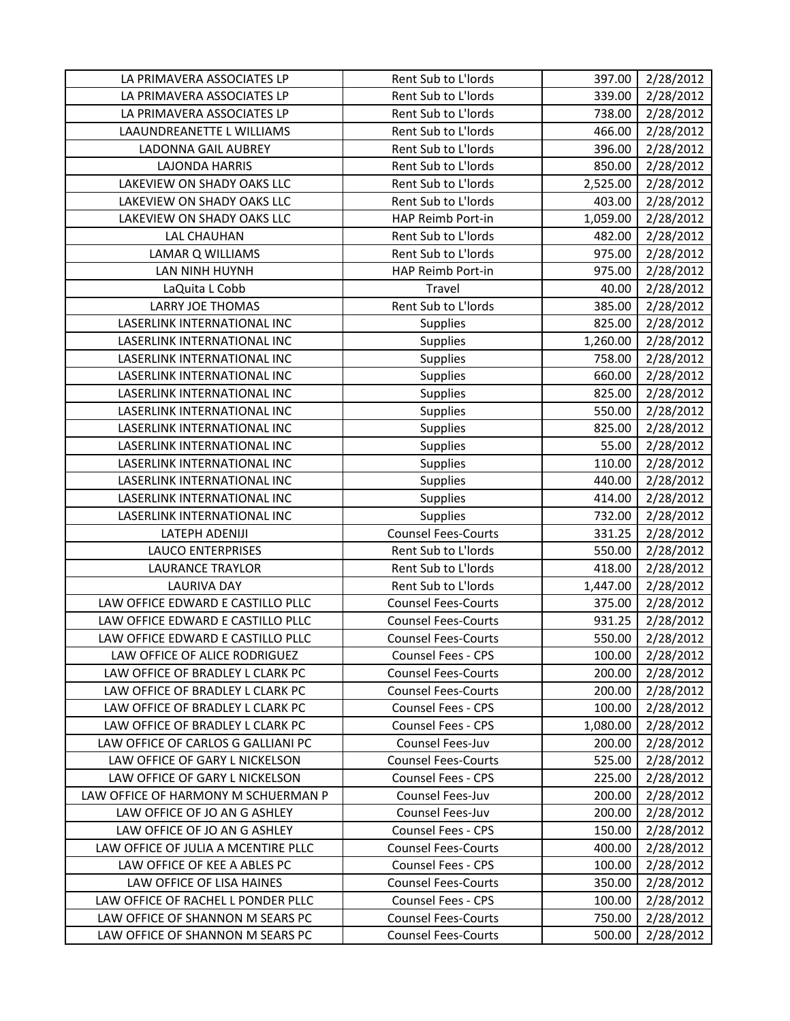| LA PRIMAVERA ASSOCIATES LP          | Rent Sub to L'Iords        | 397.00   | 2/28/2012 |
|-------------------------------------|----------------------------|----------|-----------|
| LA PRIMAVERA ASSOCIATES LP          | Rent Sub to L'Iords        | 339.00   | 2/28/2012 |
| LA PRIMAVERA ASSOCIATES LP          | Rent Sub to L'Iords        | 738.00   | 2/28/2012 |
| LAAUNDREANETTE L WILLIAMS           | Rent Sub to L'Iords        | 466.00   | 2/28/2012 |
| LADONNA GAIL AUBREY                 | Rent Sub to L'Iords        | 396.00   | 2/28/2012 |
| <b>LAJONDA HARRIS</b>               | Rent Sub to L'Iords        | 850.00   | 2/28/2012 |
| LAKEVIEW ON SHADY OAKS LLC          | Rent Sub to L'Iords        | 2,525.00 | 2/28/2012 |
| LAKEVIEW ON SHADY OAKS LLC          | Rent Sub to L'Iords        | 403.00   | 2/28/2012 |
| LAKEVIEW ON SHADY OAKS LLC          | HAP Reimb Port-in          | 1,059.00 | 2/28/2012 |
| <b>LAL CHAUHAN</b>                  | Rent Sub to L'Iords        | 482.00   | 2/28/2012 |
| <b>LAMAR Q WILLIAMS</b>             | Rent Sub to L'Iords        | 975.00   | 2/28/2012 |
| LAN NINH HUYNH                      | HAP Reimb Port-in          | 975.00   | 2/28/2012 |
| LaQuita L Cobb                      | Travel                     | 40.00    | 2/28/2012 |
| <b>LARRY JOE THOMAS</b>             | Rent Sub to L'Iords        | 385.00   | 2/28/2012 |
| LASERLINK INTERNATIONAL INC         | <b>Supplies</b>            | 825.00   | 2/28/2012 |
| LASERLINK INTERNATIONAL INC         | <b>Supplies</b>            | 1,260.00 | 2/28/2012 |
| LASERLINK INTERNATIONAL INC         | <b>Supplies</b>            | 758.00   | 2/28/2012 |
| LASERLINK INTERNATIONAL INC         | <b>Supplies</b>            | 660.00   | 2/28/2012 |
| LASERLINK INTERNATIONAL INC         | <b>Supplies</b>            | 825.00   | 2/28/2012 |
| LASERLINK INTERNATIONAL INC         | <b>Supplies</b>            | 550.00   | 2/28/2012 |
| LASERLINK INTERNATIONAL INC         | <b>Supplies</b>            | 825.00   | 2/28/2012 |
| LASERLINK INTERNATIONAL INC         | <b>Supplies</b>            | 55.00    | 2/28/2012 |
| LASERLINK INTERNATIONAL INC         | Supplies                   | 110.00   | 2/28/2012 |
| LASERLINK INTERNATIONAL INC         | <b>Supplies</b>            | 440.00   | 2/28/2012 |
| LASERLINK INTERNATIONAL INC         | <b>Supplies</b>            | 414.00   | 2/28/2012 |
| LASERLINK INTERNATIONAL INC         | <b>Supplies</b>            | 732.00   | 2/28/2012 |
| LATEPH ADENIJI                      | <b>Counsel Fees-Courts</b> | 331.25   | 2/28/2012 |
| <b>LAUCO ENTERPRISES</b>            | Rent Sub to L'Iords        | 550.00   | 2/28/2012 |
| <b>LAURANCE TRAYLOR</b>             | Rent Sub to L'Iords        | 418.00   | 2/28/2012 |
| <b>LAURIVA DAY</b>                  | Rent Sub to L'Iords        | 1,447.00 | 2/28/2012 |
| LAW OFFICE EDWARD E CASTILLO PLLC   | <b>Counsel Fees-Courts</b> | 375.00   | 2/28/2012 |
| LAW OFFICE EDWARD E CASTILLO PLLC   | <b>Counsel Fees-Courts</b> | 931.25   | 2/28/2012 |
| LAW OFFICE EDWARD E CASTILLO PLLC   | <b>Counsel Fees-Courts</b> | 550.00   | 2/28/2012 |
| LAW OFFICE OF ALICE RODRIGUEZ       | <b>Counsel Fees - CPS</b>  | 100.00   | 2/28/2012 |
| LAW OFFICE OF BRADLEY L CLARK PC    | <b>Counsel Fees-Courts</b> | 200.00   | 2/28/2012 |
| LAW OFFICE OF BRADLEY L CLARK PC    | <b>Counsel Fees-Courts</b> | 200.00   | 2/28/2012 |
| LAW OFFICE OF BRADLEY L CLARK PC    | Counsel Fees - CPS         | 100.00   | 2/28/2012 |
| LAW OFFICE OF BRADLEY L CLARK PC    | Counsel Fees - CPS         | 1,080.00 | 2/28/2012 |
| LAW OFFICE OF CARLOS G GALLIANI PC  | Counsel Fees-Juv           | 200.00   | 2/28/2012 |
| LAW OFFICE OF GARY L NICKELSON      | <b>Counsel Fees-Courts</b> | 525.00   | 2/28/2012 |
| LAW OFFICE OF GARY L NICKELSON      | <b>Counsel Fees - CPS</b>  | 225.00   | 2/28/2012 |
| LAW OFFICE OF HARMONY M SCHUERMAN P | Counsel Fees-Juv           | 200.00   | 2/28/2012 |
| LAW OFFICE OF JO AN G ASHLEY        | Counsel Fees-Juv           | 200.00   | 2/28/2012 |
| LAW OFFICE OF JO AN G ASHLEY        | <b>Counsel Fees - CPS</b>  | 150.00   | 2/28/2012 |
| LAW OFFICE OF JULIA A MCENTIRE PLLC | <b>Counsel Fees-Courts</b> | 400.00   | 2/28/2012 |
| LAW OFFICE OF KEE A ABLES PC        | <b>Counsel Fees - CPS</b>  | 100.00   | 2/28/2012 |
| LAW OFFICE OF LISA HAINES           | <b>Counsel Fees-Courts</b> | 350.00   | 2/28/2012 |
| LAW OFFICE OF RACHEL L PONDER PLLC  | Counsel Fees - CPS         | 100.00   | 2/28/2012 |
| LAW OFFICE OF SHANNON M SEARS PC    | <b>Counsel Fees-Courts</b> | 750.00   | 2/28/2012 |
| LAW OFFICE OF SHANNON M SEARS PC    | <b>Counsel Fees-Courts</b> | 500.00   | 2/28/2012 |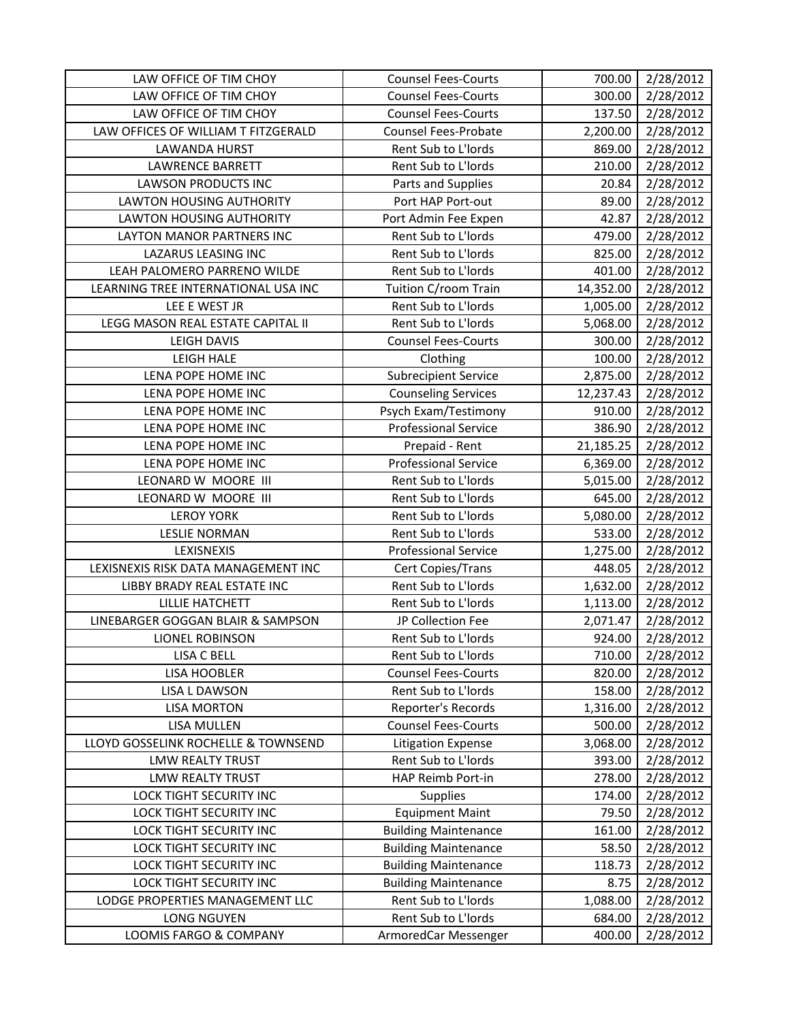| LAW OFFICE OF TIM CHOY                       | <b>Counsel Fees-Courts</b>                  | 700.00           | 2/28/2012              |
|----------------------------------------------|---------------------------------------------|------------------|------------------------|
| LAW OFFICE OF TIM CHOY                       | <b>Counsel Fees-Courts</b>                  | 300.00           | 2/28/2012              |
| LAW OFFICE OF TIM CHOY                       | <b>Counsel Fees-Courts</b>                  | 137.50           | 2/28/2012              |
| LAW OFFICES OF WILLIAM T FITZGERALD          | <b>Counsel Fees-Probate</b>                 | 2,200.00         | 2/28/2012              |
| LAWANDA HURST                                | Rent Sub to L'Iords                         | 869.00           | 2/28/2012              |
| <b>LAWRENCE BARRETT</b>                      | Rent Sub to L'Iords                         | 210.00           | 2/28/2012              |
| <b>LAWSON PRODUCTS INC</b>                   | Parts and Supplies                          | 20.84            | 2/28/2012              |
| <b>LAWTON HOUSING AUTHORITY</b>              | Port HAP Port-out                           | 89.00            | 2/28/2012              |
| <b>LAWTON HOUSING AUTHORITY</b>              | Port Admin Fee Expen                        | 42.87            | 2/28/2012              |
| LAYTON MANOR PARTNERS INC                    | Rent Sub to L'Iords                         | 479.00           | 2/28/2012              |
| <b>LAZARUS LEASING INC</b>                   | Rent Sub to L'Iords                         | 825.00           | 2/28/2012              |
| LEAH PALOMERO PARRENO WILDE                  | Rent Sub to L'Iords                         | 401.00           | 2/28/2012              |
| LEARNING TREE INTERNATIONAL USA INC          | Tuition C/room Train                        | 14,352.00        | 2/28/2012              |
| LEE E WEST JR                                | Rent Sub to L'Iords                         | 1,005.00         | 2/28/2012              |
| LEGG MASON REAL ESTATE CAPITAL II            | Rent Sub to L'Iords                         | 5,068.00         | 2/28/2012              |
| <b>LEIGH DAVIS</b>                           | <b>Counsel Fees-Courts</b>                  | 300.00           | 2/28/2012              |
| <b>LEIGH HALE</b>                            | Clothing                                    | 100.00           | 2/28/2012              |
| LENA POPE HOME INC                           | <b>Subrecipient Service</b>                 | 2,875.00         | 2/28/2012              |
| LENA POPE HOME INC                           | <b>Counseling Services</b>                  | 12,237.43        | 2/28/2012              |
| LENA POPE HOME INC                           | Psych Exam/Testimony                        | 910.00           | 2/28/2012              |
| LENA POPE HOME INC                           | <b>Professional Service</b>                 | 386.90           | 2/28/2012              |
| LENA POPE HOME INC                           | Prepaid - Rent                              | 21,185.25        | 2/28/2012              |
| LENA POPE HOME INC                           | <b>Professional Service</b>                 | 6,369.00         | 2/28/2012              |
| LEONARD W MOORE III                          | Rent Sub to L'Iords                         | 5,015.00         | 2/28/2012              |
| LEONARD W MOORE III                          | Rent Sub to L'Iords                         | 645.00           | 2/28/2012              |
| <b>LEROY YORK</b>                            | Rent Sub to L'Iords                         | 5,080.00         | 2/28/2012              |
| <b>LESLIE NORMAN</b>                         | Rent Sub to L'Iords                         | 533.00           | 2/28/2012              |
| LEXISNEXIS                                   | <b>Professional Service</b>                 | 1,275.00         | 2/28/2012              |
| LEXISNEXIS RISK DATA MANAGEMENT INC          | Cert Copies/Trans                           | 448.05           | 2/28/2012              |
| LIBBY BRADY REAL ESTATE INC                  | Rent Sub to L'Iords                         | 1,632.00         | 2/28/2012              |
| <b>LILLIE HATCHETT</b>                       | Rent Sub to L'Iords                         | 1,113.00         | 2/28/2012              |
| LINEBARGER GOGGAN BLAIR & SAMPSON            | JP Collection Fee                           | 2,071.47         | 2/28/2012              |
| LIONEL ROBINSON                              | Rent Sub to L'Iords                         | 924.00           | 2/28/2012              |
| LISA C BELL                                  | Rent Sub to L'Iords                         | 710.00           | 2/28/2012              |
| LISA HOOBLER                                 | <b>Counsel Fees-Courts</b>                  | 820.00           | 2/28/2012              |
| LISA L DAWSON                                | Rent Sub to L'Iords                         | 158.00           | 2/28/2012              |
| <b>LISA MORTON</b>                           | Reporter's Records                          | 1,316.00         | 2/28/2012              |
| LISA MULLEN                                  | <b>Counsel Fees-Courts</b>                  | 500.00           | 2/28/2012              |
| LLOYD GOSSELINK ROCHELLE & TOWNSEND          | <b>Litigation Expense</b>                   | 3,068.00         | 2/28/2012              |
| <b>LMW REALTY TRUST</b>                      | Rent Sub to L'Iords                         | 393.00           | 2/28/2012              |
| <b>LMW REALTY TRUST</b>                      | HAP Reimb Port-in                           | 278.00           | 2/28/2012              |
| <b>LOCK TIGHT SECURITY INC</b>               | <b>Supplies</b>                             | 174.00           | 2/28/2012              |
| <b>LOCK TIGHT SECURITY INC</b>               | <b>Equipment Maint</b>                      | 79.50            | 2/28/2012              |
| LOCK TIGHT SECURITY INC                      | <b>Building Maintenance</b>                 | 161.00           | 2/28/2012              |
| LOCK TIGHT SECURITY INC                      | <b>Building Maintenance</b>                 | 58.50            | 2/28/2012              |
| LOCK TIGHT SECURITY INC                      | <b>Building Maintenance</b>                 | 118.73           | 2/28/2012              |
| LOCK TIGHT SECURITY INC                      | <b>Building Maintenance</b>                 | 8.75             | 2/28/2012              |
| LODGE PROPERTIES MANAGEMENT LLC              |                                             |                  |                        |
|                                              | Rent Sub to L'Iords                         | 1,088.00         | 2/28/2012              |
| <b>LONG NGUYEN</b><br>LOOMIS FARGO & COMPANY | Rent Sub to L'Iords<br>ArmoredCar Messenger | 684.00<br>400.00 | 2/28/2012<br>2/28/2012 |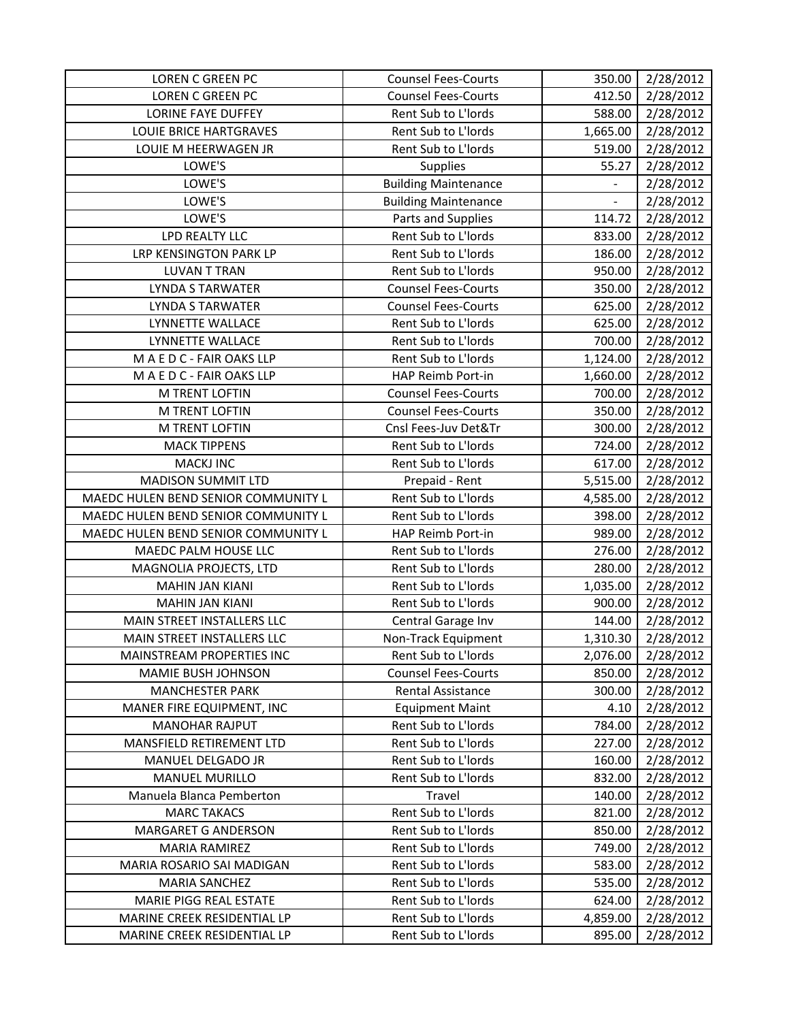| <b>LOREN C GREEN PC</b>             | <b>Counsel Fees-Courts</b>  | 350.00   | 2/28/2012 |
|-------------------------------------|-----------------------------|----------|-----------|
| <b>LOREN C GREEN PC</b>             | <b>Counsel Fees-Courts</b>  | 412.50   | 2/28/2012 |
| <b>LORINE FAYE DUFFEY</b>           | Rent Sub to L'Iords         | 588.00   | 2/28/2012 |
| <b>LOUIE BRICE HARTGRAVES</b>       | Rent Sub to L'Iords         | 1,665.00 | 2/28/2012 |
| LOUIE M HEERWAGEN JR                | Rent Sub to L'Iords         | 519.00   | 2/28/2012 |
| LOWE'S                              | <b>Supplies</b>             | 55.27    | 2/28/2012 |
| LOWE'S                              | <b>Building Maintenance</b> |          | 2/28/2012 |
| LOWE'S                              | <b>Building Maintenance</b> |          | 2/28/2012 |
| LOWE'S                              | Parts and Supplies          | 114.72   | 2/28/2012 |
| LPD REALTY LLC                      | Rent Sub to L'Iords         | 833.00   | 2/28/2012 |
| LRP KENSINGTON PARK LP              | Rent Sub to L'Iords         | 186.00   | 2/28/2012 |
| <b>LUVAN T TRAN</b>                 | Rent Sub to L'Iords         | 950.00   | 2/28/2012 |
| <b>LYNDA S TARWATER</b>             | <b>Counsel Fees-Courts</b>  | 350.00   | 2/28/2012 |
| <b>LYNDA S TARWATER</b>             | <b>Counsel Fees-Courts</b>  | 625.00   | 2/28/2012 |
| LYNNETTE WALLACE                    | Rent Sub to L'Iords         | 625.00   | 2/28/2012 |
| LYNNETTE WALLACE                    | Rent Sub to L'Iords         | 700.00   | 2/28/2012 |
| M A E D C - FAIR OAKS LLP           | Rent Sub to L'Iords         | 1,124.00 | 2/28/2012 |
| MAEDC-FAIR OAKS LLP                 | HAP Reimb Port-in           | 1,660.00 | 2/28/2012 |
| M TRENT LOFTIN                      | <b>Counsel Fees-Courts</b>  | 700.00   | 2/28/2012 |
| M TRENT LOFTIN                      | <b>Counsel Fees-Courts</b>  | 350.00   | 2/28/2012 |
| M TRENT LOFTIN                      | Cnsl Fees-Juv Det&Tr        | 300.00   | 2/28/2012 |
| <b>MACK TIPPENS</b>                 | Rent Sub to L'Iords         | 724.00   | 2/28/2012 |
| <b>MACKJ INC</b>                    | Rent Sub to L'Iords         | 617.00   | 2/28/2012 |
| <b>MADISON SUMMIT LTD</b>           | Prepaid - Rent              | 5,515.00 | 2/28/2012 |
| MAEDC HULEN BEND SENIOR COMMUNITY L | Rent Sub to L'Iords         | 4,585.00 | 2/28/2012 |
| MAEDC HULEN BEND SENIOR COMMUNITY L | Rent Sub to L'Iords         | 398.00   | 2/28/2012 |
| MAEDC HULEN BEND SENIOR COMMUNITY L | HAP Reimb Port-in           | 989.00   | 2/28/2012 |
| MAEDC PALM HOUSE LLC                | Rent Sub to L'Iords         | 276.00   | 2/28/2012 |
| MAGNOLIA PROJECTS, LTD              | Rent Sub to L'Iords         | 280.00   | 2/28/2012 |
| <b>MAHIN JAN KIANI</b>              | Rent Sub to L'Iords         | 1,035.00 | 2/28/2012 |
| <b>MAHIN JAN KIANI</b>              | Rent Sub to L'Iords         | 900.00   | 2/28/2012 |
| MAIN STREET INSTALLERS LLC          | Central Garage Inv          | 144.00   | 2/28/2012 |
| MAIN STREET INSTALLERS LLC          | Non-Track Equipment         | 1,310.30 | 2/28/2012 |
| MAINSTREAM PROPERTIES INC           | Rent Sub to L'Iords         | 2,076.00 | 2/28/2012 |
| MAMIE BUSH JOHNSON                  | <b>Counsel Fees-Courts</b>  | 850.00   | 2/28/2012 |
| <b>MANCHESTER PARK</b>              | Rental Assistance           | 300.00   | 2/28/2012 |
| MANER FIRE EQUIPMENT, INC           | <b>Equipment Maint</b>      | 4.10     | 2/28/2012 |
| <b>MANOHAR RAJPUT</b>               | Rent Sub to L'Iords         | 784.00   | 2/28/2012 |
| MANSFIELD RETIREMENT LTD            | Rent Sub to L'Iords         | 227.00   | 2/28/2012 |
| MANUEL DELGADO JR                   | Rent Sub to L'Iords         | 160.00   | 2/28/2012 |
| <b>MANUEL MURILLO</b>               | Rent Sub to L'Iords         | 832.00   | 2/28/2012 |
| Manuela Blanca Pemberton            | Travel                      | 140.00   | 2/28/2012 |
| <b>MARC TAKACS</b>                  | Rent Sub to L'Iords         | 821.00   | 2/28/2012 |
| <b>MARGARET G ANDERSON</b>          | Rent Sub to L'Iords         | 850.00   | 2/28/2012 |
| <b>MARIA RAMIREZ</b>                | Rent Sub to L'Iords         | 749.00   | 2/28/2012 |
| MARIA ROSARIO SAI MADIGAN           | Rent Sub to L'Iords         | 583.00   | 2/28/2012 |
| <b>MARIA SANCHEZ</b>                | Rent Sub to L'Iords         | 535.00   | 2/28/2012 |
| <b>MARIE PIGG REAL ESTATE</b>       | Rent Sub to L'Iords         | 624.00   | 2/28/2012 |
| MARINE CREEK RESIDENTIAL LP         | Rent Sub to L'Iords         | 4,859.00 | 2/28/2012 |
| MARINE CREEK RESIDENTIAL LP         | Rent Sub to L'Iords         | 895.00   | 2/28/2012 |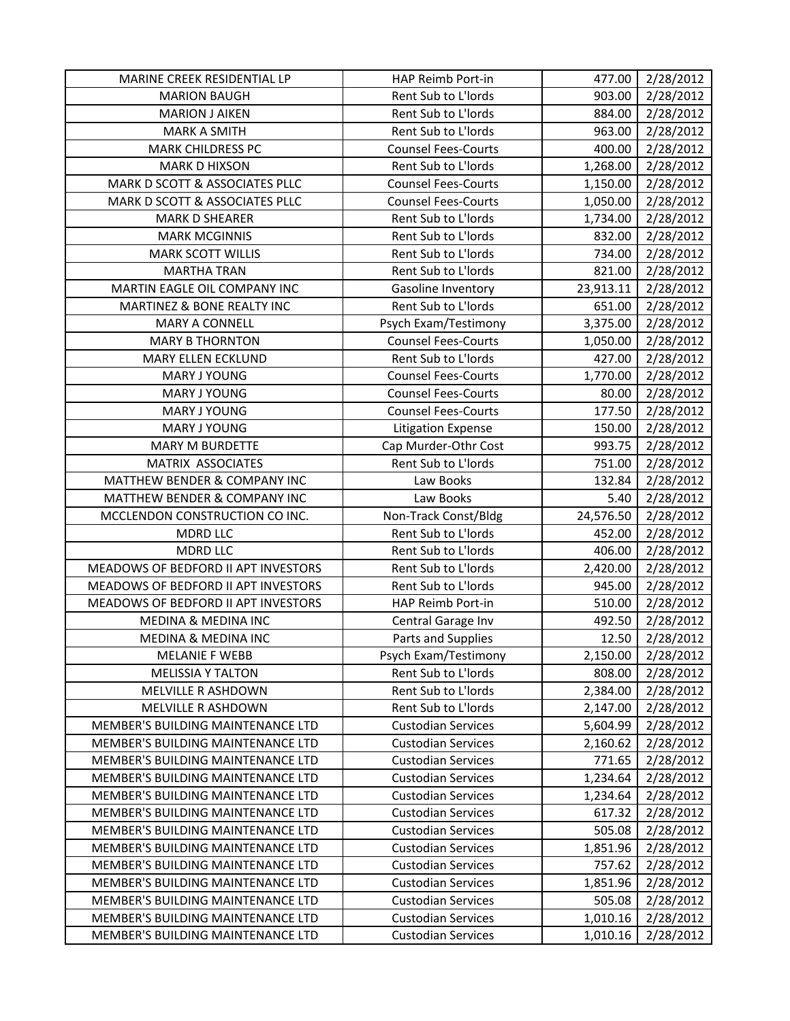| MARINE CREEK RESIDENTIAL LP         | HAP Reimb Port-in          | 477.00    | 2/28/2012 |
|-------------------------------------|----------------------------|-----------|-----------|
| <b>MARION BAUGH</b>                 | Rent Sub to L'Iords        | 903.00    | 2/28/2012 |
| <b>MARION J AIKEN</b>               | Rent Sub to L'Iords        | 884.00    | 2/28/2012 |
| <b>MARK A SMITH</b>                 | Rent Sub to L'Iords        | 963.00    | 2/28/2012 |
| <b>MARK CHILDRESS PC</b>            | <b>Counsel Fees-Courts</b> | 400.00    | 2/28/2012 |
| <b>MARK D HIXSON</b>                | Rent Sub to L'Iords        | 1,268.00  | 2/28/2012 |
| MARK D SCOTT & ASSOCIATES PLLC      | <b>Counsel Fees-Courts</b> | 1,150.00  | 2/28/2012 |
| MARK D SCOTT & ASSOCIATES PLLC      | <b>Counsel Fees-Courts</b> | 1,050.00  | 2/28/2012 |
| <b>MARK D SHEARER</b>               | Rent Sub to L'Iords        | 1,734.00  | 2/28/2012 |
| <b>MARK MCGINNIS</b>                | Rent Sub to L'Iords        | 832.00    | 2/28/2012 |
| <b>MARK SCOTT WILLIS</b>            | Rent Sub to L'Iords        | 734.00    | 2/28/2012 |
| <b>MARTHA TRAN</b>                  | Rent Sub to L'Iords        | 821.00    | 2/28/2012 |
| MARTIN EAGLE OIL COMPANY INC        | Gasoline Inventory         | 23,913.11 | 2/28/2012 |
| MARTINEZ & BONE REALTY INC          | Rent Sub to L'Iords        | 651.00    | 2/28/2012 |
| <b>MARY A CONNELL</b>               | Psych Exam/Testimony       | 3,375.00  | 2/28/2012 |
| <b>MARY B THORNTON</b>              | <b>Counsel Fees-Courts</b> | 1,050.00  | 2/28/2012 |
| <b>MARY ELLEN ECKLUND</b>           | Rent Sub to L'Iords        | 427.00    | 2/28/2012 |
| <b>MARY J YOUNG</b>                 | <b>Counsel Fees-Courts</b> | 1,770.00  | 2/28/2012 |
| MARY J YOUNG                        | <b>Counsel Fees-Courts</b> | 80.00     | 2/28/2012 |
| <b>MARY J YOUNG</b>                 | <b>Counsel Fees-Courts</b> | 177.50    | 2/28/2012 |
| <b>MARY J YOUNG</b>                 | <b>Litigation Expense</b>  | 150.00    | 2/28/2012 |
| <b>MARY M BURDETTE</b>              | Cap Murder-Othr Cost       | 993.75    | 2/28/2012 |
| MATRIX ASSOCIATES                   | Rent Sub to L'Iords        | 751.00    | 2/28/2012 |
| MATTHEW BENDER & COMPANY INC        | Law Books                  | 132.84    | 2/28/2012 |
| MATTHEW BENDER & COMPANY INC        | Law Books                  | 5.40      | 2/28/2012 |
| MCCLENDON CONSTRUCTION CO INC.      | Non-Track Const/Bldg       | 24,576.50 | 2/28/2012 |
| <b>MDRD LLC</b>                     | Rent Sub to L'Iords        | 452.00    | 2/28/2012 |
| <b>MDRD LLC</b>                     | Rent Sub to L'Iords        | 406.00    | 2/28/2012 |
| MEADOWS OF BEDFORD II APT INVESTORS | Rent Sub to L'Iords        | 2,420.00  | 2/28/2012 |
| MEADOWS OF BEDFORD II APT INVESTORS | Rent Sub to L'Iords        | 945.00    | 2/28/2012 |
| MEADOWS OF BEDFORD II APT INVESTORS | HAP Reimb Port-in          | 510.00    | 2/28/2012 |
| <b>MEDINA &amp; MEDINA INC</b>      | Central Garage Inv         | 492.50    | 2/28/2012 |
| <b>MEDINA &amp; MEDINA INC</b>      | Parts and Supplies         | 12.50     | 2/28/2012 |
| <b>MELANIE F WEBB</b>               | Psych Exam/Testimony       | 2,150.00  | 2/28/2012 |
| <b>MELISSIA Y TALTON</b>            | Rent Sub to L'Iords        | 808.00    | 2/28/2012 |
| MELVILLE R ASHDOWN                  | Rent Sub to L'Iords        | 2,384.00  | 2/28/2012 |
| MELVILLE R ASHDOWN                  | Rent Sub to L'Iords        | 2,147.00  | 2/28/2012 |
| MEMBER'S BUILDING MAINTENANCE LTD   | <b>Custodian Services</b>  | 5,604.99  | 2/28/2012 |
| MEMBER'S BUILDING MAINTENANCE LTD   | <b>Custodian Services</b>  | 2,160.62  | 2/28/2012 |
| MEMBER'S BUILDING MAINTENANCE LTD   | <b>Custodian Services</b>  | 771.65    | 2/28/2012 |
| MEMBER'S BUILDING MAINTENANCE LTD   | <b>Custodian Services</b>  | 1,234.64  | 2/28/2012 |
| MEMBER'S BUILDING MAINTENANCE LTD   | <b>Custodian Services</b>  | 1,234.64  | 2/28/2012 |
| MEMBER'S BUILDING MAINTENANCE LTD   | <b>Custodian Services</b>  | 617.32    | 2/28/2012 |
| MEMBER'S BUILDING MAINTENANCE LTD   | <b>Custodian Services</b>  | 505.08    | 2/28/2012 |
| MEMBER'S BUILDING MAINTENANCE LTD   | <b>Custodian Services</b>  | 1,851.96  | 2/28/2012 |
| MEMBER'S BUILDING MAINTENANCE LTD   | <b>Custodian Services</b>  | 757.62    | 2/28/2012 |
| MEMBER'S BUILDING MAINTENANCE LTD   | <b>Custodian Services</b>  | 1,851.96  | 2/28/2012 |
| MEMBER'S BUILDING MAINTENANCE LTD   | <b>Custodian Services</b>  | 505.08    | 2/28/2012 |
| MEMBER'S BUILDING MAINTENANCE LTD   | <b>Custodian Services</b>  | 1,010.16  | 2/28/2012 |
| MEMBER'S BUILDING MAINTENANCE LTD   | <b>Custodian Services</b>  | 1,010.16  | 2/28/2012 |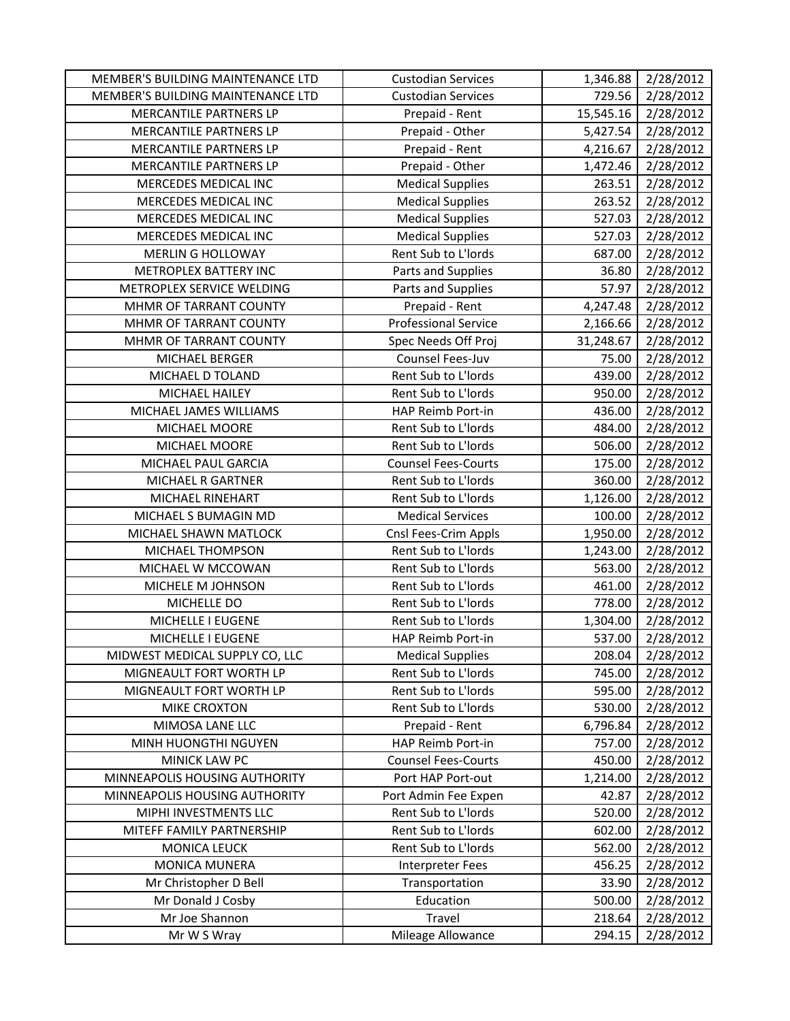| MEMBER'S BUILDING MAINTENANCE LTD | <b>Custodian Services</b>   | 1,346.88  | 2/28/2012 |
|-----------------------------------|-----------------------------|-----------|-----------|
| MEMBER'S BUILDING MAINTENANCE LTD | <b>Custodian Services</b>   | 729.56    | 2/28/2012 |
| MERCANTILE PARTNERS LP            | Prepaid - Rent              | 15,545.16 | 2/28/2012 |
| MERCANTILE PARTNERS LP            | Prepaid - Other             | 5,427.54  | 2/28/2012 |
| <b>MERCANTILE PARTNERS LP</b>     | Prepaid - Rent              | 4,216.67  | 2/28/2012 |
| MERCANTILE PARTNERS LP            | Prepaid - Other             | 1,472.46  | 2/28/2012 |
| MERCEDES MEDICAL INC              | <b>Medical Supplies</b>     | 263.51    | 2/28/2012 |
| MERCEDES MEDICAL INC              | <b>Medical Supplies</b>     | 263.52    | 2/28/2012 |
| MERCEDES MEDICAL INC              | <b>Medical Supplies</b>     | 527.03    | 2/28/2012 |
| MERCEDES MEDICAL INC              | <b>Medical Supplies</b>     | 527.03    | 2/28/2012 |
| <b>MERLIN G HOLLOWAY</b>          | Rent Sub to L'Iords         | 687.00    | 2/28/2012 |
| METROPLEX BATTERY INC             | Parts and Supplies          | 36.80     | 2/28/2012 |
| METROPLEX SERVICE WELDING         | Parts and Supplies          | 57.97     | 2/28/2012 |
| MHMR OF TARRANT COUNTY            | Prepaid - Rent              | 4,247.48  | 2/28/2012 |
| MHMR OF TARRANT COUNTY            | <b>Professional Service</b> | 2,166.66  | 2/28/2012 |
| MHMR OF TARRANT COUNTY            | Spec Needs Off Proj         | 31,248.67 | 2/28/2012 |
| MICHAEL BERGER                    | Counsel Fees-Juv            | 75.00     | 2/28/2012 |
| MICHAEL D TOLAND                  | Rent Sub to L'Iords         | 439.00    | 2/28/2012 |
| MICHAEL HAILEY                    | Rent Sub to L'Iords         | 950.00    | 2/28/2012 |
| MICHAEL JAMES WILLIAMS            | HAP Reimb Port-in           | 436.00    | 2/28/2012 |
| MICHAEL MOORE                     | Rent Sub to L'Iords         | 484.00    | 2/28/2012 |
| MICHAEL MOORE                     | Rent Sub to L'Iords         | 506.00    | 2/28/2012 |
| MICHAEL PAUL GARCIA               | <b>Counsel Fees-Courts</b>  | 175.00    | 2/28/2012 |
| MICHAEL R GARTNER                 | Rent Sub to L'Iords         | 360.00    | 2/28/2012 |
| MICHAEL RINEHART                  | Rent Sub to L'Iords         | 1,126.00  | 2/28/2012 |
| MICHAEL S BUMAGIN MD              | <b>Medical Services</b>     | 100.00    | 2/28/2012 |
| MICHAEL SHAWN MATLOCK             | Cnsl Fees-Crim Appls        | 1,950.00  | 2/28/2012 |
| MICHAEL THOMPSON                  | Rent Sub to L'Iords         | 1,243.00  | 2/28/2012 |
| MICHAEL W MCCOWAN                 | Rent Sub to L'Iords         | 563.00    | 2/28/2012 |
| MICHELE M JOHNSON                 | Rent Sub to L'Iords         | 461.00    | 2/28/2012 |
| MICHELLE DO                       | Rent Sub to L'Iords         | 778.00    | 2/28/2012 |
| MICHELLE I EUGENE                 | Rent Sub to L'Iords         | 1,304.00  | 2/28/2012 |
| MICHELLE I EUGENE                 | HAP Reimb Port-in           | 537.00    | 2/28/2012 |
| MIDWEST MEDICAL SUPPLY CO, LLC    | <b>Medical Supplies</b>     | 208.04    | 2/28/2012 |
| MIGNEAULT FORT WORTH LP           | Rent Sub to L'Iords         | 745.00    | 2/28/2012 |
| MIGNEAULT FORT WORTH LP           | Rent Sub to L'Iords         | 595.00    | 2/28/2012 |
| <b>MIKE CROXTON</b>               | Rent Sub to L'Iords         | 530.00    | 2/28/2012 |
| MIMOSA LANE LLC                   | Prepaid - Rent              | 6,796.84  | 2/28/2012 |
| MINH HUONGTHI NGUYEN              | HAP Reimb Port-in           | 757.00    | 2/28/2012 |
| MINICK LAW PC                     | <b>Counsel Fees-Courts</b>  | 450.00    | 2/28/2012 |
| MINNEAPOLIS HOUSING AUTHORITY     | Port HAP Port-out           | 1,214.00  | 2/28/2012 |
| MINNEAPOLIS HOUSING AUTHORITY     | Port Admin Fee Expen        | 42.87     | 2/28/2012 |
| MIPHI INVESTMENTS LLC             | Rent Sub to L'Iords         | 520.00    | 2/28/2012 |
| MITEFF FAMILY PARTNERSHIP         | Rent Sub to L'Iords         | 602.00    | 2/28/2012 |
| <b>MONICA LEUCK</b>               | Rent Sub to L'Iords         | 562.00    | 2/28/2012 |
| <b>MONICA MUNERA</b>              | Interpreter Fees            | 456.25    | 2/28/2012 |
| Mr Christopher D Bell             | Transportation              | 33.90     | 2/28/2012 |
| Mr Donald J Cosby                 | Education                   | 500.00    | 2/28/2012 |
| Mr Joe Shannon                    | Travel                      | 218.64    | 2/28/2012 |
| Mr W S Wray                       | Mileage Allowance           | 294.15    | 2/28/2012 |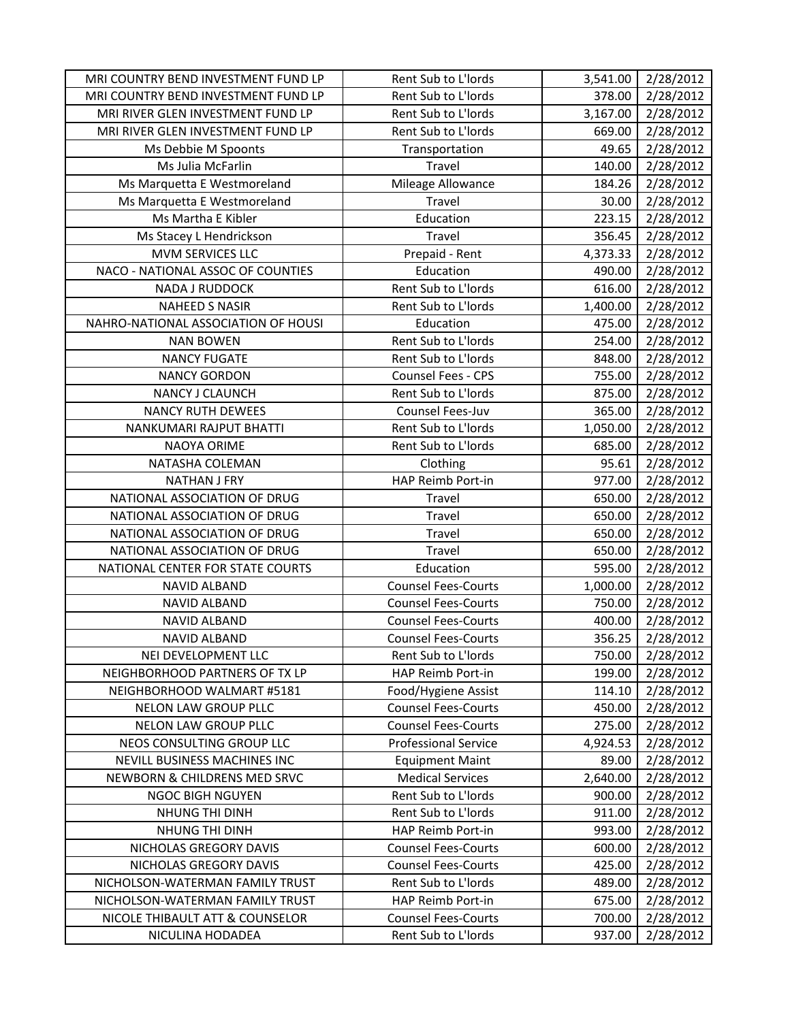| MRI COUNTRY BEND INVESTMENT FUND LP | Rent Sub to L'Iords         | 3,541.00 | 2/28/2012 |
|-------------------------------------|-----------------------------|----------|-----------|
| MRI COUNTRY BEND INVESTMENT FUND LP | Rent Sub to L'Iords         | 378.00   | 2/28/2012 |
| MRI RIVER GLEN INVESTMENT FUND LP   | Rent Sub to L'Iords         | 3,167.00 | 2/28/2012 |
| MRI RIVER GLEN INVESTMENT FUND LP   | Rent Sub to L'Iords         | 669.00   | 2/28/2012 |
| Ms Debbie M Spoonts                 | Transportation              | 49.65    | 2/28/2012 |
| Ms Julia McFarlin                   | Travel                      | 140.00   | 2/28/2012 |
| Ms Marquetta E Westmoreland         | Mileage Allowance           | 184.26   | 2/28/2012 |
| Ms Marquetta E Westmoreland         | Travel                      | 30.00    | 2/28/2012 |
| Ms Martha E Kibler                  | Education                   | 223.15   | 2/28/2012 |
| Ms Stacey L Hendrickson             | Travel                      | 356.45   | 2/28/2012 |
| <b>MVM SERVICES LLC</b>             | Prepaid - Rent              | 4,373.33 | 2/28/2012 |
| NACO - NATIONAL ASSOC OF COUNTIES   | Education                   | 490.00   | 2/28/2012 |
| NADA J RUDDOCK                      | Rent Sub to L'Iords         | 616.00   | 2/28/2012 |
| <b>NAHEED S NASIR</b>               | Rent Sub to L'Iords         | 1,400.00 | 2/28/2012 |
| NAHRO-NATIONAL ASSOCIATION OF HOUSI | Education                   | 475.00   | 2/28/2012 |
| <b>NAN BOWEN</b>                    | Rent Sub to L'Iords         | 254.00   | 2/28/2012 |
| <b>NANCY FUGATE</b>                 | Rent Sub to L'Iords         | 848.00   | 2/28/2012 |
| <b>NANCY GORDON</b>                 | Counsel Fees - CPS          | 755.00   | 2/28/2012 |
| NANCY J CLAUNCH                     | Rent Sub to L'Iords         | 875.00   | 2/28/2012 |
| <b>NANCY RUTH DEWEES</b>            | Counsel Fees-Juv            | 365.00   | 2/28/2012 |
| NANKUMARI RAJPUT BHATTI             | Rent Sub to L'Iords         | 1,050.00 | 2/28/2012 |
| <b>NAOYA ORIME</b>                  | Rent Sub to L'Iords         | 685.00   | 2/28/2012 |
| NATASHA COLEMAN                     | Clothing                    | 95.61    | 2/28/2012 |
| <b>NATHAN J FRY</b>                 | HAP Reimb Port-in           | 977.00   | 2/28/2012 |
| NATIONAL ASSOCIATION OF DRUG        | Travel                      | 650.00   | 2/28/2012 |
| NATIONAL ASSOCIATION OF DRUG        | Travel                      | 650.00   | 2/28/2012 |
| NATIONAL ASSOCIATION OF DRUG        | Travel                      | 650.00   | 2/28/2012 |
| NATIONAL ASSOCIATION OF DRUG        | Travel                      | 650.00   | 2/28/2012 |
| NATIONAL CENTER FOR STATE COURTS    | Education                   | 595.00   | 2/28/2012 |
| <b>NAVID ALBAND</b>                 | <b>Counsel Fees-Courts</b>  | 1,000.00 | 2/28/2012 |
| <b>NAVID ALBAND</b>                 | <b>Counsel Fees-Courts</b>  | 750.00   | 2/28/2012 |
| <b>NAVID ALBAND</b>                 | <b>Counsel Fees-Courts</b>  | 400.00   | 2/28/2012 |
| <b>NAVID ALBAND</b>                 | <b>Counsel Fees-Courts</b>  | 356.25   | 2/28/2012 |
| NEI DEVELOPMENT LLC                 | Rent Sub to L'Iords         | 750.00   | 2/28/2012 |
| NEIGHBORHOOD PARTNERS OF TX LP      | HAP Reimb Port-in           | 199.00   | 2/28/2012 |
| NEIGHBORHOOD WALMART #5181          | Food/Hygiene Assist         | 114.10   | 2/28/2012 |
| NELON LAW GROUP PLLC                | <b>Counsel Fees-Courts</b>  | 450.00   | 2/28/2012 |
| NELON LAW GROUP PLLC                | <b>Counsel Fees-Courts</b>  | 275.00   | 2/28/2012 |
| NEOS CONSULTING GROUP LLC           | <b>Professional Service</b> | 4,924.53 | 2/28/2012 |
| NEVILL BUSINESS MACHINES INC        | <b>Equipment Maint</b>      | 89.00    | 2/28/2012 |
| NEWBORN & CHILDRENS MED SRVC        | <b>Medical Services</b>     | 2,640.00 | 2/28/2012 |
| <b>NGOC BIGH NGUYEN</b>             | Rent Sub to L'Iords         | 900.00   | 2/28/2012 |
| <b>NHUNG THI DINH</b>               | Rent Sub to L'Iords         | 911.00   | 2/28/2012 |
| NHUNG THI DINH                      | HAP Reimb Port-in           | 993.00   | 2/28/2012 |
| NICHOLAS GREGORY DAVIS              | <b>Counsel Fees-Courts</b>  | 600.00   | 2/28/2012 |
| NICHOLAS GREGORY DAVIS              | <b>Counsel Fees-Courts</b>  | 425.00   | 2/28/2012 |
| NICHOLSON-WATERMAN FAMILY TRUST     | Rent Sub to L'Iords         | 489.00   | 2/28/2012 |
| NICHOLSON-WATERMAN FAMILY TRUST     | HAP Reimb Port-in           | 675.00   | 2/28/2012 |
| NICOLE THIBAULT ATT & COUNSELOR     | <b>Counsel Fees-Courts</b>  | 700.00   | 2/28/2012 |
| NICULINA HODADEA                    | Rent Sub to L'Iords         | 937.00   | 2/28/2012 |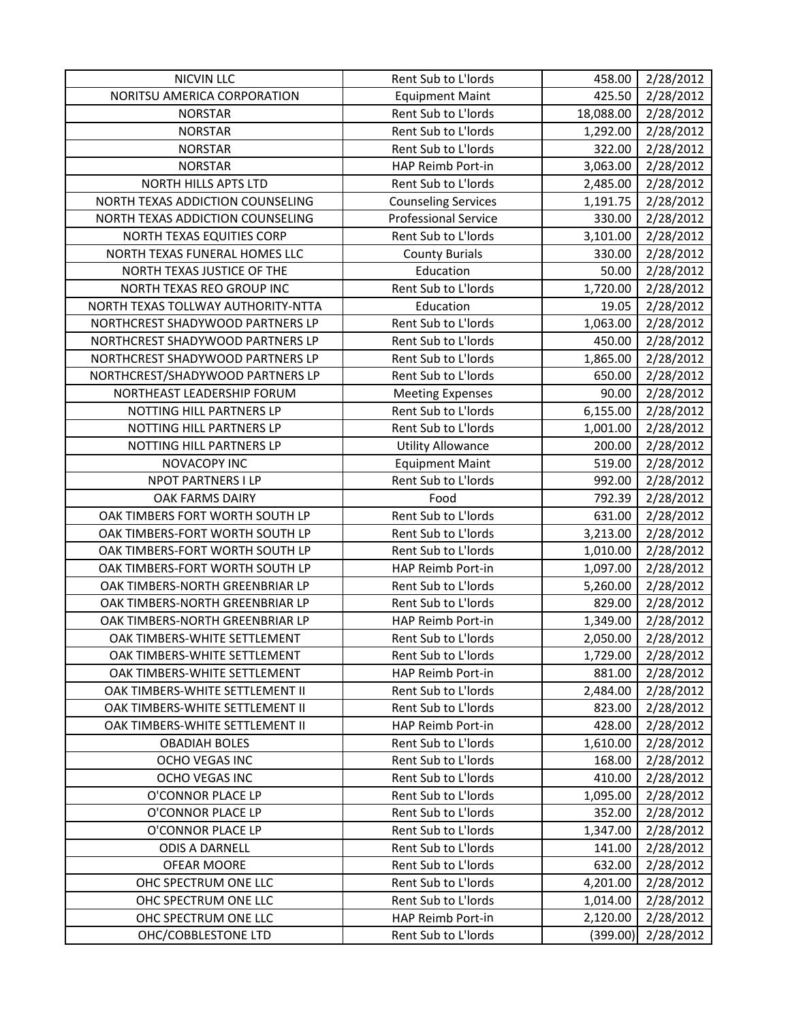| <b>NICVIN LLC</b>                  | Rent Sub to L'Iords         | 458.00    | 2/28/2012 |
|------------------------------------|-----------------------------|-----------|-----------|
| NORITSU AMERICA CORPORATION        | <b>Equipment Maint</b>      | 425.50    | 2/28/2012 |
| <b>NORSTAR</b>                     | Rent Sub to L'Iords         | 18,088.00 | 2/28/2012 |
| <b>NORSTAR</b>                     | Rent Sub to L'Iords         | 1,292.00  | 2/28/2012 |
| <b>NORSTAR</b>                     | Rent Sub to L'Iords         | 322.00    | 2/28/2012 |
| <b>NORSTAR</b>                     | HAP Reimb Port-in           | 3,063.00  | 2/28/2012 |
| <b>NORTH HILLS APTS LTD</b>        | Rent Sub to L'Iords         | 2,485.00  | 2/28/2012 |
| NORTH TEXAS ADDICTION COUNSELING   | <b>Counseling Services</b>  | 1,191.75  | 2/28/2012 |
| NORTH TEXAS ADDICTION COUNSELING   | <b>Professional Service</b> | 330.00    | 2/28/2012 |
| NORTH TEXAS EQUITIES CORP          | Rent Sub to L'Iords         | 3,101.00  | 2/28/2012 |
| NORTH TEXAS FUNERAL HOMES LLC      | <b>County Burials</b>       | 330.00    | 2/28/2012 |
| NORTH TEXAS JUSTICE OF THE         | Education                   | 50.00     | 2/28/2012 |
| NORTH TEXAS REO GROUP INC          | Rent Sub to L'Iords         | 1,720.00  | 2/28/2012 |
| NORTH TEXAS TOLLWAY AUTHORITY-NTTA | Education                   | 19.05     | 2/28/2012 |
| NORTHCREST SHADYWOOD PARTNERS LP   | Rent Sub to L'Iords         | 1,063.00  | 2/28/2012 |
| NORTHCREST SHADYWOOD PARTNERS LP   | Rent Sub to L'Iords         | 450.00    | 2/28/2012 |
| NORTHCREST SHADYWOOD PARTNERS LP   | Rent Sub to L'Iords         | 1,865.00  | 2/28/2012 |
| NORTHCREST/SHADYWOOD PARTNERS LP   | Rent Sub to L'Iords         | 650.00    | 2/28/2012 |
| NORTHEAST LEADERSHIP FORUM         | <b>Meeting Expenses</b>     | 90.00     | 2/28/2012 |
| NOTTING HILL PARTNERS LP           | Rent Sub to L'Iords         | 6,155.00  | 2/28/2012 |
| NOTTING HILL PARTNERS LP           | Rent Sub to L'Iords         | 1,001.00  | 2/28/2012 |
| NOTTING HILL PARTNERS LP           | <b>Utility Allowance</b>    | 200.00    | 2/28/2012 |
| NOVACOPY INC                       | <b>Equipment Maint</b>      | 519.00    | 2/28/2012 |
| NPOT PARTNERS I LP                 | Rent Sub to L'Iords         | 992.00    | 2/28/2012 |
| OAK FARMS DAIRY                    | Food                        | 792.39    | 2/28/2012 |
| OAK TIMBERS FORT WORTH SOUTH LP    | Rent Sub to L'Iords         | 631.00    | 2/28/2012 |
| OAK TIMBERS-FORT WORTH SOUTH LP    | Rent Sub to L'Iords         | 3,213.00  | 2/28/2012 |
| OAK TIMBERS-FORT WORTH SOUTH LP    | Rent Sub to L'Iords         | 1,010.00  | 2/28/2012 |
| OAK TIMBERS-FORT WORTH SOUTH LP    | HAP Reimb Port-in           | 1,097.00  | 2/28/2012 |
| OAK TIMBERS-NORTH GREENBRIAR LP    | Rent Sub to L'Iords         | 5,260.00  | 2/28/2012 |
| OAK TIMBERS-NORTH GREENBRIAR LP    | Rent Sub to L'Iords         | 829.00    | 2/28/2012 |
| OAK TIMBERS-NORTH GREENBRIAR LP    | HAP Reimb Port-in           | 1,349.00  | 2/28/2012 |
| OAK TIMBERS-WHITE SETTLEMENT       | Rent Sub to L'Iords         | 2,050.00  | 2/28/2012 |
| OAK TIMBERS-WHITE SETTLEMENT       | Rent Sub to L'Iords         | 1,729.00  | 2/28/2012 |
| OAK TIMBERS-WHITE SETTLEMENT       | HAP Reimb Port-in           | 881.00    | 2/28/2012 |
| OAK TIMBERS-WHITE SETTLEMENT II    | Rent Sub to L'Iords         | 2,484.00  | 2/28/2012 |
| OAK TIMBERS-WHITE SETTLEMENT II    | Rent Sub to L'Iords         | 823.00    | 2/28/2012 |
| OAK TIMBERS-WHITE SETTLEMENT II    | HAP Reimb Port-in           | 428.00    | 2/28/2012 |
| <b>OBADIAH BOLES</b>               | Rent Sub to L'Iords         | 1,610.00  | 2/28/2012 |
| OCHO VEGAS INC                     | Rent Sub to L'Iords         | 168.00    | 2/28/2012 |
| OCHO VEGAS INC                     | Rent Sub to L'Iords         | 410.00    | 2/28/2012 |
| O'CONNOR PLACE LP                  | Rent Sub to L'Iords         | 1,095.00  | 2/28/2012 |
| O'CONNOR PLACE LP                  | Rent Sub to L'Iords         | 352.00    | 2/28/2012 |
| O'CONNOR PLACE LP                  | Rent Sub to L'Iords         | 1,347.00  | 2/28/2012 |
| <b>ODIS A DARNELL</b>              | Rent Sub to L'Iords         | 141.00    | 2/28/2012 |
| OFEAR MOORE                        | Rent Sub to L'Iords         | 632.00    | 2/28/2012 |
| OHC SPECTRUM ONE LLC               | Rent Sub to L'Iords         | 4,201.00  | 2/28/2012 |
| OHC SPECTRUM ONE LLC               | Rent Sub to L'Iords         | 1,014.00  | 2/28/2012 |
| OHC SPECTRUM ONE LLC               | HAP Reimb Port-in           | 2,120.00  | 2/28/2012 |
| OHC/COBBLESTONE LTD                | Rent Sub to L'Iords         | (399.00)  | 2/28/2012 |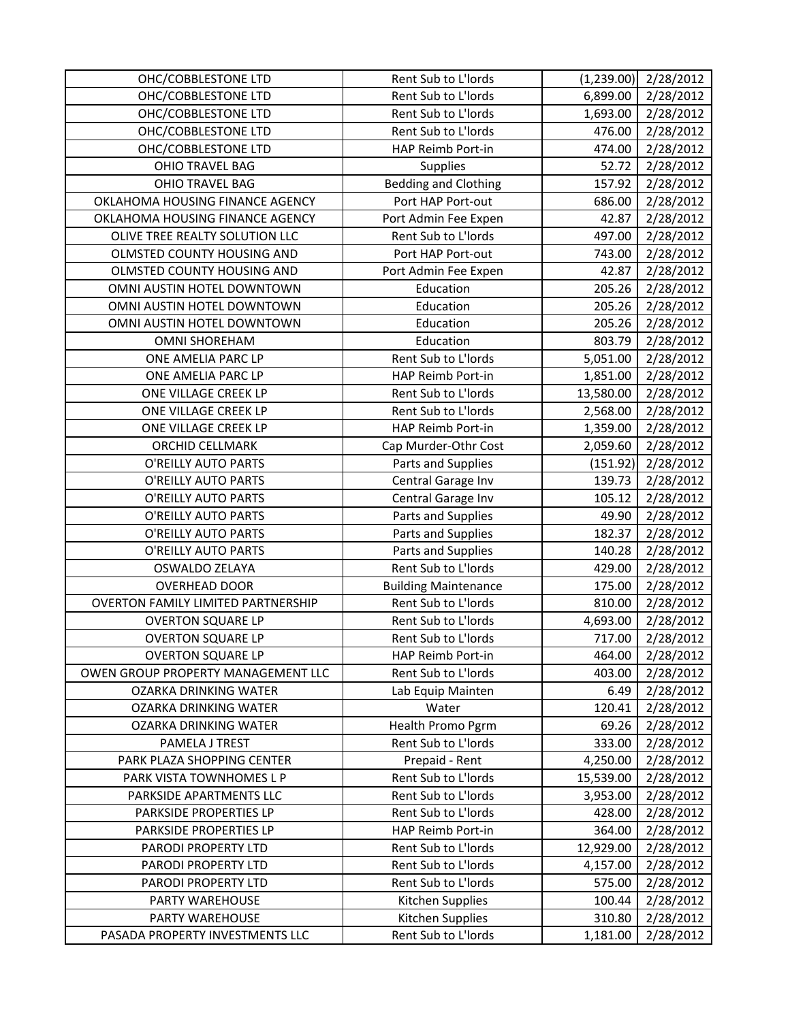| OHC/COBBLESTONE LTD                       | Rent Sub to L'Iords         | (1, 239.00) | 2/28/2012 |
|-------------------------------------------|-----------------------------|-------------|-----------|
| OHC/COBBLESTONE LTD                       | Rent Sub to L'Iords         | 6,899.00    | 2/28/2012 |
| OHC/COBBLESTONE LTD                       | Rent Sub to L'Iords         | 1,693.00    | 2/28/2012 |
| OHC/COBBLESTONE LTD                       | Rent Sub to L'Iords         | 476.00      | 2/28/2012 |
| OHC/COBBLESTONE LTD                       | HAP Reimb Port-in           | 474.00      | 2/28/2012 |
| <b>OHIO TRAVEL BAG</b>                    | Supplies                    | 52.72       | 2/28/2012 |
| <b>OHIO TRAVEL BAG</b>                    | <b>Bedding and Clothing</b> | 157.92      | 2/28/2012 |
| OKLAHOMA HOUSING FINANCE AGENCY           | Port HAP Port-out           | 686.00      | 2/28/2012 |
| OKLAHOMA HOUSING FINANCE AGENCY           | Port Admin Fee Expen        | 42.87       | 2/28/2012 |
| OLIVE TREE REALTY SOLUTION LLC            | Rent Sub to L'Iords         | 497.00      | 2/28/2012 |
| OLMSTED COUNTY HOUSING AND                | Port HAP Port-out           | 743.00      | 2/28/2012 |
| OLMSTED COUNTY HOUSING AND                | Port Admin Fee Expen        | 42.87       | 2/28/2012 |
| OMNI AUSTIN HOTEL DOWNTOWN                | Education                   | 205.26      | 2/28/2012 |
| OMNI AUSTIN HOTEL DOWNTOWN                | Education                   | 205.26      | 2/28/2012 |
| OMNI AUSTIN HOTEL DOWNTOWN                | Education                   | 205.26      | 2/28/2012 |
| <b>OMNI SHOREHAM</b>                      | Education                   | 803.79      | 2/28/2012 |
| ONE AMELIA PARC LP                        | Rent Sub to L'Iords         | 5,051.00    | 2/28/2012 |
| ONE AMELIA PARC LP                        | HAP Reimb Port-in           | 1,851.00    | 2/28/2012 |
| ONE VILLAGE CREEK LP                      | Rent Sub to L'Iords         | 13,580.00   | 2/28/2012 |
| ONE VILLAGE CREEK LP                      | Rent Sub to L'Iords         | 2,568.00    | 2/28/2012 |
| ONE VILLAGE CREEK LP                      | HAP Reimb Port-in           | 1,359.00    | 2/28/2012 |
| ORCHID CELLMARK                           | Cap Murder-Othr Cost        | 2,059.60    | 2/28/2012 |
| O'REILLY AUTO PARTS                       | Parts and Supplies          | (151.92)    | 2/28/2012 |
| O'REILLY AUTO PARTS                       | Central Garage Inv          | 139.73      | 2/28/2012 |
| O'REILLY AUTO PARTS                       | Central Garage Inv          | 105.12      | 2/28/2012 |
| O'REILLY AUTO PARTS                       | Parts and Supplies          | 49.90       | 2/28/2012 |
| O'REILLY AUTO PARTS                       | Parts and Supplies          | 182.37      | 2/28/2012 |
| O'REILLY AUTO PARTS                       | Parts and Supplies          | 140.28      | 2/28/2012 |
| OSWALDO ZELAYA                            | Rent Sub to L'Iords         | 429.00      | 2/28/2012 |
| <b>OVERHEAD DOOR</b>                      | <b>Building Maintenance</b> | 175.00      | 2/28/2012 |
| <b>OVERTON FAMILY LIMITED PARTNERSHIP</b> | Rent Sub to L'Iords         | 810.00      | 2/28/2012 |
| <b>OVERTON SQUARE LP</b>                  | Rent Sub to L'Iords         | 4,693.00    | 2/28/2012 |
| <b>OVERTON SQUARE LP</b>                  | Rent Sub to L'Iords         | 717.00      | 2/28/2012 |
| <b>OVERTON SQUARE LP</b>                  | HAP Reimb Port-in           | 464.00      | 2/28/2012 |
| OWEN GROUP PROPERTY MANAGEMENT LLC        | Rent Sub to L'Iords         | 403.00      | 2/28/2012 |
| OZARKA DRINKING WATER                     | Lab Equip Mainten           | 6.49        | 2/28/2012 |
| OZARKA DRINKING WATER                     | Water                       | 120.41      | 2/28/2012 |
| OZARKA DRINKING WATER                     | Health Promo Pgrm           | 69.26       | 2/28/2012 |
| PAMELA J TREST                            | Rent Sub to L'Iords         | 333.00      | 2/28/2012 |
| PARK PLAZA SHOPPING CENTER                | Prepaid - Rent              | 4,250.00    | 2/28/2012 |
| PARK VISTA TOWNHOMES L P                  | Rent Sub to L'Iords         | 15,539.00   | 2/28/2012 |
| PARKSIDE APARTMENTS LLC                   | Rent Sub to L'Iords         | 3,953.00    | 2/28/2012 |
| PARKSIDE PROPERTIES LP                    | Rent Sub to L'Iords         | 428.00      | 2/28/2012 |
| PARKSIDE PROPERTIES LP                    | HAP Reimb Port-in           | 364.00      | 2/28/2012 |
| PARODI PROPERTY LTD                       | Rent Sub to L'Iords         | 12,929.00   | 2/28/2012 |
| PARODI PROPERTY LTD                       | Rent Sub to L'Iords         | 4,157.00    | 2/28/2012 |
| PARODI PROPERTY LTD                       | Rent Sub to L'Iords         | 575.00      | 2/28/2012 |
| PARTY WAREHOUSE                           | Kitchen Supplies            | 100.44      | 2/28/2012 |
| PARTY WAREHOUSE                           | Kitchen Supplies            | 310.80      | 2/28/2012 |
| PASADA PROPERTY INVESTMENTS LLC           | Rent Sub to L'Iords         | 1,181.00    | 2/28/2012 |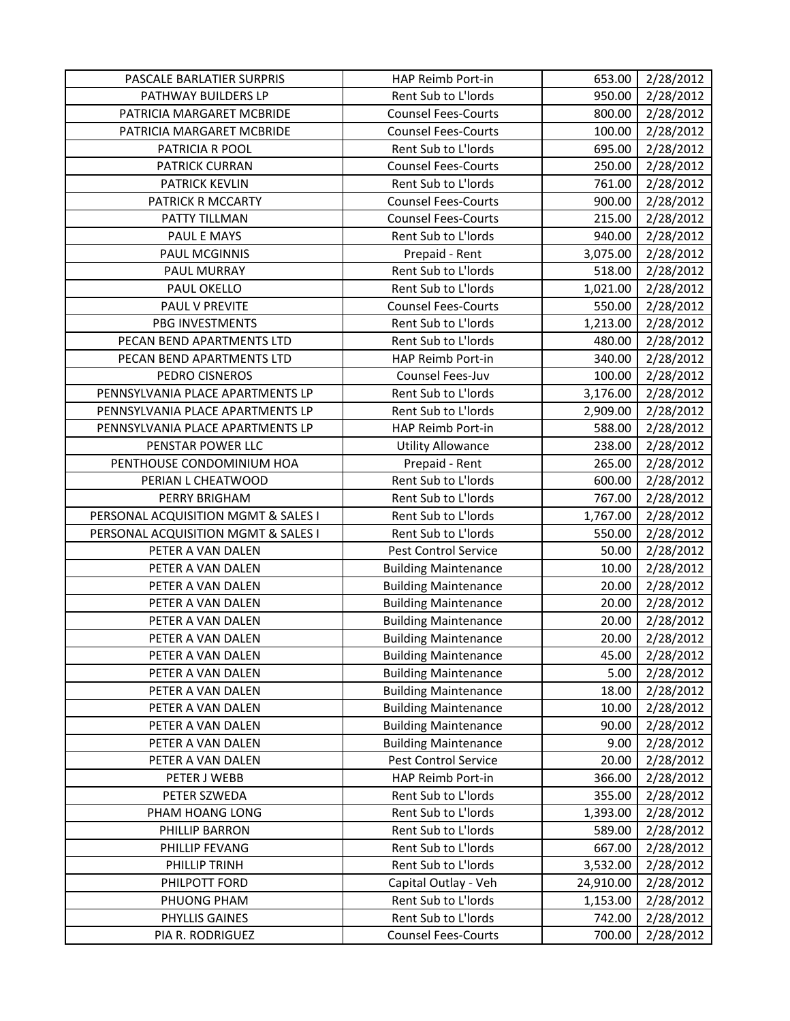| PASCALE BARLATIER SURPRIS           | HAP Reimb Port-in           | 653.00    | 2/28/2012 |
|-------------------------------------|-----------------------------|-----------|-----------|
| PATHWAY BUILDERS LP                 | Rent Sub to L'Iords         | 950.00    | 2/28/2012 |
| PATRICIA MARGARET MCBRIDE           | <b>Counsel Fees-Courts</b>  | 800.00    | 2/28/2012 |
| PATRICIA MARGARET MCBRIDE           | <b>Counsel Fees-Courts</b>  | 100.00    | 2/28/2012 |
| PATRICIA R POOL                     | Rent Sub to L'Iords         | 695.00    | 2/28/2012 |
| PATRICK CURRAN                      | <b>Counsel Fees-Courts</b>  | 250.00    | 2/28/2012 |
| <b>PATRICK KEVLIN</b>               | Rent Sub to L'Iords         | 761.00    | 2/28/2012 |
| PATRICK R MCCARTY                   | <b>Counsel Fees-Courts</b>  | 900.00    | 2/28/2012 |
| PATTY TILLMAN                       | <b>Counsel Fees-Courts</b>  | 215.00    | 2/28/2012 |
| PAUL E MAYS                         | Rent Sub to L'Iords         | 940.00    | 2/28/2012 |
| <b>PAUL MCGINNIS</b>                | Prepaid - Rent              | 3,075.00  | 2/28/2012 |
| PAUL MURRAY                         | Rent Sub to L'Iords         | 518.00    | 2/28/2012 |
| PAUL OKELLO                         | Rent Sub to L'Iords         | 1,021.00  | 2/28/2012 |
| PAUL V PREVITE                      | <b>Counsel Fees-Courts</b>  | 550.00    | 2/28/2012 |
| <b>PBG INVESTMENTS</b>              | Rent Sub to L'Iords         | 1,213.00  | 2/28/2012 |
| PECAN BEND APARTMENTS LTD           | Rent Sub to L'Iords         | 480.00    | 2/28/2012 |
| PECAN BEND APARTMENTS LTD           | HAP Reimb Port-in           | 340.00    | 2/28/2012 |
| PEDRO CISNEROS                      | Counsel Fees-Juv            | 100.00    | 2/28/2012 |
| PENNSYLVANIA PLACE APARTMENTS LP    | Rent Sub to L'Iords         | 3,176.00  | 2/28/2012 |
| PENNSYLVANIA PLACE APARTMENTS LP    | Rent Sub to L'Iords         | 2,909.00  | 2/28/2012 |
| PENNSYLVANIA PLACE APARTMENTS LP    | HAP Reimb Port-in           | 588.00    | 2/28/2012 |
| PENSTAR POWER LLC                   | <b>Utility Allowance</b>    | 238.00    | 2/28/2012 |
| PENTHOUSE CONDOMINIUM HOA           | Prepaid - Rent              | 265.00    | 2/28/2012 |
| PERIAN L CHEATWOOD                  | Rent Sub to L'Iords         | 600.00    | 2/28/2012 |
| PERRY BRIGHAM                       | Rent Sub to L'Iords         | 767.00    | 2/28/2012 |
| PERSONAL ACQUISITION MGMT & SALES I | Rent Sub to L'Iords         | 1,767.00  | 2/28/2012 |
| PERSONAL ACQUISITION MGMT & SALES I | Rent Sub to L'Iords         | 550.00    | 2/28/2012 |
| PETER A VAN DALEN                   | Pest Control Service        | 50.00     | 2/28/2012 |
| PETER A VAN DALEN                   | <b>Building Maintenance</b> | 10.00     | 2/28/2012 |
| PETER A VAN DALEN                   | <b>Building Maintenance</b> | 20.00     | 2/28/2012 |
| PETER A VAN DALEN                   | <b>Building Maintenance</b> | 20.00     | 2/28/2012 |
| PETER A VAN DALEN                   | <b>Building Maintenance</b> | 20.00     | 2/28/2012 |
| PETER A VAN DALEN                   | <b>Building Maintenance</b> | 20.00     | 2/28/2012 |
| PETER A VAN DALEN                   | <b>Building Maintenance</b> | 45.00     | 2/28/2012 |
| PETER A VAN DALEN                   | <b>Building Maintenance</b> | 5.00      | 2/28/2012 |
| PETER A VAN DALEN                   | <b>Building Maintenance</b> | 18.00     | 2/28/2012 |
| PETER A VAN DALEN                   | <b>Building Maintenance</b> | 10.00     | 2/28/2012 |
| PETER A VAN DALEN                   | <b>Building Maintenance</b> | 90.00     | 2/28/2012 |
| PETER A VAN DALEN                   | <b>Building Maintenance</b> | 9.00      | 2/28/2012 |
| PETER A VAN DALEN                   | Pest Control Service        | 20.00     | 2/28/2012 |
| PETER J WEBB                        | HAP Reimb Port-in           | 366.00    | 2/28/2012 |
| PETER SZWEDA                        | Rent Sub to L'Iords         | 355.00    | 2/28/2012 |
| PHAM HOANG LONG                     | Rent Sub to L'Iords         | 1,393.00  | 2/28/2012 |
| PHILLIP BARRON                      | Rent Sub to L'Iords         | 589.00    | 2/28/2012 |
| PHILLIP FEVANG                      | Rent Sub to L'Iords         | 667.00    | 2/28/2012 |
| PHILLIP TRINH                       | Rent Sub to L'Iords         | 3,532.00  | 2/28/2012 |
| PHILPOTT FORD                       | Capital Outlay - Veh        | 24,910.00 | 2/28/2012 |
| PHUONG PHAM                         | Rent Sub to L'Iords         | 1,153.00  | 2/28/2012 |
| PHYLLIS GAINES                      | Rent Sub to L'Iords         | 742.00    | 2/28/2012 |
| PIA R. RODRIGUEZ                    | <b>Counsel Fees-Courts</b>  | 700.00    | 2/28/2012 |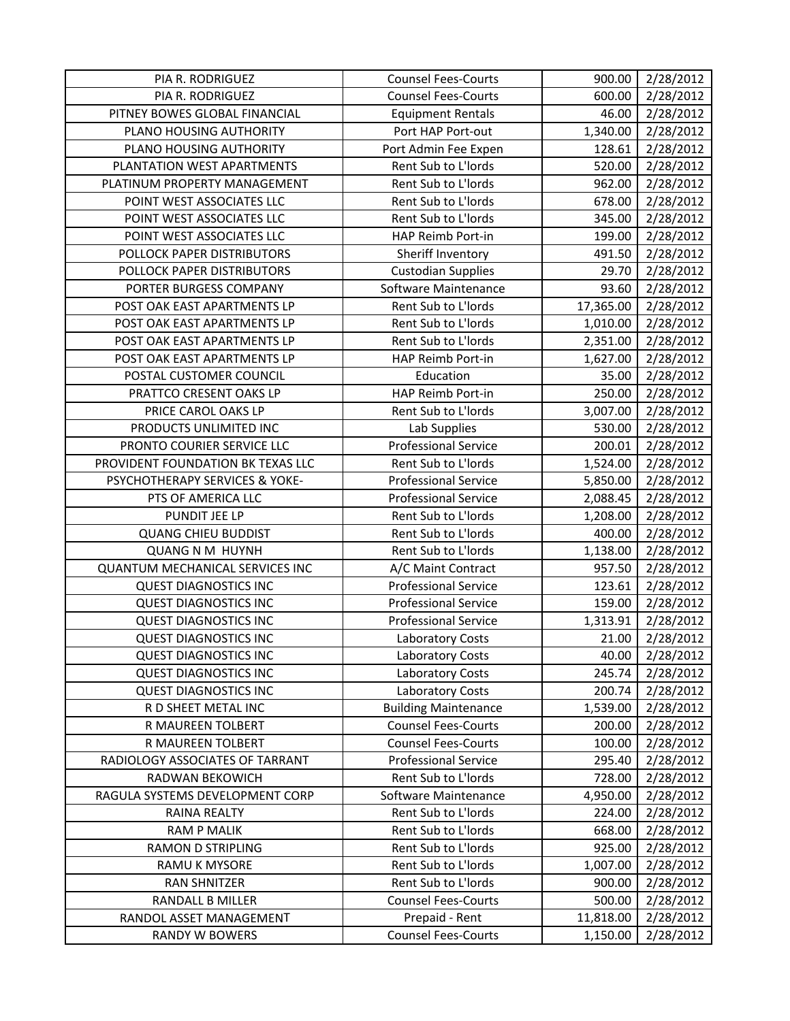| PIA R. RODRIGUEZ                                 | <b>Counsel Fees-Courts</b>                   | 900.00                | 2/28/2012              |
|--------------------------------------------------|----------------------------------------------|-----------------------|------------------------|
| PIA R. RODRIGUEZ                                 | <b>Counsel Fees-Courts</b>                   | 600.00                | 2/28/2012              |
| PITNEY BOWES GLOBAL FINANCIAL                    | <b>Equipment Rentals</b>                     | 46.00                 | 2/28/2012              |
| PLANO HOUSING AUTHORITY                          | Port HAP Port-out                            | 1,340.00              | 2/28/2012              |
| PLANO HOUSING AUTHORITY                          | Port Admin Fee Expen                         | 128.61                | 2/28/2012              |
| PLANTATION WEST APARTMENTS                       | Rent Sub to L'Iords                          | 520.00                | 2/28/2012              |
| PLATINUM PROPERTY MANAGEMENT                     | Rent Sub to L'Iords                          | 962.00                | 2/28/2012              |
| POINT WEST ASSOCIATES LLC                        | Rent Sub to L'Iords                          | 678.00                | 2/28/2012              |
| POINT WEST ASSOCIATES LLC                        | Rent Sub to L'Iords                          | 345.00                | 2/28/2012              |
| POINT WEST ASSOCIATES LLC                        | HAP Reimb Port-in                            | 199.00                | 2/28/2012              |
| POLLOCK PAPER DISTRIBUTORS                       | Sheriff Inventory                            | 491.50                | 2/28/2012              |
| POLLOCK PAPER DISTRIBUTORS                       | <b>Custodian Supplies</b>                    | 29.70                 | 2/28/2012              |
| PORTER BURGESS COMPANY                           | Software Maintenance                         | 93.60                 | 2/28/2012              |
| POST OAK EAST APARTMENTS LP                      | Rent Sub to L'Iords                          | 17,365.00             | 2/28/2012              |
| POST OAK EAST APARTMENTS LP                      | Rent Sub to L'Iords                          | 1,010.00              | 2/28/2012              |
| POST OAK EAST APARTMENTS LP                      | Rent Sub to L'Iords                          | 2,351.00              | 2/28/2012              |
| POST OAK EAST APARTMENTS LP                      | HAP Reimb Port-in                            | 1,627.00              | 2/28/2012              |
| POSTAL CUSTOMER COUNCIL                          | Education                                    | 35.00                 | 2/28/2012              |
| PRATTCO CRESENT OAKS LP                          | HAP Reimb Port-in                            | 250.00                | 2/28/2012              |
| PRICE CAROL OAKS LP                              | Rent Sub to L'Iords                          | 3,007.00              | 2/28/2012              |
| PRODUCTS UNLIMITED INC                           | Lab Supplies                                 | 530.00                | 2/28/2012              |
| PRONTO COURIER SERVICE LLC                       | <b>Professional Service</b>                  | 200.01                | 2/28/2012              |
| PROVIDENT FOUNDATION BK TEXAS LLC                | Rent Sub to L'Iords                          | 1,524.00              | 2/28/2012              |
| PSYCHOTHERAPY SERVICES & YOKE-                   | <b>Professional Service</b>                  | 5,850.00              | 2/28/2012              |
| PTS OF AMERICA LLC                               | <b>Professional Service</b>                  | 2,088.45              | 2/28/2012              |
| PUNDIT JEE LP                                    | Rent Sub to L'Iords                          | 1,208.00              | 2/28/2012              |
| <b>QUANG CHIEU BUDDIST</b>                       | Rent Sub to L'Iords                          | 400.00                | 2/28/2012              |
| <b>QUANG N M HUYNH</b>                           | Rent Sub to L'Iords                          | 1,138.00              | 2/28/2012              |
| <b>QUANTUM MECHANICAL SERVICES INC</b>           | A/C Maint Contract                           | 957.50                | 2/28/2012              |
| <b>QUEST DIAGNOSTICS INC</b>                     | <b>Professional Service</b>                  | 123.61                | 2/28/2012              |
| <b>QUEST DIAGNOSTICS INC</b>                     | <b>Professional Service</b>                  | 159.00                | 2/28/2012              |
| <b>QUEST DIAGNOSTICS INC</b>                     | <b>Professional Service</b>                  | 1,313.91              | 2/28/2012              |
| <b>QUEST DIAGNOSTICS INC</b>                     | Laboratory Costs                             | 21.00                 | 2/28/2012              |
| <b>QUEST DIAGNOSTICS INC</b>                     | Laboratory Costs                             | 40.00                 | 2/28/2012              |
| <b>QUEST DIAGNOSTICS INC</b>                     | Laboratory Costs                             | 245.74                | 2/28/2012              |
| <b>QUEST DIAGNOSTICS INC</b>                     | Laboratory Costs                             | 200.74                | 2/28/2012              |
| R D SHEET METAL INC                              | <b>Building Maintenance</b>                  | 1,539.00              | 2/28/2012              |
| R MAUREEN TOLBERT                                | <b>Counsel Fees-Courts</b>                   | 200.00                | 2/28/2012              |
| R MAUREEN TOLBERT                                | <b>Counsel Fees-Courts</b>                   | 100.00                | 2/28/2012              |
| RADIOLOGY ASSOCIATES OF TARRANT                  | <b>Professional Service</b>                  | 295.40                | 2/28/2012              |
| RADWAN BEKOWICH                                  | Rent Sub to L'Iords                          | 728.00                | 2/28/2012              |
| RAGULA SYSTEMS DEVELOPMENT CORP                  | Software Maintenance                         | 4,950.00              | 2/28/2012              |
| RAINA REALTY                                     | Rent Sub to L'Iords                          | 224.00                | 2/28/2012              |
| <b>RAM P MALIK</b>                               | Rent Sub to L'Iords                          | 668.00                | 2/28/2012              |
| <b>RAMON D STRIPLING</b>                         | Rent Sub to L'Iords                          | 925.00                | 2/28/2012              |
| RAMU K MYSORE                                    | Rent Sub to L'Iords                          | 1,007.00              | 2/28/2012              |
| <b>RAN SHNITZER</b>                              | Rent Sub to L'Iords                          | 900.00                | 2/28/2012              |
| <b>RANDALL B MILLER</b>                          |                                              |                       |                        |
|                                                  | <b>Counsel Fees-Courts</b>                   | 500.00                | 2/28/2012              |
| RANDOL ASSET MANAGEMENT<br><b>RANDY W BOWERS</b> | Prepaid - Rent<br><b>Counsel Fees-Courts</b> | 11,818.00<br>1,150.00 | 2/28/2012<br>2/28/2012 |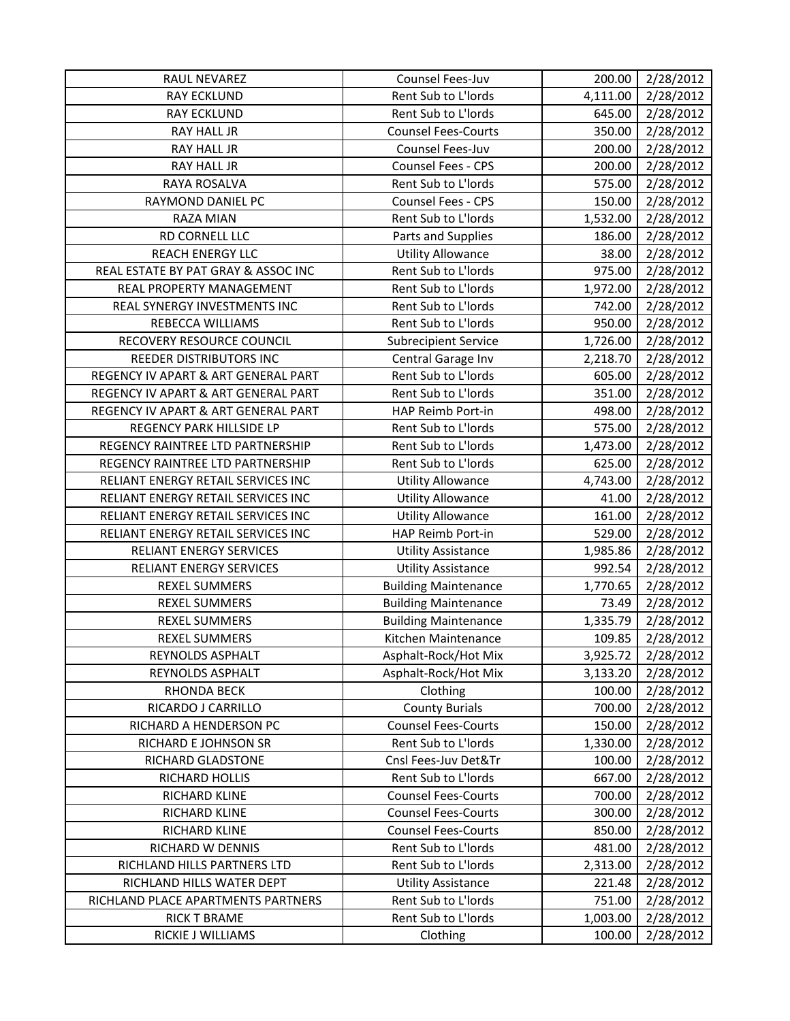| RAUL NEVAREZ                        | Counsel Fees-Juv            | 200.00   | 2/28/2012 |
|-------------------------------------|-----------------------------|----------|-----------|
| <b>RAY ECKLUND</b>                  | Rent Sub to L'Iords         | 4,111.00 | 2/28/2012 |
| <b>RAY ECKLUND</b>                  | Rent Sub to L'Iords         | 645.00   | 2/28/2012 |
| <b>RAY HALL JR</b>                  | <b>Counsel Fees-Courts</b>  | 350.00   | 2/28/2012 |
| RAY HALL JR                         | Counsel Fees-Juv            | 200.00   | 2/28/2012 |
| RAY HALL JR                         | Counsel Fees - CPS          | 200.00   | 2/28/2012 |
| <b>RAYA ROSALVA</b>                 | Rent Sub to L'Iords         | 575.00   | 2/28/2012 |
| RAYMOND DANIEL PC                   | Counsel Fees - CPS          | 150.00   | 2/28/2012 |
| RAZA MIAN                           | Rent Sub to L'Iords         | 1,532.00 | 2/28/2012 |
| RD CORNELL LLC                      | Parts and Supplies          | 186.00   | 2/28/2012 |
| <b>REACH ENERGY LLC</b>             | <b>Utility Allowance</b>    | 38.00    | 2/28/2012 |
| REAL ESTATE BY PAT GRAY & ASSOC INC | Rent Sub to L'Iords         | 975.00   | 2/28/2012 |
| REAL PROPERTY MANAGEMENT            | Rent Sub to L'Iords         | 1,972.00 | 2/28/2012 |
| REAL SYNERGY INVESTMENTS INC        | Rent Sub to L'Iords         | 742.00   | 2/28/2012 |
| REBECCA WILLIAMS                    | Rent Sub to L'Iords         | 950.00   | 2/28/2012 |
| RECOVERY RESOURCE COUNCIL           | <b>Subrecipient Service</b> | 1,726.00 | 2/28/2012 |
| REEDER DISTRIBUTORS INC             | Central Garage Inv          | 2,218.70 | 2/28/2012 |
| REGENCY IV APART & ART GENERAL PART | Rent Sub to L'Iords         | 605.00   | 2/28/2012 |
| REGENCY IV APART & ART GENERAL PART | Rent Sub to L'Iords         | 351.00   | 2/28/2012 |
| REGENCY IV APART & ART GENERAL PART | HAP Reimb Port-in           | 498.00   | 2/28/2012 |
| REGENCY PARK HILLSIDE LP            | Rent Sub to L'Iords         | 575.00   | 2/28/2012 |
| REGENCY RAINTREE LTD PARTNERSHIP    | Rent Sub to L'Iords         | 1,473.00 | 2/28/2012 |
| REGENCY RAINTREE LTD PARTNERSHIP    | Rent Sub to L'Iords         | 625.00   | 2/28/2012 |
| RELIANT ENERGY RETAIL SERVICES INC  | <b>Utility Allowance</b>    | 4,743.00 | 2/28/2012 |
| RELIANT ENERGY RETAIL SERVICES INC  | <b>Utility Allowance</b>    | 41.00    | 2/28/2012 |
| RELIANT ENERGY RETAIL SERVICES INC  | <b>Utility Allowance</b>    | 161.00   | 2/28/2012 |
| RELIANT ENERGY RETAIL SERVICES INC  | HAP Reimb Port-in           | 529.00   | 2/28/2012 |
| <b>RELIANT ENERGY SERVICES</b>      | <b>Utility Assistance</b>   | 1,985.86 | 2/28/2012 |
| RELIANT ENERGY SERVICES             | <b>Utility Assistance</b>   | 992.54   | 2/28/2012 |
| <b>REXEL SUMMERS</b>                | <b>Building Maintenance</b> | 1,770.65 | 2/28/2012 |
| <b>REXEL SUMMERS</b>                | <b>Building Maintenance</b> | 73.49    | 2/28/2012 |
| <b>REXEL SUMMERS</b>                | <b>Building Maintenance</b> | 1,335.79 | 2/28/2012 |
| <b>REXEL SUMMERS</b>                | Kitchen Maintenance         | 109.85   | 2/28/2012 |
| REYNOLDS ASPHALT                    | Asphalt-Rock/Hot Mix        | 3,925.72 | 2/28/2012 |
| REYNOLDS ASPHALT                    | Asphalt-Rock/Hot Mix        | 3,133.20 | 2/28/2012 |
| RHONDA BECK                         | Clothing                    | 100.00   | 2/28/2012 |
| RICARDO J CARRILLO                  | <b>County Burials</b>       | 700.00   | 2/28/2012 |
| RICHARD A HENDERSON PC              | <b>Counsel Fees-Courts</b>  | 150.00   | 2/28/2012 |
| RICHARD E JOHNSON SR                | Rent Sub to L'Iords         | 1,330.00 | 2/28/2012 |
| RICHARD GLADSTONE                   | Cnsl Fees-Juv Det&Tr        | 100.00   | 2/28/2012 |
| RICHARD HOLLIS                      | Rent Sub to L'Iords         | 667.00   | 2/28/2012 |
| RICHARD KLINE                       | <b>Counsel Fees-Courts</b>  | 700.00   | 2/28/2012 |
| RICHARD KLINE                       | <b>Counsel Fees-Courts</b>  | 300.00   | 2/28/2012 |
| RICHARD KLINE                       | <b>Counsel Fees-Courts</b>  | 850.00   | 2/28/2012 |
| RICHARD W DENNIS                    | Rent Sub to L'Iords         | 481.00   | 2/28/2012 |
| RICHLAND HILLS PARTNERS LTD         | Rent Sub to L'Iords         | 2,313.00 | 2/28/2012 |
| RICHLAND HILLS WATER DEPT           | <b>Utility Assistance</b>   | 221.48   | 2/28/2012 |
| RICHLAND PLACE APARTMENTS PARTNERS  | Rent Sub to L'Iords         | 751.00   | 2/28/2012 |
| <b>RICK T BRAME</b>                 | Rent Sub to L'Iords         | 1,003.00 | 2/28/2012 |
| RICKIE J WILLIAMS                   | Clothing                    | 100.00   | 2/28/2012 |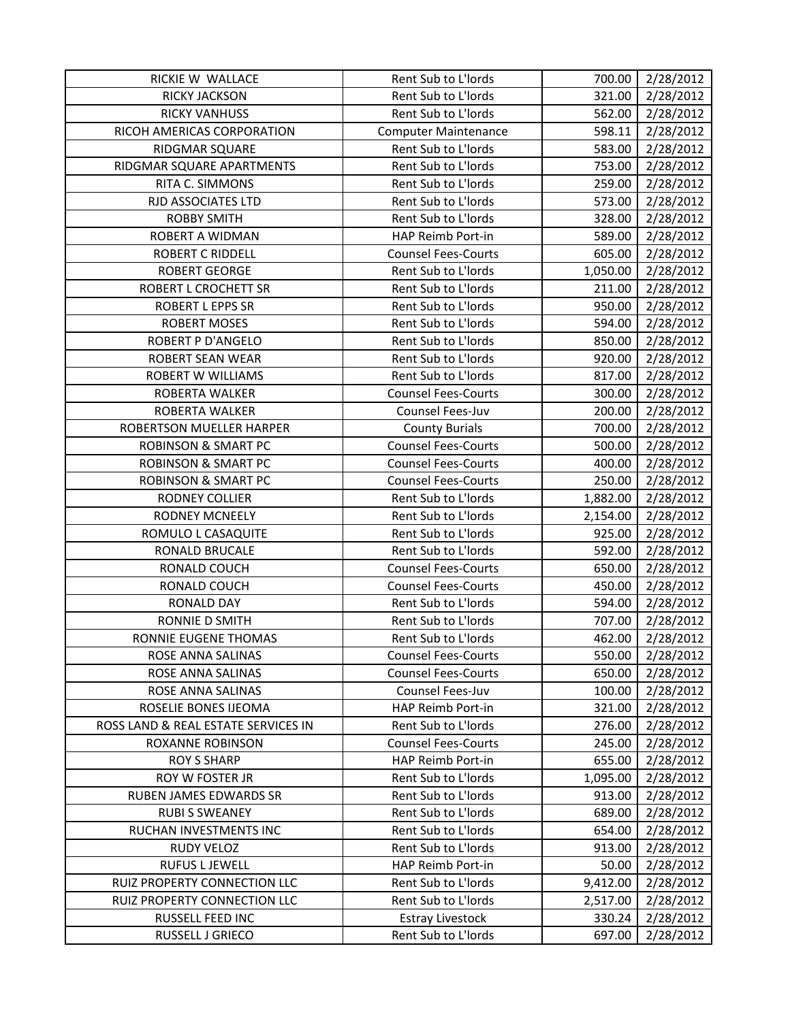| RICKIE W WALLACE                    | Rent Sub to L'Iords         | 700.00   | 2/28/2012 |
|-------------------------------------|-----------------------------|----------|-----------|
| <b>RICKY JACKSON</b>                | Rent Sub to L'Iords         | 321.00   | 2/28/2012 |
| <b>RICKY VANHUSS</b>                | Rent Sub to L'Iords         | 562.00   | 2/28/2012 |
| RICOH AMERICAS CORPORATION          | <b>Computer Maintenance</b> | 598.11   | 2/28/2012 |
| RIDGMAR SQUARE                      | Rent Sub to L'Iords         | 583.00   | 2/28/2012 |
| RIDGMAR SQUARE APARTMENTS           | Rent Sub to L'Iords         | 753.00   | 2/28/2012 |
| RITA C. SIMMONS                     | Rent Sub to L'Iords         | 259.00   | 2/28/2012 |
| RJD ASSOCIATES LTD                  | Rent Sub to L'Iords         | 573.00   | 2/28/2012 |
| <b>ROBBY SMITH</b>                  | Rent Sub to L'Iords         | 328.00   | 2/28/2012 |
| <b>ROBERT A WIDMAN</b>              | HAP Reimb Port-in           | 589.00   | 2/28/2012 |
| <b>ROBERT C RIDDELL</b>             | <b>Counsel Fees-Courts</b>  | 605.00   | 2/28/2012 |
| <b>ROBERT GEORGE</b>                | Rent Sub to L'Iords         | 1,050.00 | 2/28/2012 |
| ROBERT L CROCHETT SR                | Rent Sub to L'Iords         | 211.00   | 2/28/2012 |
| <b>ROBERT L EPPS SR</b>             | Rent Sub to L'Iords         | 950.00   | 2/28/2012 |
| <b>ROBERT MOSES</b>                 | Rent Sub to L'Iords         | 594.00   | 2/28/2012 |
| <b>ROBERT P D'ANGELO</b>            | Rent Sub to L'Iords         | 850.00   | 2/28/2012 |
| <b>ROBERT SEAN WEAR</b>             | Rent Sub to L'Iords         | 920.00   | 2/28/2012 |
| <b>ROBERT W WILLIAMS</b>            | Rent Sub to L'Iords         | 817.00   | 2/28/2012 |
| ROBERTA WALKER                      | <b>Counsel Fees-Courts</b>  | 300.00   | 2/28/2012 |
| ROBERTA WALKER                      | Counsel Fees-Juv            | 200.00   | 2/28/2012 |
| <b>ROBERTSON MUELLER HARPER</b>     | <b>County Burials</b>       | 700.00   | 2/28/2012 |
| <b>ROBINSON &amp; SMART PC</b>      | <b>Counsel Fees-Courts</b>  | 500.00   | 2/28/2012 |
| <b>ROBINSON &amp; SMART PC</b>      | <b>Counsel Fees-Courts</b>  | 400.00   | 2/28/2012 |
| <b>ROBINSON &amp; SMART PC</b>      | <b>Counsel Fees-Courts</b>  | 250.00   | 2/28/2012 |
| RODNEY COLLIER                      | Rent Sub to L'Iords         | 1,882.00 | 2/28/2012 |
| <b>RODNEY MCNEELY</b>               | Rent Sub to L'Iords         | 2,154.00 | 2/28/2012 |
| ROMULO L CASAQUITE                  | Rent Sub to L'Iords         | 925.00   | 2/28/2012 |
| RONALD BRUCALE                      | Rent Sub to L'Iords         | 592.00   | 2/28/2012 |
| RONALD COUCH                        | <b>Counsel Fees-Courts</b>  | 650.00   | 2/28/2012 |
| RONALD COUCH                        | <b>Counsel Fees-Courts</b>  | 450.00   | 2/28/2012 |
| <b>RONALD DAY</b>                   | Rent Sub to L'Iords         | 594.00   | 2/28/2012 |
| RONNIE D SMITH                      | Rent Sub to L'Iords         | 707.00   | 2/28/2012 |
| RONNIE EUGENE THOMAS                | Rent Sub to L'Iords         | 462.00   | 2/28/2012 |
| ROSE ANNA SALINAS                   | <b>Counsel Fees-Courts</b>  | 550.00   | 2/28/2012 |
| ROSE ANNA SALINAS                   | <b>Counsel Fees-Courts</b>  | 650.00   | 2/28/2012 |
| ROSE ANNA SALINAS                   | Counsel Fees-Juv            | 100.00   | 2/28/2012 |
| ROSELIE BONES IJEOMA                | HAP Reimb Port-in           | 321.00   | 2/28/2012 |
| ROSS LAND & REAL ESTATE SERVICES IN | Rent Sub to L'Iords         | 276.00   | 2/28/2012 |
| ROXANNE ROBINSON                    | <b>Counsel Fees-Courts</b>  | 245.00   | 2/28/2012 |
| <b>ROY S SHARP</b>                  | HAP Reimb Port-in           | 655.00   | 2/28/2012 |
| ROY W FOSTER JR                     | Rent Sub to L'Iords         | 1,095.00 | 2/28/2012 |
| <b>RUBEN JAMES EDWARDS SR</b>       | Rent Sub to L'Iords         | 913.00   | 2/28/2012 |
| <b>RUBI S SWEANEY</b>               | Rent Sub to L'Iords         | 689.00   | 2/28/2012 |
| RUCHAN INVESTMENTS INC              | Rent Sub to L'Iords         | 654.00   | 2/28/2012 |
| RUDY VELOZ                          | Rent Sub to L'Iords         | 913.00   | 2/28/2012 |
| <b>RUFUS L JEWELL</b>               | HAP Reimb Port-in           | 50.00    | 2/28/2012 |
| RUIZ PROPERTY CONNECTION LLC        | Rent Sub to L'Iords         | 9,412.00 | 2/28/2012 |
| RUIZ PROPERTY CONNECTION LLC        | Rent Sub to L'Iords         | 2,517.00 | 2/28/2012 |
| RUSSELL FEED INC                    | <b>Estray Livestock</b>     | 330.24   | 2/28/2012 |
| RUSSELL J GRIECO                    | Rent Sub to L'Iords         | 697.00   | 2/28/2012 |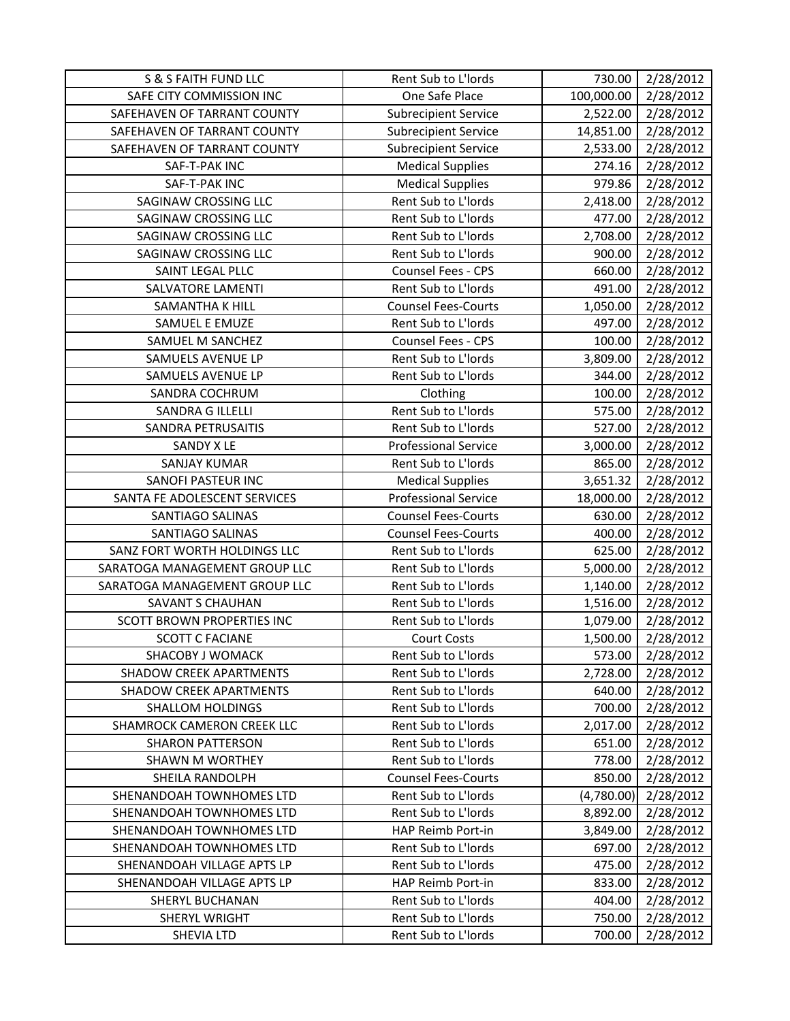| S & S FAITH FUND LLC           | Rent Sub to L'Iords         | 730.00     | 2/28/2012 |
|--------------------------------|-----------------------------|------------|-----------|
| SAFE CITY COMMISSION INC       | One Safe Place              | 100,000.00 | 2/28/2012 |
| SAFEHAVEN OF TARRANT COUNTY    | <b>Subrecipient Service</b> | 2,522.00   | 2/28/2012 |
| SAFEHAVEN OF TARRANT COUNTY    | <b>Subrecipient Service</b> | 14,851.00  | 2/28/2012 |
| SAFEHAVEN OF TARRANT COUNTY    | <b>Subrecipient Service</b> | 2,533.00   | 2/28/2012 |
| SAF-T-PAK INC                  | <b>Medical Supplies</b>     | 274.16     | 2/28/2012 |
| SAF-T-PAK INC                  | <b>Medical Supplies</b>     | 979.86     | 2/28/2012 |
| SAGINAW CROSSING LLC           | Rent Sub to L'Iords         | 2,418.00   | 2/28/2012 |
| SAGINAW CROSSING LLC           | Rent Sub to L'Iords         | 477.00     | 2/28/2012 |
| SAGINAW CROSSING LLC           | Rent Sub to L'Iords         | 2,708.00   | 2/28/2012 |
| SAGINAW CROSSING LLC           | Rent Sub to L'Iords         | 900.00     | 2/28/2012 |
| SAINT LEGAL PLLC               | Counsel Fees - CPS          | 660.00     | 2/28/2012 |
| SALVATORE LAMENTI              | Rent Sub to L'Iords         | 491.00     | 2/28/2012 |
| SAMANTHA K HILL                | <b>Counsel Fees-Courts</b>  | 1,050.00   | 2/28/2012 |
| SAMUEL E EMUZE                 | Rent Sub to L'Iords         | 497.00     | 2/28/2012 |
| SAMUEL M SANCHEZ               | <b>Counsel Fees - CPS</b>   | 100.00     | 2/28/2012 |
| SAMUELS AVENUE LP              | Rent Sub to L'Iords         | 3,809.00   | 2/28/2012 |
| SAMUELS AVENUE LP              | Rent Sub to L'Iords         | 344.00     | 2/28/2012 |
| SANDRA COCHRUM                 | Clothing                    | 100.00     | 2/28/2012 |
| <b>SANDRA G ILLELLI</b>        | Rent Sub to L'Iords         | 575.00     | 2/28/2012 |
| <b>SANDRA PETRUSAITIS</b>      | Rent Sub to L'Iords         | 527.00     | 2/28/2012 |
| SANDY X LE                     | <b>Professional Service</b> | 3,000.00   | 2/28/2012 |
| <b>SANJAY KUMAR</b>            | Rent Sub to L'Iords         | 865.00     | 2/28/2012 |
| SANOFI PASTEUR INC             | <b>Medical Supplies</b>     | 3,651.32   | 2/28/2012 |
| SANTA FE ADOLESCENT SERVICES   | <b>Professional Service</b> | 18,000.00  | 2/28/2012 |
| SANTIAGO SALINAS               | <b>Counsel Fees-Courts</b>  | 630.00     | 2/28/2012 |
| SANTIAGO SALINAS               | <b>Counsel Fees-Courts</b>  | 400.00     | 2/28/2012 |
| SANZ FORT WORTH HOLDINGS LLC   | Rent Sub to L'Iords         | 625.00     | 2/28/2012 |
| SARATOGA MANAGEMENT GROUP LLC  | Rent Sub to L'Iords         | 5,000.00   | 2/28/2012 |
| SARATOGA MANAGEMENT GROUP LLC  | Rent Sub to L'Iords         | 1,140.00   | 2/28/2012 |
| <b>SAVANT S CHAUHAN</b>        | Rent Sub to L'Iords         | 1,516.00   | 2/28/2012 |
| SCOTT BROWN PROPERTIES INC     | Rent Sub to L'Iords         | 1,079.00   | 2/28/2012 |
| <b>SCOTT C FACIANE</b>         | <b>Court Costs</b>          | 1,500.00   | 2/28/2012 |
| SHACOBY J WOMACK               | Rent Sub to L'Iords         | 573.00     | 2/28/2012 |
| <b>SHADOW CREEK APARTMENTS</b> | Rent Sub to L'Iords         | 2,728.00   | 2/28/2012 |
| <b>SHADOW CREEK APARTMENTS</b> | Rent Sub to L'Iords         | 640.00     | 2/28/2012 |
| <b>SHALLOM HOLDINGS</b>        | Rent Sub to L'Iords         | 700.00     | 2/28/2012 |
| SHAMROCK CAMERON CREEK LLC     | Rent Sub to L'Iords         | 2,017.00   | 2/28/2012 |
| <b>SHARON PATTERSON</b>        | Rent Sub to L'Iords         | 651.00     | 2/28/2012 |
| <b>SHAWN M WORTHEY</b>         | Rent Sub to L'Iords         | 778.00     | 2/28/2012 |
| SHEILA RANDOLPH                | <b>Counsel Fees-Courts</b>  | 850.00     | 2/28/2012 |
| SHENANDOAH TOWNHOMES LTD       | Rent Sub to L'Iords         | (4,780.00) | 2/28/2012 |
| SHENANDOAH TOWNHOMES LTD       | Rent Sub to L'Iords         | 8,892.00   | 2/28/2012 |
| SHENANDOAH TOWNHOMES LTD       | HAP Reimb Port-in           | 3,849.00   | 2/28/2012 |
| SHENANDOAH TOWNHOMES LTD       | Rent Sub to L'Iords         | 697.00     | 2/28/2012 |
| SHENANDOAH VILLAGE APTS LP     | Rent Sub to L'Iords         | 475.00     | 2/28/2012 |
| SHENANDOAH VILLAGE APTS LP     |                             |            | 2/28/2012 |
|                                | HAP Reimb Port-in           | 833.00     |           |
| <b>SHERYL BUCHANAN</b>         | Rent Sub to L'Iords         | 404.00     | 2/28/2012 |
| SHERYL WRIGHT                  | Rent Sub to L'Iords         | 750.00     | 2/28/2012 |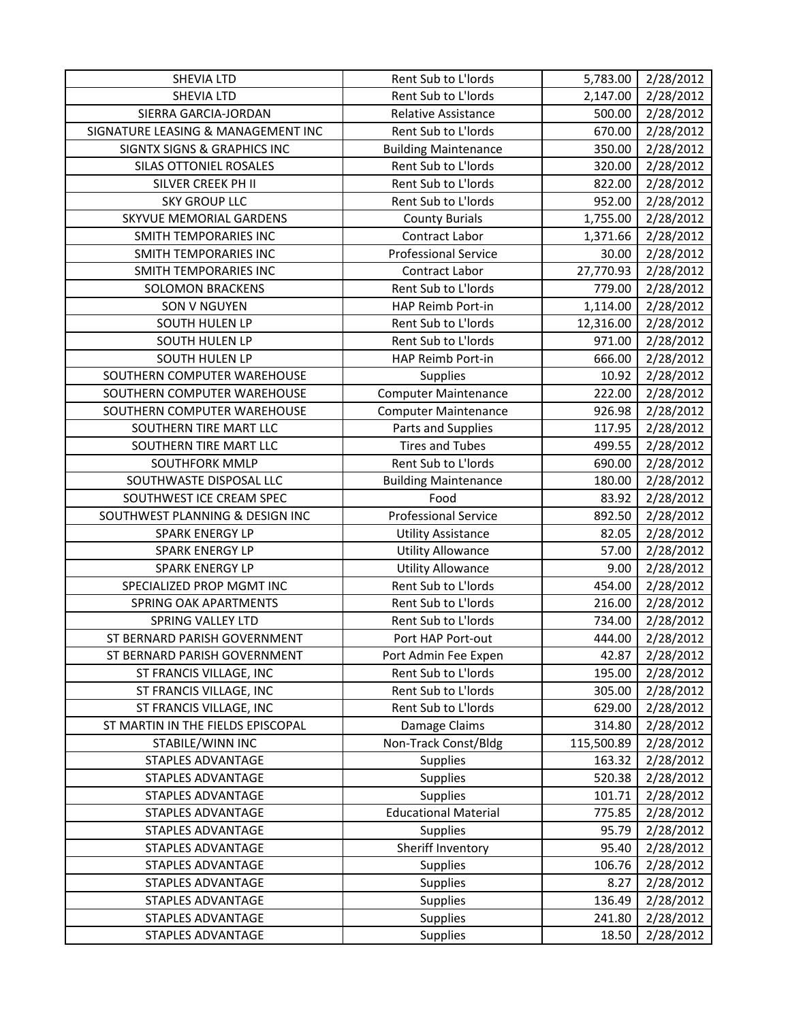| <b>SHEVIA LTD</b>                      | Rent Sub to L'Iords         | 5,783.00   | 2/28/2012 |
|----------------------------------------|-----------------------------|------------|-----------|
| <b>SHEVIA LTD</b>                      | Rent Sub to L'Iords         | 2,147.00   | 2/28/2012 |
| SIERRA GARCIA-JORDAN                   | <b>Relative Assistance</b>  | 500.00     | 2/28/2012 |
| SIGNATURE LEASING & MANAGEMENT INC     | Rent Sub to L'Iords         | 670.00     | 2/28/2012 |
| <b>SIGNTX SIGNS &amp; GRAPHICS INC</b> | <b>Building Maintenance</b> | 350.00     | 2/28/2012 |
| SILAS OTTONIEL ROSALES                 | Rent Sub to L'Iords         | 320.00     | 2/28/2012 |
| SILVER CREEK PH II                     | Rent Sub to L'Iords         | 822.00     | 2/28/2012 |
| <b>SKY GROUP LLC</b>                   | Rent Sub to L'Iords         | 952.00     | 2/28/2012 |
| SKYVUE MEMORIAL GARDENS                | <b>County Burials</b>       | 1,755.00   | 2/28/2012 |
| SMITH TEMPORARIES INC                  | Contract Labor              | 1,371.66   | 2/28/2012 |
| SMITH TEMPORARIES INC                  | <b>Professional Service</b> | 30.00      | 2/28/2012 |
| SMITH TEMPORARIES INC                  | Contract Labor              | 27,770.93  | 2/28/2012 |
| <b>SOLOMON BRACKENS</b>                | Rent Sub to L'Iords         | 779.00     | 2/28/2012 |
| SON V NGUYEN                           | HAP Reimb Port-in           | 1,114.00   | 2/28/2012 |
| <b>SOUTH HULEN LP</b>                  | Rent Sub to L'Iords         | 12,316.00  | 2/28/2012 |
| SOUTH HULEN LP                         | Rent Sub to L'Iords         | 971.00     | 2/28/2012 |
| SOUTH HULEN LP                         | HAP Reimb Port-in           | 666.00     | 2/28/2012 |
| SOUTHERN COMPUTER WAREHOUSE            | Supplies                    | 10.92      | 2/28/2012 |
| SOUTHERN COMPUTER WAREHOUSE            | <b>Computer Maintenance</b> | 222.00     | 2/28/2012 |
| SOUTHERN COMPUTER WAREHOUSE            | <b>Computer Maintenance</b> | 926.98     | 2/28/2012 |
| SOUTHERN TIRE MART LLC                 | Parts and Supplies          | 117.95     | 2/28/2012 |
| SOUTHERN TIRE MART LLC                 | <b>Tires and Tubes</b>      | 499.55     | 2/28/2012 |
| <b>SOUTHFORK MMLP</b>                  | Rent Sub to L'Iords         | 690.00     | 2/28/2012 |
| SOUTHWASTE DISPOSAL LLC                | <b>Building Maintenance</b> | 180.00     | 2/28/2012 |
| SOUTHWEST ICE CREAM SPEC               | Food                        | 83.92      | 2/28/2012 |
| SOUTHWEST PLANNING & DESIGN INC        | <b>Professional Service</b> | 892.50     | 2/28/2012 |
| <b>SPARK ENERGY LP</b>                 | <b>Utility Assistance</b>   | 82.05      | 2/28/2012 |
| SPARK ENERGY LP                        | <b>Utility Allowance</b>    | 57.00      | 2/28/2012 |
| <b>SPARK ENERGY LP</b>                 | <b>Utility Allowance</b>    | 9.00       | 2/28/2012 |
| SPECIALIZED PROP MGMT INC              | Rent Sub to L'Iords         | 454.00     | 2/28/2012 |
| <b>SPRING OAK APARTMENTS</b>           | Rent Sub to L'Iords         | 216.00     | 2/28/2012 |
| <b>SPRING VALLEY LTD</b>               | Rent Sub to L'Iords         | 734.00     | 2/28/2012 |
| ST BERNARD PARISH GOVERNMENT           | Port HAP Port-out           | 444.00     | 2/28/2012 |
| ST BERNARD PARISH GOVERNMENT           | Port Admin Fee Expen        | 42.87      | 2/28/2012 |
| ST FRANCIS VILLAGE, INC                | Rent Sub to L'Iords         | 195.00     | 2/28/2012 |
| ST FRANCIS VILLAGE, INC                | Rent Sub to L'Iords         | 305.00     | 2/28/2012 |
| ST FRANCIS VILLAGE, INC                | Rent Sub to L'Iords         | 629.00     | 2/28/2012 |
| ST MARTIN IN THE FIELDS EPISCOPAL      | Damage Claims               | 314.80     | 2/28/2012 |
| STABILE/WINN INC                       | Non-Track Const/Bldg        | 115,500.89 | 2/28/2012 |
| STAPLES ADVANTAGE                      | <b>Supplies</b>             | 163.32     | 2/28/2012 |
| STAPLES ADVANTAGE                      | <b>Supplies</b>             | 520.38     | 2/28/2012 |
| STAPLES ADVANTAGE                      | Supplies                    | 101.71     | 2/28/2012 |
| STAPLES ADVANTAGE                      | <b>Educational Material</b> | 775.85     | 2/28/2012 |
| STAPLES ADVANTAGE                      | <b>Supplies</b>             | 95.79      | 2/28/2012 |
| <b>STAPLES ADVANTAGE</b>               | Sheriff Inventory           | 95.40      | 2/28/2012 |
| STAPLES ADVANTAGE                      | <b>Supplies</b>             | 106.76     | 2/28/2012 |
| STAPLES ADVANTAGE                      | <b>Supplies</b>             | 8.27       | 2/28/2012 |
| <b>STAPLES ADVANTAGE</b>               | <b>Supplies</b>             | 136.49     | 2/28/2012 |
| <b>STAPLES ADVANTAGE</b>               | <b>Supplies</b>             | 241.80     | 2/28/2012 |
| STAPLES ADVANTAGE                      | <b>Supplies</b>             | 18.50      | 2/28/2012 |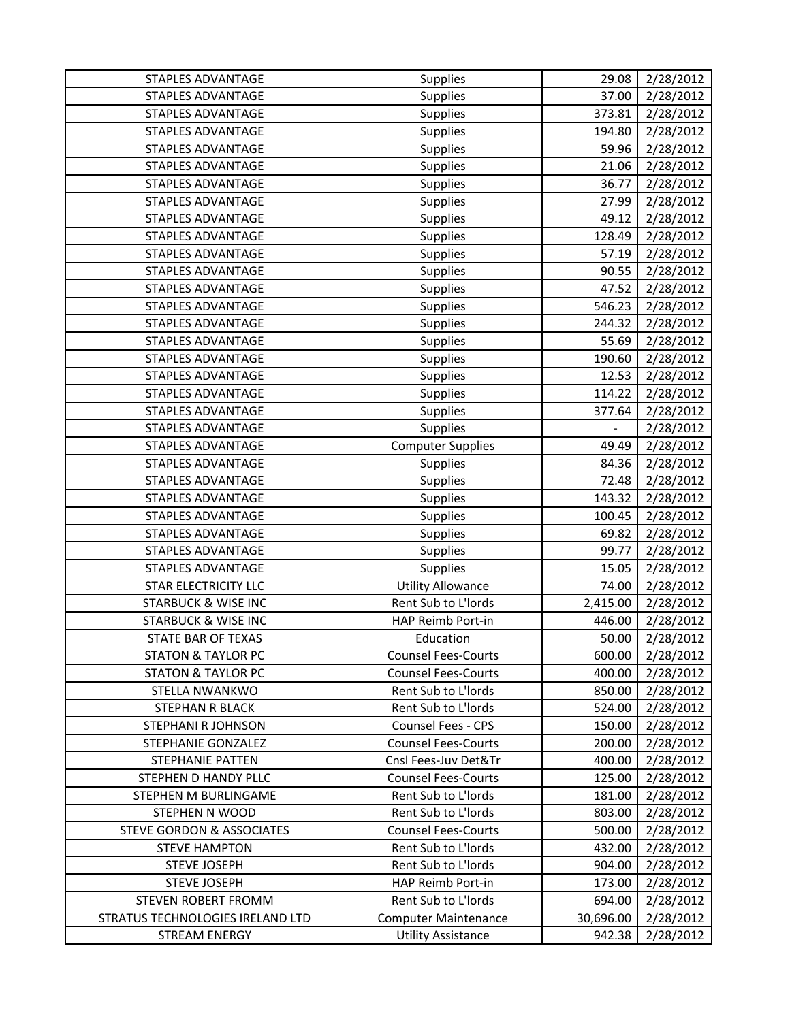| STAPLES ADVANTAGE                    | <b>Supplies</b>             | 29.08                    | 2/28/2012 |
|--------------------------------------|-----------------------------|--------------------------|-----------|
| <b>STAPLES ADVANTAGE</b>             | <b>Supplies</b>             | 37.00                    | 2/28/2012 |
| <b>STAPLES ADVANTAGE</b>             | <b>Supplies</b>             | 373.81                   | 2/28/2012 |
| <b>STAPLES ADVANTAGE</b>             | <b>Supplies</b>             | 194.80                   | 2/28/2012 |
| <b>STAPLES ADVANTAGE</b>             | <b>Supplies</b>             | 59.96                    | 2/28/2012 |
| <b>STAPLES ADVANTAGE</b>             | <b>Supplies</b>             | 21.06                    | 2/28/2012 |
| <b>STAPLES ADVANTAGE</b>             | <b>Supplies</b>             | 36.77                    | 2/28/2012 |
| <b>STAPLES ADVANTAGE</b>             | <b>Supplies</b>             | 27.99                    | 2/28/2012 |
| STAPLES ADVANTAGE                    | Supplies                    | 49.12                    | 2/28/2012 |
| <b>STAPLES ADVANTAGE</b>             | Supplies                    | 128.49                   | 2/28/2012 |
| <b>STAPLES ADVANTAGE</b>             | Supplies                    | 57.19                    | 2/28/2012 |
| <b>STAPLES ADVANTAGE</b>             | Supplies                    | 90.55                    | 2/28/2012 |
| STAPLES ADVANTAGE                    | Supplies                    | 47.52                    | 2/28/2012 |
| <b>STAPLES ADVANTAGE</b>             | <b>Supplies</b>             | 546.23                   | 2/28/2012 |
| <b>STAPLES ADVANTAGE</b>             | Supplies                    | 244.32                   | 2/28/2012 |
| <b>STAPLES ADVANTAGE</b>             | <b>Supplies</b>             | 55.69                    | 2/28/2012 |
| STAPLES ADVANTAGE                    | <b>Supplies</b>             | 190.60                   | 2/28/2012 |
| <b>STAPLES ADVANTAGE</b>             | Supplies                    | 12.53                    | 2/28/2012 |
| <b>STAPLES ADVANTAGE</b>             | <b>Supplies</b>             | 114.22                   | 2/28/2012 |
| STAPLES ADVANTAGE                    | Supplies                    | 377.64                   | 2/28/2012 |
| <b>STAPLES ADVANTAGE</b>             | <b>Supplies</b>             | $\overline{\phantom{0}}$ | 2/28/2012 |
| <b>STAPLES ADVANTAGE</b>             | <b>Computer Supplies</b>    | 49.49                    | 2/28/2012 |
| <b>STAPLES ADVANTAGE</b>             | Supplies                    | 84.36                    | 2/28/2012 |
| STAPLES ADVANTAGE                    | <b>Supplies</b>             | 72.48                    | 2/28/2012 |
| <b>STAPLES ADVANTAGE</b>             | <b>Supplies</b>             | 143.32                   | 2/28/2012 |
| <b>STAPLES ADVANTAGE</b>             | Supplies                    | 100.45                   | 2/28/2012 |
| <b>STAPLES ADVANTAGE</b>             | <b>Supplies</b>             | 69.82                    | 2/28/2012 |
| <b>STAPLES ADVANTAGE</b>             | <b>Supplies</b>             | 99.77                    | 2/28/2012 |
| <b>STAPLES ADVANTAGE</b>             | <b>Supplies</b>             | 15.05                    | 2/28/2012 |
| <b>STAR ELECTRICITY LLC</b>          | <b>Utility Allowance</b>    | 74.00                    | 2/28/2012 |
| <b>STARBUCK &amp; WISE INC</b>       | Rent Sub to L'Iords         | 2,415.00                 | 2/28/2012 |
| <b>STARBUCK &amp; WISE INC</b>       | HAP Reimb Port-in           | 446.00                   | 2/28/2012 |
| <b>STATE BAR OF TEXAS</b>            | Education                   | 50.00                    | 2/28/2012 |
| <b>STATON &amp; TAYLOR PC</b>        | <b>Counsel Fees-Courts</b>  | 600.00                   | 2/28/2012 |
| <b>STATON &amp; TAYLOR PC</b>        | <b>Counsel Fees-Courts</b>  | 400.00                   | 2/28/2012 |
| STELLA NWANKWO                       | Rent Sub to L'Iords         | 850.00                   | 2/28/2012 |
| STEPHAN R BLACK                      | Rent Sub to L'Iords         | 524.00                   | 2/28/2012 |
| <b>STEPHANI R JOHNSON</b>            | <b>Counsel Fees - CPS</b>   | 150.00                   | 2/28/2012 |
| STEPHANIE GONZALEZ                   | <b>Counsel Fees-Courts</b>  | 200.00                   | 2/28/2012 |
| <b>STEPHANIE PATTEN</b>              | Cnsl Fees-Juv Det&Tr        | 400.00                   | 2/28/2012 |
| STEPHEN D HANDY PLLC                 | <b>Counsel Fees-Courts</b>  | 125.00                   | 2/28/2012 |
| STEPHEN M BURLINGAME                 | Rent Sub to L'Iords         | 181.00                   | 2/28/2012 |
| <b>STEPHEN N WOOD</b>                | Rent Sub to L'Iords         | 803.00                   | 2/28/2012 |
| <b>STEVE GORDON &amp; ASSOCIATES</b> | <b>Counsel Fees-Courts</b>  | 500.00                   | 2/28/2012 |
| <b>STEVE HAMPTON</b>                 | Rent Sub to L'Iords         | 432.00                   | 2/28/2012 |
| <b>STEVE JOSEPH</b>                  | Rent Sub to L'Iords         | 904.00                   | 2/28/2012 |
| <b>STEVE JOSEPH</b>                  | HAP Reimb Port-in           | 173.00                   | 2/28/2012 |
| <b>STEVEN ROBERT FROMM</b>           | Rent Sub to L'Iords         | 694.00                   | 2/28/2012 |
| STRATUS TECHNOLOGIES IRELAND LTD     | <b>Computer Maintenance</b> | 30,696.00                | 2/28/2012 |
| <b>STREAM ENERGY</b>                 | <b>Utility Assistance</b>   | 942.38                   | 2/28/2012 |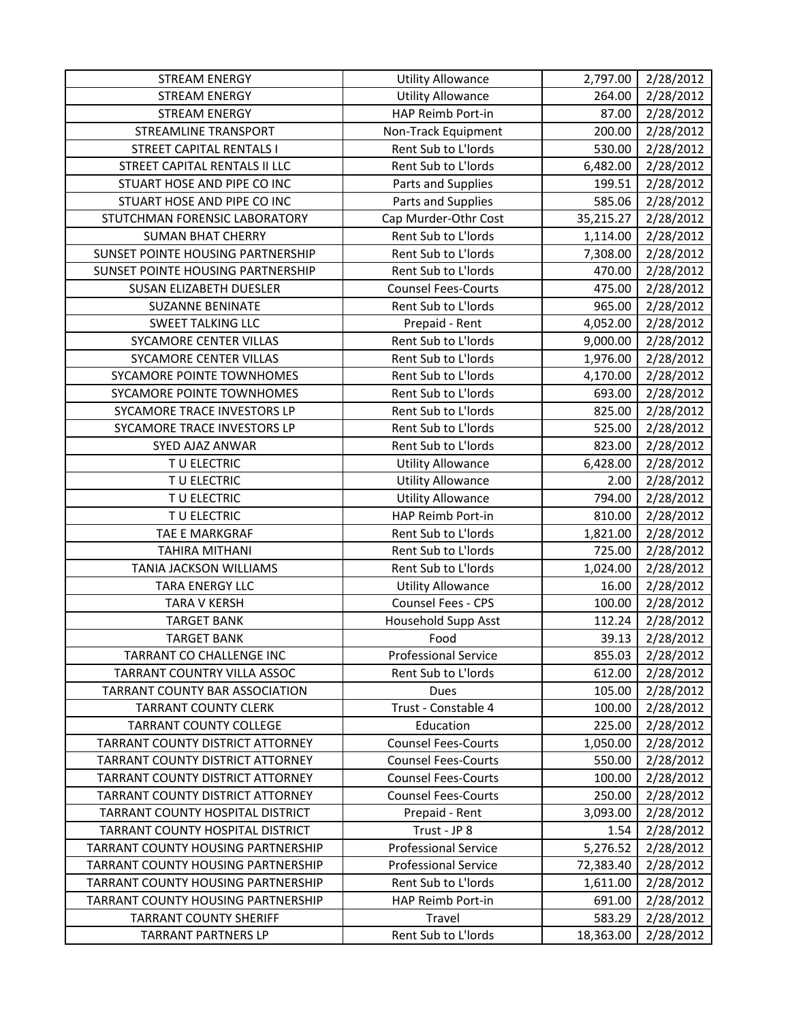| <b>STREAM ENERGY</b>                      | <b>Utility Allowance</b>    | 2,797.00  | 2/28/2012 |
|-------------------------------------------|-----------------------------|-----------|-----------|
| <b>STREAM ENERGY</b>                      | <b>Utility Allowance</b>    | 264.00    | 2/28/2012 |
| <b>STREAM ENERGY</b>                      | HAP Reimb Port-in           | 87.00     | 2/28/2012 |
| <b>STREAMLINE TRANSPORT</b>               | Non-Track Equipment         | 200.00    | 2/28/2012 |
| <b>STREET CAPITAL RENTALS I</b>           | Rent Sub to L'Iords         | 530.00    | 2/28/2012 |
| STREET CAPITAL RENTALS II LLC             | Rent Sub to L'Iords         | 6,482.00  | 2/28/2012 |
| STUART HOSE AND PIPE CO INC               | Parts and Supplies          | 199.51    | 2/28/2012 |
| STUART HOSE AND PIPE CO INC               | Parts and Supplies          | 585.06    | 2/28/2012 |
| STUTCHMAN FORENSIC LABORATORY             | Cap Murder-Othr Cost        | 35,215.27 | 2/28/2012 |
| <b>SUMAN BHAT CHERRY</b>                  | Rent Sub to L'Iords         | 1,114.00  | 2/28/2012 |
| SUNSET POINTE HOUSING PARTNERSHIP         | Rent Sub to L'Iords         | 7,308.00  | 2/28/2012 |
| SUNSET POINTE HOUSING PARTNERSHIP         | Rent Sub to L'Iords         | 470.00    | 2/28/2012 |
| SUSAN ELIZABETH DUESLER                   | <b>Counsel Fees-Courts</b>  | 475.00    | 2/28/2012 |
| <b>SUZANNE BENINATE</b>                   | Rent Sub to L'Iords         | 965.00    | 2/28/2012 |
| <b>SWEET TALKING LLC</b>                  | Prepaid - Rent              | 4,052.00  | 2/28/2012 |
| SYCAMORE CENTER VILLAS                    | Rent Sub to L'Iords         | 9,000.00  | 2/28/2012 |
| <b>SYCAMORE CENTER VILLAS</b>             | Rent Sub to L'Iords         | 1,976.00  | 2/28/2012 |
| SYCAMORE POINTE TOWNHOMES                 | Rent Sub to L'Iords         | 4,170.00  | 2/28/2012 |
| SYCAMORE POINTE TOWNHOMES                 | Rent Sub to L'Iords         | 693.00    | 2/28/2012 |
| SYCAMORE TRACE INVESTORS LP               | Rent Sub to L'Iords         | 825.00    | 2/28/2012 |
| SYCAMORE TRACE INVESTORS LP               | Rent Sub to L'Iords         | 525.00    | 2/28/2012 |
| SYED AJAZ ANWAR                           | Rent Sub to L'Iords         | 823.00    | 2/28/2012 |
| TU ELECTRIC                               | <b>Utility Allowance</b>    | 6,428.00  | 2/28/2012 |
| TU ELECTRIC                               | <b>Utility Allowance</b>    | 2.00      | 2/28/2012 |
| TU ELECTRIC                               | <b>Utility Allowance</b>    | 794.00    | 2/28/2012 |
| TU ELECTRIC                               | HAP Reimb Port-in           | 810.00    | 2/28/2012 |
| TAE E MARKGRAF                            | Rent Sub to L'Iords         | 1,821.00  | 2/28/2012 |
| <b>TAHIRA MITHANI</b>                     | Rent Sub to L'Iords         | 725.00    | 2/28/2012 |
| TANIA JACKSON WILLIAMS                    | Rent Sub to L'Iords         | 1,024.00  | 2/28/2012 |
| <b>TARA ENERGY LLC</b>                    | <b>Utility Allowance</b>    | 16.00     | 2/28/2012 |
| <b>TARA V KERSH</b>                       | Counsel Fees - CPS          | 100.00    | 2/28/2012 |
| <b>TARGET BANK</b>                        | <b>Household Supp Asst</b>  | 112.24    | 2/28/2012 |
| <b>TARGET BANK</b>                        | Food                        | 39.13     | 2/28/2012 |
| TARRANT CO CHALLENGE INC                  | <b>Professional Service</b> | 855.03    | 2/28/2012 |
| TARRANT COUNTRY VILLA ASSOC               | Rent Sub to L'Iords         | 612.00    | 2/28/2012 |
| <b>TARRANT COUNTY BAR ASSOCIATION</b>     | <b>Dues</b>                 | 105.00    | 2/28/2012 |
| <b>TARRANT COUNTY CLERK</b>               | Trust - Constable 4         | 100.00    | 2/28/2012 |
| <b>TARRANT COUNTY COLLEGE</b>             | Education                   | 225.00    | 2/28/2012 |
| TARRANT COUNTY DISTRICT ATTORNEY          | <b>Counsel Fees-Courts</b>  | 1,050.00  | 2/28/2012 |
| TARRANT COUNTY DISTRICT ATTORNEY          | <b>Counsel Fees-Courts</b>  | 550.00    | 2/28/2012 |
| TARRANT COUNTY DISTRICT ATTORNEY          | <b>Counsel Fees-Courts</b>  | 100.00    | 2/28/2012 |
| TARRANT COUNTY DISTRICT ATTORNEY          | <b>Counsel Fees-Courts</b>  | 250.00    | 2/28/2012 |
| TARRANT COUNTY HOSPITAL DISTRICT          | Prepaid - Rent              | 3,093.00  | 2/28/2012 |
| TARRANT COUNTY HOSPITAL DISTRICT          | Trust - JP 8                | 1.54      | 2/28/2012 |
| TARRANT COUNTY HOUSING PARTNERSHIP        | <b>Professional Service</b> | 5,276.52  | 2/28/2012 |
| TARRANT COUNTY HOUSING PARTNERSHIP        | <b>Professional Service</b> | 72,383.40 | 2/28/2012 |
| <b>TARRANT COUNTY HOUSING PARTNERSHIP</b> | Rent Sub to L'Iords         | 1,611.00  | 2/28/2012 |
| TARRANT COUNTY HOUSING PARTNERSHIP        | HAP Reimb Port-in           | 691.00    | 2/28/2012 |
| <b>TARRANT COUNTY SHERIFF</b>             | Travel                      | 583.29    | 2/28/2012 |
| <b>TARRANT PARTNERS LP</b>                | Rent Sub to L'Iords         | 18,363.00 | 2/28/2012 |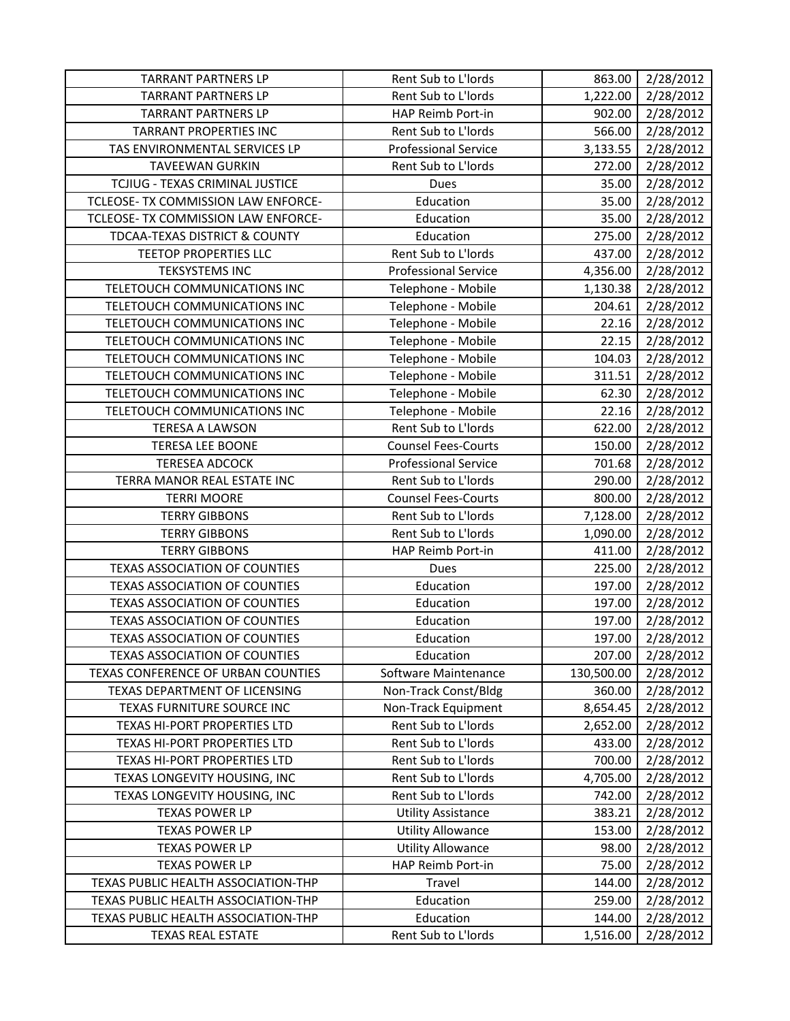| <b>TARRANT PARTNERS LP</b>           | Rent Sub to L'Iords         | 863.00     | 2/28/2012 |
|--------------------------------------|-----------------------------|------------|-----------|
| <b>TARRANT PARTNERS LP</b>           | Rent Sub to L'Iords         | 1,222.00   | 2/28/2012 |
| <b>TARRANT PARTNERS LP</b>           | HAP Reimb Port-in           | 902.00     | 2/28/2012 |
| <b>TARRANT PROPERTIES INC</b>        | Rent Sub to L'Iords         | 566.00     | 2/28/2012 |
| TAS ENVIRONMENTAL SERVICES LP        | <b>Professional Service</b> | 3,133.55   | 2/28/2012 |
| <b>TAVEEWAN GURKIN</b>               | Rent Sub to L'Iords         | 272.00     | 2/28/2012 |
| TCJIUG - TEXAS CRIMINAL JUSTICE      | Dues                        | 35.00      | 2/28/2012 |
| TCLEOSE- TX COMMISSION LAW ENFORCE-  | Education                   | 35.00      | 2/28/2012 |
| TCLEOSE- TX COMMISSION LAW ENFORCE-  | Education                   | 35.00      | 2/28/2012 |
| TDCAA-TEXAS DISTRICT & COUNTY        | Education                   | 275.00     | 2/28/2012 |
| <b>TEETOP PROPERTIES LLC</b>         | Rent Sub to L'Iords         | 437.00     | 2/28/2012 |
| <b>TEKSYSTEMS INC</b>                | <b>Professional Service</b> | 4,356.00   | 2/28/2012 |
| TELETOUCH COMMUNICATIONS INC         | Telephone - Mobile          | 1,130.38   | 2/28/2012 |
| TELETOUCH COMMUNICATIONS INC         | Telephone - Mobile          | 204.61     | 2/28/2012 |
| TELETOUCH COMMUNICATIONS INC         | Telephone - Mobile          | 22.16      | 2/28/2012 |
| TELETOUCH COMMUNICATIONS INC         | Telephone - Mobile          | 22.15      | 2/28/2012 |
| TELETOUCH COMMUNICATIONS INC         | Telephone - Mobile          | 104.03     | 2/28/2012 |
| TELETOUCH COMMUNICATIONS INC         | Telephone - Mobile          | 311.51     | 2/28/2012 |
| TELETOUCH COMMUNICATIONS INC         | Telephone - Mobile          | 62.30      | 2/28/2012 |
| TELETOUCH COMMUNICATIONS INC         | Telephone - Mobile          | 22.16      | 2/28/2012 |
| <b>TERESA A LAWSON</b>               | Rent Sub to L'Iords         | 622.00     | 2/28/2012 |
| <b>TERESA LEE BOONE</b>              | <b>Counsel Fees-Courts</b>  | 150.00     | 2/28/2012 |
| <b>TERESEA ADCOCK</b>                | <b>Professional Service</b> | 701.68     | 2/28/2012 |
| TERRA MANOR REAL ESTATE INC          | Rent Sub to L'Iords         | 290.00     | 2/28/2012 |
| <b>TERRI MOORE</b>                   | <b>Counsel Fees-Courts</b>  | 800.00     | 2/28/2012 |
| <b>TERRY GIBBONS</b>                 | Rent Sub to L'Iords         | 7,128.00   | 2/28/2012 |
| <b>TERRY GIBBONS</b>                 | Rent Sub to L'Iords         | 1,090.00   | 2/28/2012 |
| <b>TERRY GIBBONS</b>                 | HAP Reimb Port-in           | 411.00     | 2/28/2012 |
| <b>TEXAS ASSOCIATION OF COUNTIES</b> | Dues                        | 225.00     | 2/28/2012 |
| <b>TEXAS ASSOCIATION OF COUNTIES</b> | Education                   | 197.00     | 2/28/2012 |
| <b>TEXAS ASSOCIATION OF COUNTIES</b> | Education                   | 197.00     | 2/28/2012 |
| <b>TEXAS ASSOCIATION OF COUNTIES</b> | Education                   | 197.00     | 2/28/2012 |
| <b>TEXAS ASSOCIATION OF COUNTIES</b> | Education                   | 197.00     | 2/28/2012 |
| <b>TEXAS ASSOCIATION OF COUNTIES</b> | Education                   | 207.00     | 2/28/2012 |
| TEXAS CONFERENCE OF URBAN COUNTIES   | Software Maintenance        | 130,500.00 | 2/28/2012 |
| TEXAS DEPARTMENT OF LICENSING        | Non-Track Const/Bldg        | 360.00     | 2/28/2012 |
| TEXAS FURNITURE SOURCE INC           | Non-Track Equipment         | 8,654.45   | 2/28/2012 |
| TEXAS HI-PORT PROPERTIES LTD         | Rent Sub to L'Iords         | 2,652.00   | 2/28/2012 |
| TEXAS HI-PORT PROPERTIES LTD         | Rent Sub to L'Iords         | 433.00     | 2/28/2012 |
| TEXAS HI-PORT PROPERTIES LTD         | Rent Sub to L'Iords         | 700.00     | 2/28/2012 |
| TEXAS LONGEVITY HOUSING, INC         | Rent Sub to L'Iords         | 4,705.00   | 2/28/2012 |
| TEXAS LONGEVITY HOUSING, INC         | Rent Sub to L'Iords         | 742.00     | 2/28/2012 |
| <b>TEXAS POWER LP</b>                | <b>Utility Assistance</b>   | 383.21     | 2/28/2012 |
| <b>TEXAS POWER LP</b>                | <b>Utility Allowance</b>    | 153.00     | 2/28/2012 |
| <b>TEXAS POWER LP</b>                | <b>Utility Allowance</b>    | 98.00      | 2/28/2012 |
| <b>TEXAS POWER LP</b>                | HAP Reimb Port-in           | 75.00      | 2/28/2012 |
| TEXAS PUBLIC HEALTH ASSOCIATION-THP  | Travel                      | 144.00     | 2/28/2012 |
| TEXAS PUBLIC HEALTH ASSOCIATION-THP  | Education                   | 259.00     | 2/28/2012 |
| TEXAS PUBLIC HEALTH ASSOCIATION-THP  | Education                   | 144.00     | 2/28/2012 |
| <b>TEXAS REAL ESTATE</b>             | Rent Sub to L'Iords         | 1,516.00   | 2/28/2012 |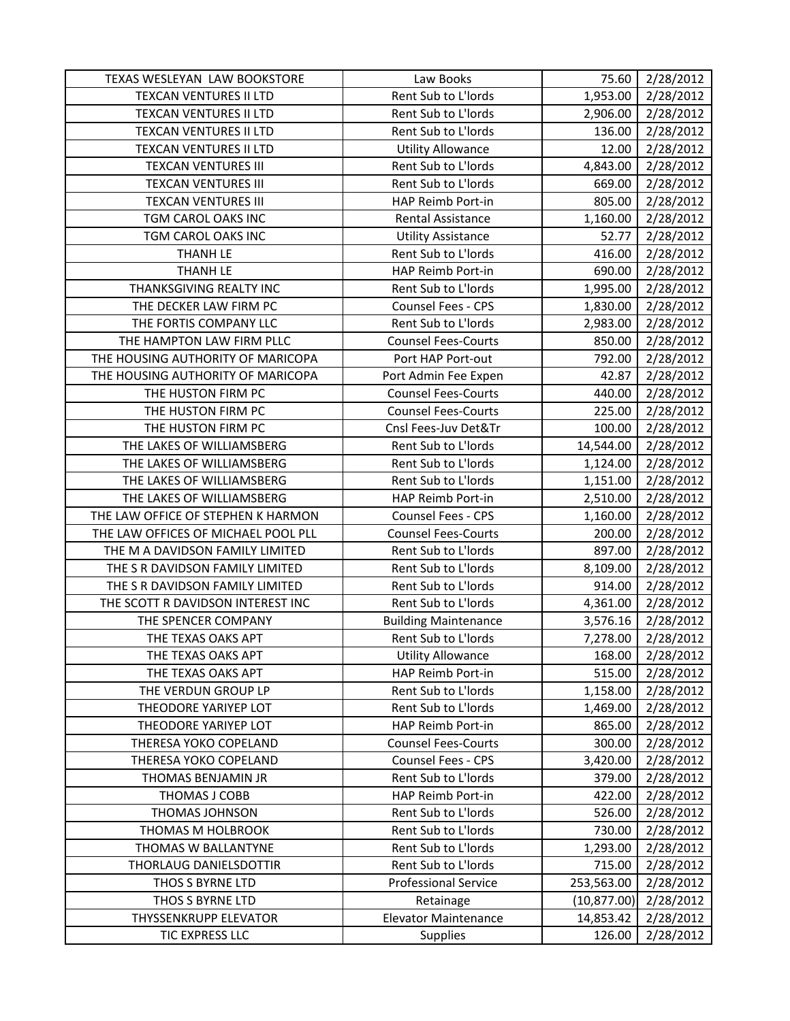| TEXAS WESLEYAN LAW BOOKSTORE        | Law Books                   | 75.60        | 2/28/2012 |
|-------------------------------------|-----------------------------|--------------|-----------|
| <b>TEXCAN VENTURES II LTD</b>       | Rent Sub to L'Iords         | 1,953.00     | 2/28/2012 |
| <b>TEXCAN VENTURES II LTD</b>       | Rent Sub to L'Iords         | 2,906.00     | 2/28/2012 |
| <b>TEXCAN VENTURES II LTD</b>       | Rent Sub to L'Iords         | 136.00       | 2/28/2012 |
| <b>TEXCAN VENTURES II LTD</b>       | <b>Utility Allowance</b>    | 12.00        | 2/28/2012 |
| <b>TEXCAN VENTURES III</b>          | Rent Sub to L'Iords         | 4,843.00     | 2/28/2012 |
| <b>TEXCAN VENTURES III</b>          | Rent Sub to L'Iords         | 669.00       | 2/28/2012 |
| <b>TEXCAN VENTURES III</b>          | HAP Reimb Port-in           | 805.00       | 2/28/2012 |
| TGM CAROL OAKS INC                  | Rental Assistance           | 1,160.00     | 2/28/2012 |
| TGM CAROL OAKS INC                  | <b>Utility Assistance</b>   | 52.77        | 2/28/2012 |
| <b>THANH LE</b>                     | Rent Sub to L'Iords         | 416.00       | 2/28/2012 |
| THANH LE                            | HAP Reimb Port-in           | 690.00       | 2/28/2012 |
| THANKSGIVING REALTY INC             | Rent Sub to L'Iords         | 1,995.00     | 2/28/2012 |
| THE DECKER LAW FIRM PC              | Counsel Fees - CPS          | 1,830.00     | 2/28/2012 |
| THE FORTIS COMPANY LLC              | Rent Sub to L'Iords         | 2,983.00     | 2/28/2012 |
| THE HAMPTON LAW FIRM PLLC           | <b>Counsel Fees-Courts</b>  | 850.00       | 2/28/2012 |
| THE HOUSING AUTHORITY OF MARICOPA   | Port HAP Port-out           | 792.00       | 2/28/2012 |
| THE HOUSING AUTHORITY OF MARICOPA   | Port Admin Fee Expen        | 42.87        | 2/28/2012 |
| THE HUSTON FIRM PC                  | <b>Counsel Fees-Courts</b>  | 440.00       | 2/28/2012 |
| THE HUSTON FIRM PC                  | <b>Counsel Fees-Courts</b>  | 225.00       | 2/28/2012 |
| THE HUSTON FIRM PC                  | Cnsl Fees-Juv Det&Tr        | 100.00       | 2/28/2012 |
| THE LAKES OF WILLIAMSBERG           | Rent Sub to L'Iords         | 14,544.00    | 2/28/2012 |
| THE LAKES OF WILLIAMSBERG           | Rent Sub to L'Iords         | 1,124.00     | 2/28/2012 |
| THE LAKES OF WILLIAMSBERG           | Rent Sub to L'Iords         | 1,151.00     | 2/28/2012 |
| THE LAKES OF WILLIAMSBERG           | HAP Reimb Port-in           | 2,510.00     | 2/28/2012 |
| THE LAW OFFICE OF STEPHEN K HARMON  | Counsel Fees - CPS          | 1,160.00     | 2/28/2012 |
| THE LAW OFFICES OF MICHAEL POOL PLL | <b>Counsel Fees-Courts</b>  | 200.00       | 2/28/2012 |
| THE M A DAVIDSON FAMILY LIMITED     | Rent Sub to L'Iords         | 897.00       | 2/28/2012 |
| THE S R DAVIDSON FAMILY LIMITED     | Rent Sub to L'Iords         | 8,109.00     | 2/28/2012 |
| THE S R DAVIDSON FAMILY LIMITED     | Rent Sub to L'Iords         | 914.00       | 2/28/2012 |
| THE SCOTT R DAVIDSON INTEREST INC   | Rent Sub to L'Iords         | 4,361.00     | 2/28/2012 |
| THE SPENCER COMPANY                 | <b>Building Maintenance</b> | 3,576.16     | 2/28/2012 |
| THE TEXAS OAKS APT                  | Rent Sub to L'Iords         | 7,278.00     | 2/28/2012 |
| THE TEXAS OAKS APT                  | <b>Utility Allowance</b>    | 168.00       | 2/28/2012 |
| THE TEXAS OAKS APT                  | HAP Reimb Port-in           | 515.00       | 2/28/2012 |
| THE VERDUN GROUP LP                 | Rent Sub to L'Iords         | 1,158.00     | 2/28/2012 |
| THEODORE YARIYEP LOT                | Rent Sub to L'Iords         | 1,469.00     | 2/28/2012 |
| THEODORE YARIYEP LOT                | HAP Reimb Port-in           | 865.00       | 2/28/2012 |
| THERESA YOKO COPELAND               | <b>Counsel Fees-Courts</b>  | 300.00       | 2/28/2012 |
| THERESA YOKO COPELAND               | Counsel Fees - CPS          | 3,420.00     | 2/28/2012 |
| THOMAS BENJAMIN JR                  | Rent Sub to L'Iords         | 379.00       | 2/28/2012 |
| THOMAS J COBB                       | HAP Reimb Port-in           | 422.00       | 2/28/2012 |
| <b>THOMAS JOHNSON</b>               | Rent Sub to L'Iords         | 526.00       | 2/28/2012 |
| THOMAS M HOLBROOK                   | Rent Sub to L'Iords         | 730.00       | 2/28/2012 |
| THOMAS W BALLANTYNE                 | Rent Sub to L'Iords         | 1,293.00     | 2/28/2012 |
| THORLAUG DANIELSDOTTIR              | Rent Sub to L'Iords         | 715.00       | 2/28/2012 |
| THOS S BYRNE LTD                    | <b>Professional Service</b> | 253,563.00   | 2/28/2012 |
| THOS S BYRNE LTD                    | Retainage                   | (10, 877.00) | 2/28/2012 |
| <b>THYSSENKRUPP ELEVATOR</b>        |                             |              |           |
|                                     | <b>Elevator Maintenance</b> | 14,853.42    | 2/28/2012 |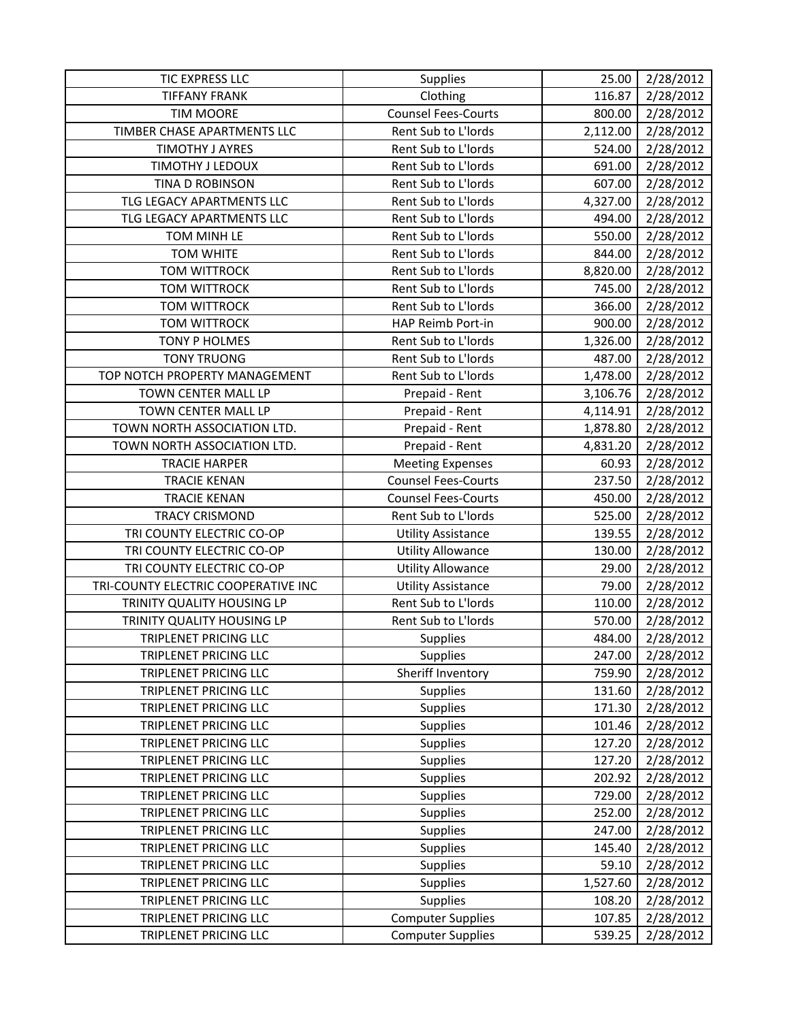| TIC EXPRESS LLC                     | <b>Supplies</b>            | 25.00    | 2/28/2012 |
|-------------------------------------|----------------------------|----------|-----------|
| <b>TIFFANY FRANK</b>                | Clothing                   | 116.87   | 2/28/2012 |
| <b>TIM MOORE</b>                    | <b>Counsel Fees-Courts</b> | 800.00   | 2/28/2012 |
| TIMBER CHASE APARTMENTS LLC         | Rent Sub to L'Iords        | 2,112.00 | 2/28/2012 |
| <b>TIMOTHY J AYRES</b>              | Rent Sub to L'Iords        | 524.00   | 2/28/2012 |
| TIMOTHY J LEDOUX                    | Rent Sub to L'Iords        | 691.00   | 2/28/2012 |
| TINA D ROBINSON                     | Rent Sub to L'Iords        | 607.00   | 2/28/2012 |
| TLG LEGACY APARTMENTS LLC           | Rent Sub to L'Iords        | 4,327.00 | 2/28/2012 |
| TLG LEGACY APARTMENTS LLC           | Rent Sub to L'Iords        | 494.00   | 2/28/2012 |
| TOM MINH LE                         | Rent Sub to L'Iords        | 550.00   | 2/28/2012 |
| <b>TOM WHITE</b>                    | Rent Sub to L'Iords        | 844.00   | 2/28/2012 |
| <b>TOM WITTROCK</b>                 | Rent Sub to L'Iords        | 8,820.00 | 2/28/2012 |
| <b>TOM WITTROCK</b>                 | Rent Sub to L'Iords        | 745.00   | 2/28/2012 |
| <b>TOM WITTROCK</b>                 | Rent Sub to L'Iords        | 366.00   | 2/28/2012 |
| <b>TOM WITTROCK</b>                 | HAP Reimb Port-in          | 900.00   | 2/28/2012 |
| TONY P HOLMES                       | Rent Sub to L'Iords        | 1,326.00 | 2/28/2012 |
| <b>TONY TRUONG</b>                  | Rent Sub to L'Iords        | 487.00   | 2/28/2012 |
| TOP NOTCH PROPERTY MANAGEMENT       | Rent Sub to L'Iords        | 1,478.00 | 2/28/2012 |
| TOWN CENTER MALL LP                 | Prepaid - Rent             | 3,106.76 | 2/28/2012 |
| TOWN CENTER MALL LP                 | Prepaid - Rent             | 4,114.91 | 2/28/2012 |
| TOWN NORTH ASSOCIATION LTD.         | Prepaid - Rent             | 1,878.80 | 2/28/2012 |
| TOWN NORTH ASSOCIATION LTD.         | Prepaid - Rent             | 4,831.20 | 2/28/2012 |
| <b>TRACIE HARPER</b>                | <b>Meeting Expenses</b>    | 60.93    | 2/28/2012 |
| <b>TRACIE KENAN</b>                 | <b>Counsel Fees-Courts</b> | 237.50   | 2/28/2012 |
| <b>TRACIE KENAN</b>                 | <b>Counsel Fees-Courts</b> | 450.00   | 2/28/2012 |
| <b>TRACY CRISMOND</b>               | Rent Sub to L'Iords        | 525.00   | 2/28/2012 |
| TRI COUNTY ELECTRIC CO-OP           | <b>Utility Assistance</b>  | 139.55   | 2/28/2012 |
| TRI COUNTY ELECTRIC CO-OP           | <b>Utility Allowance</b>   | 130.00   | 2/28/2012 |
| TRI COUNTY ELECTRIC CO-OP           | <b>Utility Allowance</b>   | 29.00    | 2/28/2012 |
| TRI-COUNTY ELECTRIC COOPERATIVE INC | <b>Utility Assistance</b>  | 79.00    | 2/28/2012 |
| TRINITY QUALITY HOUSING LP          | Rent Sub to L'Iords        | 110.00   | 2/28/2012 |
| TRINITY QUALITY HOUSING LP          | Rent Sub to L'Iords        | 570.00   | 2/28/2012 |
| <b>TRIPLENET PRICING LLC</b>        | Supplies                   | 484.00   | 2/28/2012 |
| TRIPLENET PRICING LLC               | <b>Supplies</b>            | 247.00   | 2/28/2012 |
| TRIPLENET PRICING LLC               | Sheriff Inventory          | 759.90   | 2/28/2012 |
| TRIPLENET PRICING LLC               | <b>Supplies</b>            | 131.60   | 2/28/2012 |
| <b>TRIPLENET PRICING LLC</b>        | <b>Supplies</b>            | 171.30   | 2/28/2012 |
| TRIPLENET PRICING LLC               | <b>Supplies</b>            | 101.46   | 2/28/2012 |
| TRIPLENET PRICING LLC               | <b>Supplies</b>            | 127.20   | 2/28/2012 |
| <b>TRIPLENET PRICING LLC</b>        | Supplies                   | 127.20   | 2/28/2012 |
| TRIPLENET PRICING LLC               | <b>Supplies</b>            | 202.92   | 2/28/2012 |
| TRIPLENET PRICING LLC               | <b>Supplies</b>            | 729.00   | 2/28/2012 |
| <b>TRIPLENET PRICING LLC</b>        | <b>Supplies</b>            | 252.00   | 2/28/2012 |
| TRIPLENET PRICING LLC               | <b>Supplies</b>            | 247.00   | 2/28/2012 |
| TRIPLENET PRICING LLC               | <b>Supplies</b>            | 145.40   | 2/28/2012 |
| TRIPLENET PRICING LLC               | <b>Supplies</b>            | 59.10    | 2/28/2012 |
| TRIPLENET PRICING LLC               | <b>Supplies</b>            | 1,527.60 | 2/28/2012 |
| TRIPLENET PRICING LLC               | <b>Supplies</b>            | 108.20   | 2/28/2012 |
| TRIPLENET PRICING LLC               | <b>Computer Supplies</b>   | 107.85   | 2/28/2012 |
| TRIPLENET PRICING LLC               | <b>Computer Supplies</b>   | 539.25   | 2/28/2012 |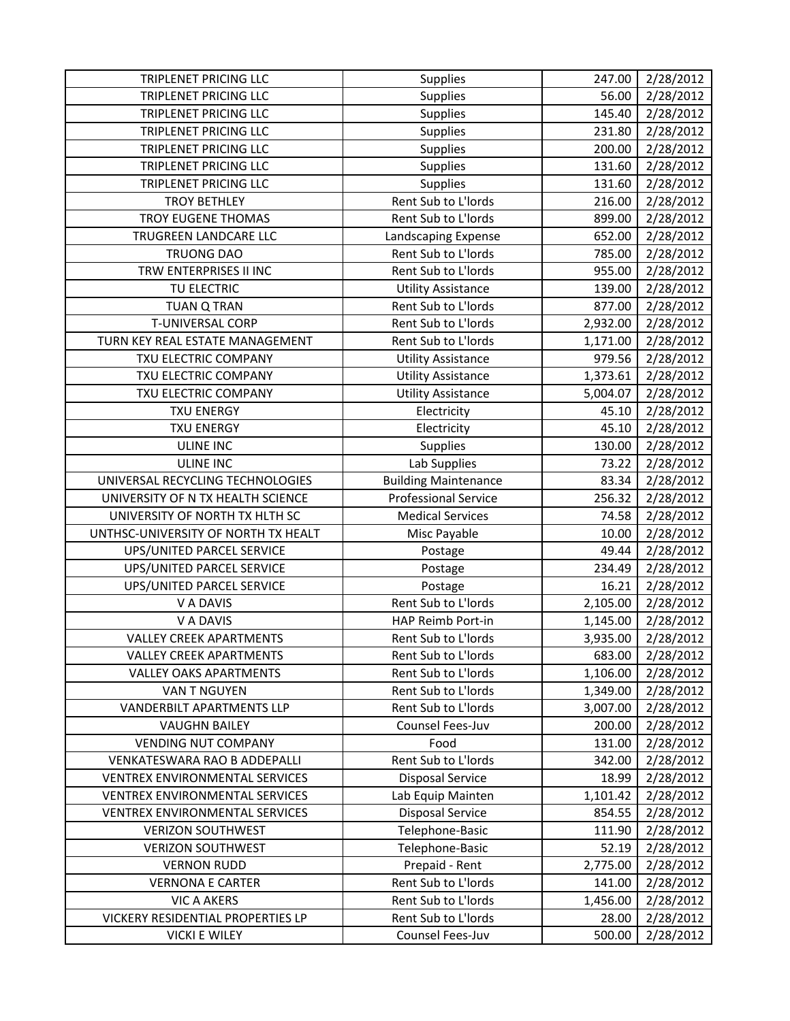| TRIPLENET PRICING LLC                 | <b>Supplies</b>                         | 247.00          | 2/28/2012              |
|---------------------------------------|-----------------------------------------|-----------------|------------------------|
| <b>TRIPLENET PRICING LLC</b>          | <b>Supplies</b>                         | 56.00           | 2/28/2012              |
| TRIPLENET PRICING LLC                 | Supplies                                | 145.40          | 2/28/2012              |
| TRIPLENET PRICING LLC                 | Supplies                                | 231.80          | 2/28/2012              |
| TRIPLENET PRICING LLC                 | Supplies                                | 200.00          | 2/28/2012              |
| <b>TRIPLENET PRICING LLC</b>          | <b>Supplies</b>                         | 131.60          | 2/28/2012              |
| TRIPLENET PRICING LLC                 | Supplies                                | 131.60          | 2/28/2012              |
| <b>TROY BETHLEY</b>                   | Rent Sub to L'Iords                     | 216.00          | 2/28/2012              |
| <b>TROY EUGENE THOMAS</b>             | Rent Sub to L'Iords                     | 899.00          | 2/28/2012              |
| TRUGREEN LANDCARE LLC                 | Landscaping Expense                     | 652.00          | 2/28/2012              |
| <b>TRUONG DAO</b>                     | Rent Sub to L'Iords                     | 785.00          | 2/28/2012              |
| TRW ENTERPRISES II INC                | Rent Sub to L'Iords                     | 955.00          | 2/28/2012              |
| TU ELECTRIC                           | <b>Utility Assistance</b>               | 139.00          | 2/28/2012              |
| <b>TUAN Q TRAN</b>                    | Rent Sub to L'Iords                     | 877.00          | 2/28/2012              |
| T-UNIVERSAL CORP                      | Rent Sub to L'Iords                     | 2,932.00        | 2/28/2012              |
| TURN KEY REAL ESTATE MANAGEMENT       | Rent Sub to L'Iords                     | 1,171.00        | 2/28/2012              |
| TXU ELECTRIC COMPANY                  | <b>Utility Assistance</b>               | 979.56          | 2/28/2012              |
| TXU ELECTRIC COMPANY                  | <b>Utility Assistance</b>               | 1,373.61        | 2/28/2012              |
| TXU ELECTRIC COMPANY                  | <b>Utility Assistance</b>               | 5,004.07        | 2/28/2012              |
| <b>TXU ENERGY</b>                     | Electricity                             | 45.10           | 2/28/2012              |
| <b>TXU ENERGY</b>                     | Electricity                             | 45.10           | 2/28/2012              |
| <b>ULINE INC</b>                      | Supplies                                | 130.00          | 2/28/2012              |
| <b>ULINE INC</b>                      | Lab Supplies                            | 73.22           | 2/28/2012              |
| UNIVERSAL RECYCLING TECHNOLOGIES      | <b>Building Maintenance</b>             | 83.34           | 2/28/2012              |
| UNIVERSITY OF N TX HEALTH SCIENCE     | <b>Professional Service</b>             | 256.32          | 2/28/2012              |
| UNIVERSITY OF NORTH TX HLTH SC        | <b>Medical Services</b>                 | 74.58           | 2/28/2012              |
| UNTHSC-UNIVERSITY OF NORTH TX HEALT   | Misc Payable                            | 10.00           | 2/28/2012              |
| UPS/UNITED PARCEL SERVICE             | Postage                                 | 49.44           | 2/28/2012              |
| UPS/UNITED PARCEL SERVICE             | Postage                                 | 234.49          | 2/28/2012              |
| UPS/UNITED PARCEL SERVICE             | Postage                                 | 16.21           | 2/28/2012              |
| V A DAVIS                             | Rent Sub to L'Iords                     | 2,105.00        | 2/28/2012              |
| V A DAVIS                             | HAP Reimb Port-in                       | 1,145.00        | 2/28/2012              |
| <b>VALLEY CREEK APARTMENTS</b>        | Rent Sub to L'Iords                     | 3,935.00        | 2/28/2012              |
| <b>VALLEY CREEK APARTMENTS</b>        | Rent Sub to L'Iords                     | 683.00          | 2/28/2012              |
| <b>VALLEY OAKS APARTMENTS</b>         | Rent Sub to L'Iords                     | 1,106.00        | 2/28/2012              |
| VAN T NGUYEN                          | Rent Sub to L'Iords                     | 1,349.00        | 2/28/2012              |
| <b>VANDERBILT APARTMENTS LLP</b>      | Rent Sub to L'Iords                     | 3,007.00        | 2/28/2012              |
| <b>VAUGHN BAILEY</b>                  | Counsel Fees-Juv                        | 200.00          | 2/28/2012              |
| <b>VENDING NUT COMPANY</b>            | Food                                    | 131.00          | 2/28/2012              |
| VENKATESWARA RAO B ADDEPALLI          | Rent Sub to L'Iords                     | 342.00          | 2/28/2012              |
| <b>VENTREX ENVIRONMENTAL SERVICES</b> | <b>Disposal Service</b>                 | 18.99           | 2/28/2012              |
| <b>VENTREX ENVIRONMENTAL SERVICES</b> | Lab Equip Mainten                       | 1,101.42        | 2/28/2012              |
| VENTREX ENVIRONMENTAL SERVICES        | <b>Disposal Service</b>                 | 854.55          | 2/28/2012              |
| <b>VERIZON SOUTHWEST</b>              | Telephone-Basic                         | 111.90          | 2/28/2012              |
| <b>VERIZON SOUTHWEST</b>              | Telephone-Basic                         | 52.19           | 2/28/2012              |
| <b>VERNON RUDD</b>                    | Prepaid - Rent                          | 2,775.00        | 2/28/2012              |
| <b>VERNONA E CARTER</b>               | Rent Sub to L'Iords                     | 141.00          | 2/28/2012              |
| <b>VIC A AKERS</b>                    | Rent Sub to L'Iords                     | 1,456.00        | 2/28/2012              |
| VICKERY RESIDENTIAL PROPERTIES LP     |                                         |                 |                        |
| <b>VICKI E WILEY</b>                  | Rent Sub to L'Iords<br>Counsel Fees-Juv | 28.00<br>500.00 | 2/28/2012<br>2/28/2012 |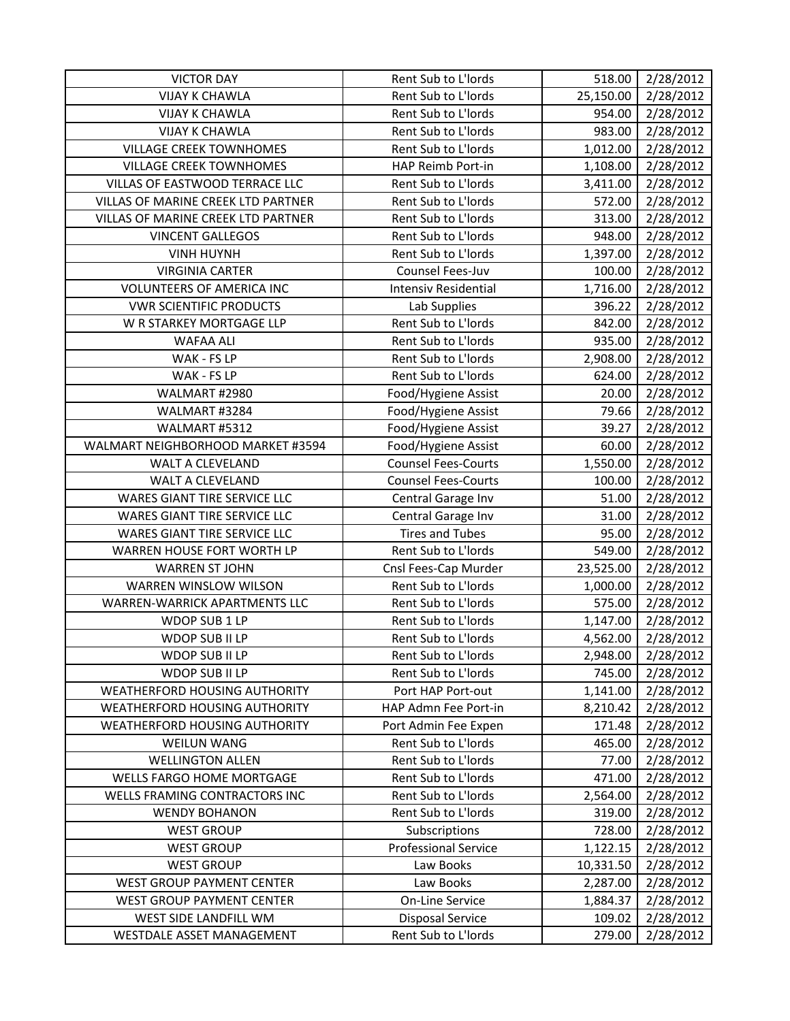| <b>VICTOR DAY</b>                         | Rent Sub to L'Iords         | 518.00    | 2/28/2012 |
|-------------------------------------------|-----------------------------|-----------|-----------|
| <b>VIJAY K CHAWLA</b>                     | Rent Sub to L'Iords         | 25,150.00 | 2/28/2012 |
| <b>VIJAY K CHAWLA</b>                     | Rent Sub to L'Iords         | 954.00    | 2/28/2012 |
| <b>VIJAY K CHAWLA</b>                     | Rent Sub to L'Iords         | 983.00    | 2/28/2012 |
| <b>VILLAGE CREEK TOWNHOMES</b>            | Rent Sub to L'Iords         | 1,012.00  | 2/28/2012 |
| <b>VILLAGE CREEK TOWNHOMES</b>            | HAP Reimb Port-in           | 1,108.00  | 2/28/2012 |
| VILLAS OF EASTWOOD TERRACE LLC            | Rent Sub to L'Iords         | 3,411.00  | 2/28/2012 |
| <b>VILLAS OF MARINE CREEK LTD PARTNER</b> | Rent Sub to L'Iords         | 572.00    | 2/28/2012 |
| <b>VILLAS OF MARINE CREEK LTD PARTNER</b> | Rent Sub to L'Iords         | 313.00    | 2/28/2012 |
| <b>VINCENT GALLEGOS</b>                   | Rent Sub to L'Iords         | 948.00    | 2/28/2012 |
| <b>VINH HUYNH</b>                         | Rent Sub to L'Iords         | 1,397.00  | 2/28/2012 |
| <b>VIRGINIA CARTER</b>                    | Counsel Fees-Juv            | 100.00    | 2/28/2012 |
| <b>VOLUNTEERS OF AMERICA INC</b>          | <b>Intensiv Residential</b> | 1,716.00  | 2/28/2012 |
| <b>VWR SCIENTIFIC PRODUCTS</b>            | Lab Supplies                | 396.22    | 2/28/2012 |
| W R STARKEY MORTGAGE LLP                  | Rent Sub to L'Iords         | 842.00    | 2/28/2012 |
| <b>WAFAA ALI</b>                          | Rent Sub to L'Iords         | 935.00    | 2/28/2012 |
| WAK - FS LP                               | Rent Sub to L'Iords         | 2,908.00  | 2/28/2012 |
| WAK - FS LP                               | Rent Sub to L'Iords         | 624.00    | 2/28/2012 |
| WALMART #2980                             | Food/Hygiene Assist         | 20.00     | 2/28/2012 |
| WALMART #3284                             | Food/Hygiene Assist         | 79.66     | 2/28/2012 |
| WALMART #5312                             | Food/Hygiene Assist         | 39.27     | 2/28/2012 |
| WALMART NEIGHBORHOOD MARKET #3594         | Food/Hygiene Assist         | 60.00     | 2/28/2012 |
| <b>WALT A CLEVELAND</b>                   | <b>Counsel Fees-Courts</b>  | 1,550.00  | 2/28/2012 |
| <b>WALT A CLEVELAND</b>                   | <b>Counsel Fees-Courts</b>  | 100.00    | 2/28/2012 |
| WARES GIANT TIRE SERVICE LLC              | Central Garage Inv          | 51.00     | 2/28/2012 |
| WARES GIANT TIRE SERVICE LLC              | Central Garage Inv          | 31.00     | 2/28/2012 |
| WARES GIANT TIRE SERVICE LLC              | <b>Tires and Tubes</b>      | 95.00     | 2/28/2012 |
| WARREN HOUSE FORT WORTH LP                | Rent Sub to L'Iords         | 549.00    | 2/28/2012 |
| <b>WARREN ST JOHN</b>                     | Cnsl Fees-Cap Murder        | 23,525.00 | 2/28/2012 |
| <b>WARREN WINSLOW WILSON</b>              | Rent Sub to L'Iords         | 1,000.00  | 2/28/2012 |
| WARREN-WARRICK APARTMENTS LLC             | Rent Sub to L'Iords         | 575.00    | 2/28/2012 |
| WDOP SUB 1 LP                             | Rent Sub to L'Iords         | 1,147.00  | 2/28/2012 |
| WDOP SUB II LP                            | Rent Sub to L'Iords         | 4,562.00  | 2/28/2012 |
| WDOP SUB II LP                            | Rent Sub to L'Iords         | 2,948.00  | 2/28/2012 |
| WDOP SUB II LP                            | Rent Sub to L'Iords         | 745.00    | 2/28/2012 |
| WEATHERFORD HOUSING AUTHORITY             | Port HAP Port-out           | 1,141.00  | 2/28/2012 |
| WEATHERFORD HOUSING AUTHORITY             | HAP Admn Fee Port-in        | 8,210.42  | 2/28/2012 |
| <b>WEATHERFORD HOUSING AUTHORITY</b>      | Port Admin Fee Expen        | 171.48    | 2/28/2012 |
| <b>WEILUN WANG</b>                        | Rent Sub to L'Iords         | 465.00    | 2/28/2012 |
| <b>WELLINGTON ALLEN</b>                   | Rent Sub to L'Iords         | 77.00     | 2/28/2012 |
| WELLS FARGO HOME MORTGAGE                 | Rent Sub to L'Iords         | 471.00    | 2/28/2012 |
| <b>WELLS FRAMING CONTRACTORS INC</b>      | Rent Sub to L'Iords         | 2,564.00  | 2/28/2012 |
| <b>WENDY BOHANON</b>                      | Rent Sub to L'Iords         | 319.00    | 2/28/2012 |
| <b>WEST GROUP</b>                         | Subscriptions               | 728.00    | 2/28/2012 |
| <b>WEST GROUP</b>                         | <b>Professional Service</b> | 1,122.15  | 2/28/2012 |
| <b>WEST GROUP</b>                         | Law Books                   | 10,331.50 | 2/28/2012 |
| <b>WEST GROUP PAYMENT CENTER</b>          | Law Books                   | 2,287.00  | 2/28/2012 |
| <b>WEST GROUP PAYMENT CENTER</b>          | On-Line Service             | 1,884.37  | 2/28/2012 |
| WEST SIDE LANDFILL WM                     | <b>Disposal Service</b>     | 109.02    | 2/28/2012 |
| WESTDALE ASSET MANAGEMENT                 | Rent Sub to L'Iords         | 279.00    | 2/28/2012 |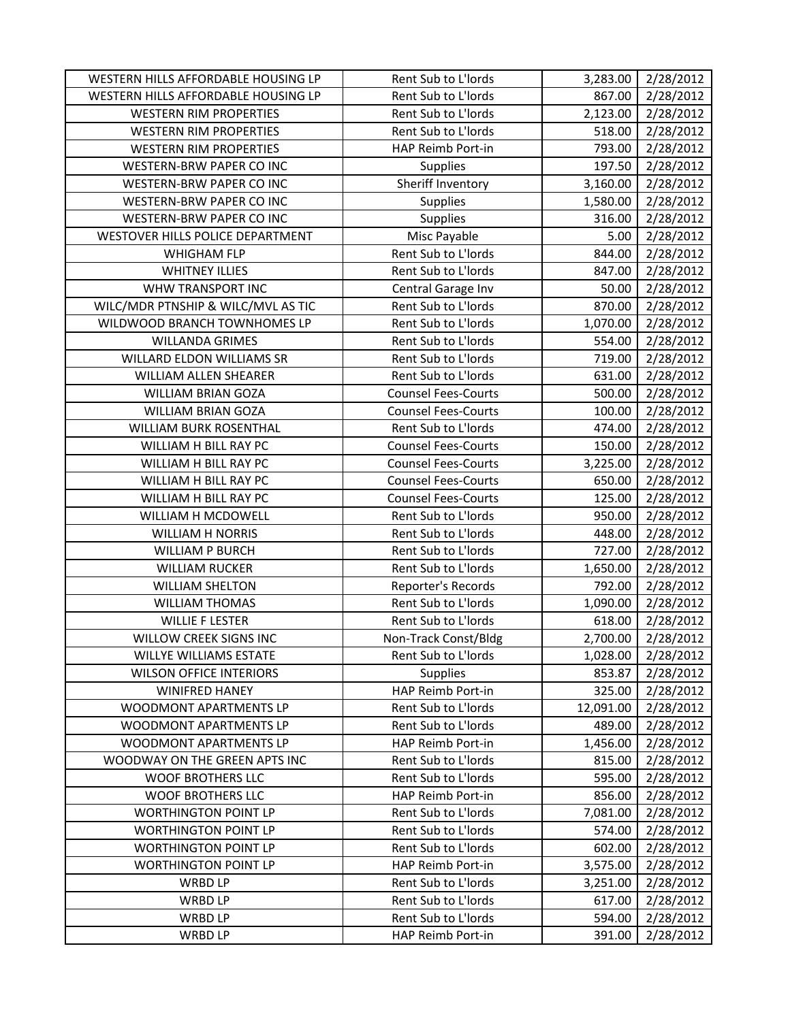| WESTERN HILLS AFFORDABLE HOUSING LP | Rent Sub to L'Iords        | 3,283.00  | 2/28/2012 |
|-------------------------------------|----------------------------|-----------|-----------|
| WESTERN HILLS AFFORDABLE HOUSING LP | Rent Sub to L'Iords        | 867.00    | 2/28/2012 |
| <b>WESTERN RIM PROPERTIES</b>       | Rent Sub to L'Iords        | 2,123.00  | 2/28/2012 |
| <b>WESTERN RIM PROPERTIES</b>       | Rent Sub to L'Iords        | 518.00    | 2/28/2012 |
| <b>WESTERN RIM PROPERTIES</b>       | HAP Reimb Port-in          | 793.00    | 2/28/2012 |
| <b>WESTERN-BRW PAPER CO INC</b>     | Supplies                   | 197.50    | 2/28/2012 |
| <b>WESTERN-BRW PAPER CO INC</b>     | Sheriff Inventory          | 3,160.00  | 2/28/2012 |
| <b>WESTERN-BRW PAPER CO INC</b>     | <b>Supplies</b>            | 1,580.00  | 2/28/2012 |
| WESTERN-BRW PAPER CO INC            | Supplies                   | 316.00    | 2/28/2012 |
| WESTOVER HILLS POLICE DEPARTMENT    | Misc Payable               | 5.00      | 2/28/2012 |
| <b>WHIGHAM FLP</b>                  | Rent Sub to L'Iords        | 844.00    | 2/28/2012 |
| <b>WHITNEY ILLIES</b>               | Rent Sub to L'Iords        | 847.00    | 2/28/2012 |
| WHW TRANSPORT INC                   | Central Garage Inv         | 50.00     | 2/28/2012 |
| WILC/MDR PTNSHIP & WILC/MVL AS TIC  | Rent Sub to L'Iords        | 870.00    | 2/28/2012 |
| WILDWOOD BRANCH TOWNHOMES LP        | Rent Sub to L'Iords        | 1,070.00  | 2/28/2012 |
| <b>WILLANDA GRIMES</b>              | Rent Sub to L'Iords        | 554.00    | 2/28/2012 |
| WILLARD ELDON WILLIAMS SR           | Rent Sub to L'Iords        | 719.00    | 2/28/2012 |
| WILLIAM ALLEN SHEARER               | Rent Sub to L'Iords        | 631.00    | 2/28/2012 |
| <b>WILLIAM BRIAN GOZA</b>           | <b>Counsel Fees-Courts</b> | 500.00    | 2/28/2012 |
| WILLIAM BRIAN GOZA                  | <b>Counsel Fees-Courts</b> | 100.00    | 2/28/2012 |
| WILLIAM BURK ROSENTHAL              | Rent Sub to L'Iords        | 474.00    | 2/28/2012 |
| WILLIAM H BILL RAY PC               | <b>Counsel Fees-Courts</b> | 150.00    | 2/28/2012 |
| WILLIAM H BILL RAY PC               | <b>Counsel Fees-Courts</b> | 3,225.00  | 2/28/2012 |
| WILLIAM H BILL RAY PC               | <b>Counsel Fees-Courts</b> | 650.00    | 2/28/2012 |
| WILLIAM H BILL RAY PC               | <b>Counsel Fees-Courts</b> | 125.00    | 2/28/2012 |
| WILLIAM H MCDOWELL                  | Rent Sub to L'Iords        | 950.00    | 2/28/2012 |
| WILLIAM H NORRIS                    | Rent Sub to L'Iords        | 448.00    | 2/28/2012 |
| <b>WILLIAM P BURCH</b>              | Rent Sub to L'Iords        | 727.00    | 2/28/2012 |
| <b>WILLIAM RUCKER</b>               | Rent Sub to L'Iords        | 1,650.00  | 2/28/2012 |
| <b>WILLIAM SHELTON</b>              | Reporter's Records         | 792.00    | 2/28/2012 |
| <b>WILLIAM THOMAS</b>               | Rent Sub to L'Iords        | 1,090.00  | 2/28/2012 |
| <b>WILLIE F LESTER</b>              | Rent Sub to L'Iords        | 618.00    | 2/28/2012 |
| <b>WILLOW CREEK SIGNS INC</b>       | Non-Track Const/Bldg       | 2,700.00  | 2/28/2012 |
| WILLYE WILLIAMS ESTATE              | Rent Sub to L'Iords        | 1,028.00  | 2/28/2012 |
| <b>WILSON OFFICE INTERIORS</b>      | <b>Supplies</b>            | 853.87    | 2/28/2012 |
| <b>WINIFRED HANEY</b>               | HAP Reimb Port-in          | 325.00    | 2/28/2012 |
| WOODMONT APARTMENTS LP              | Rent Sub to L'Iords        | 12,091.00 | 2/28/2012 |
| WOODMONT APARTMENTS LP              | Rent Sub to L'Iords        | 489.00    | 2/28/2012 |
| WOODMONT APARTMENTS LP              | HAP Reimb Port-in          | 1,456.00  | 2/28/2012 |
| WOODWAY ON THE GREEN APTS INC       | Rent Sub to L'Iords        | 815.00    | 2/28/2012 |
| <b>WOOF BROTHERS LLC</b>            | Rent Sub to L'Iords        | 595.00    | 2/28/2012 |
| <b>WOOF BROTHERS LLC</b>            | HAP Reimb Port-in          | 856.00    | 2/28/2012 |
| <b>WORTHINGTON POINT LP</b>         | Rent Sub to L'Iords        | 7,081.00  | 2/28/2012 |
| <b>WORTHINGTON POINT LP</b>         | Rent Sub to L'Iords        | 574.00    | 2/28/2012 |
| <b>WORTHINGTON POINT LP</b>         | Rent Sub to L'Iords        | 602.00    | 2/28/2012 |
| <b>WORTHINGTON POINT LP</b>         | HAP Reimb Port-in          | 3,575.00  | 2/28/2012 |
| WRBD LP                             | Rent Sub to L'Iords        | 3,251.00  | 2/28/2012 |
| WRBD LP                             | Rent Sub to L'Iords        | 617.00    | 2/28/2012 |
| WRBD LP                             | Rent Sub to L'Iords        | 594.00    | 2/28/2012 |
| WRBD LP                             | HAP Reimb Port-in          | 391.00    | 2/28/2012 |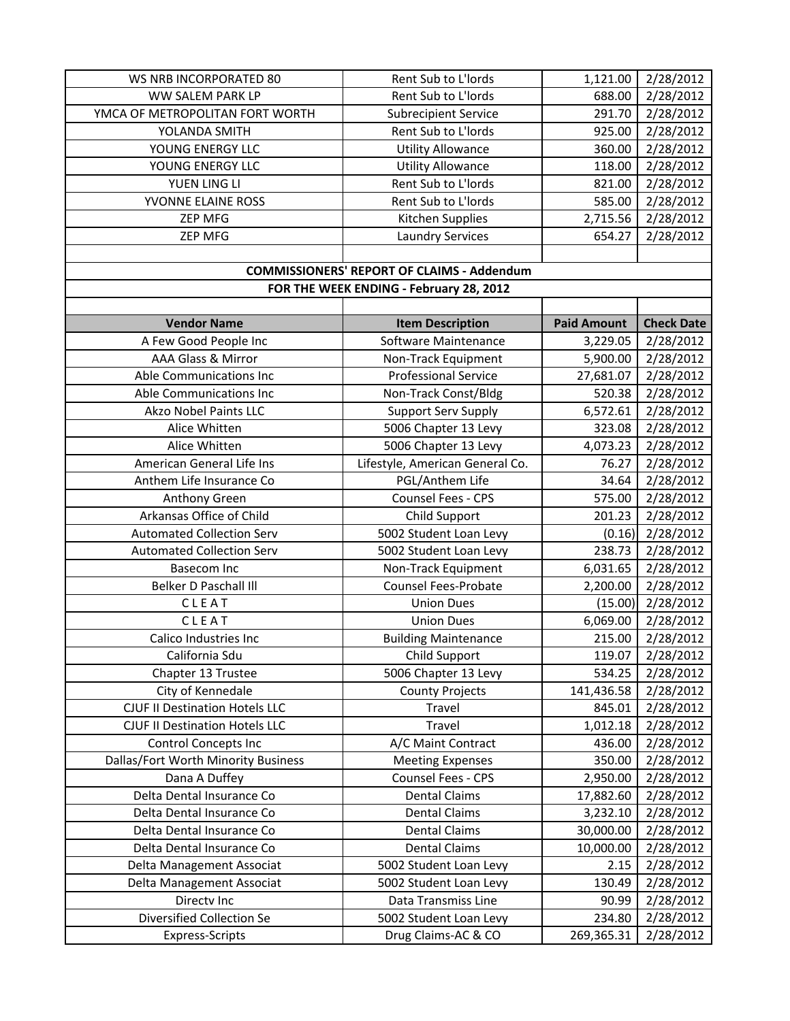| WS NRB INCORPORATED 80                | Rent Sub to L'Iords                               | 1,121.00           | 2/28/2012         |
|---------------------------------------|---------------------------------------------------|--------------------|-------------------|
| WW SALEM PARK LP                      | Rent Sub to L'Iords                               | 688.00             | 2/28/2012         |
| YMCA OF METROPOLITAN FORT WORTH       | <b>Subrecipient Service</b>                       | 291.70             | 2/28/2012         |
| YOLANDA SMITH                         | Rent Sub to L'Iords                               | 925.00             | 2/28/2012         |
| YOUNG ENERGY LLC                      | <b>Utility Allowance</b>                          | 360.00             | 2/28/2012         |
| YOUNG ENERGY LLC                      | <b>Utility Allowance</b>                          | 118.00             | 2/28/2012         |
| YUEN LING LI                          | Rent Sub to L'Iords                               | 821.00             | 2/28/2012         |
| YVONNE ELAINE ROSS                    | Rent Sub to L'Iords                               | 585.00             | 2/28/2012         |
| <b>ZEP MFG</b>                        | Kitchen Supplies                                  | 2,715.56           | 2/28/2012         |
| <b>ZEP MFG</b>                        | <b>Laundry Services</b>                           | 654.27             | 2/28/2012         |
|                                       |                                                   |                    |                   |
|                                       | <b>COMMISSIONERS' REPORT OF CLAIMS - Addendum</b> |                    |                   |
|                                       | FOR THE WEEK ENDING - February 28, 2012           |                    |                   |
|                                       |                                                   |                    |                   |
| <b>Vendor Name</b>                    | <b>Item Description</b>                           | <b>Paid Amount</b> | <b>Check Date</b> |
| A Few Good People Inc                 | Software Maintenance                              | 3,229.05           | 2/28/2012         |
| AAA Glass & Mirror                    | Non-Track Equipment                               | 5,900.00           | 2/28/2012         |
| Able Communications Inc               | <b>Professional Service</b>                       | 27,681.07          | 2/28/2012         |
| Able Communications Inc               | Non-Track Const/Bldg                              | 520.38             | 2/28/2012         |
| <b>Akzo Nobel Paints LLC</b>          | <b>Support Serv Supply</b>                        | 6,572.61           | 2/28/2012         |
| Alice Whitten                         | 5006 Chapter 13 Levy                              | 323.08             | 2/28/2012         |
| Alice Whitten                         | 5006 Chapter 13 Levy                              | 4,073.23           | 2/28/2012         |
| American General Life Ins             | Lifestyle, American General Co.                   | 76.27              | 2/28/2012         |
| Anthem Life Insurance Co              | PGL/Anthem Life                                   | 34.64              | 2/28/2012         |
| Anthony Green                         | Counsel Fees - CPS                                | 575.00             | 2/28/2012         |
| Arkansas Office of Child              | Child Support                                     | 201.23             | 2/28/2012         |
| <b>Automated Collection Serv</b>      | 5002 Student Loan Levy                            | (0.16)             | 2/28/2012         |
| <b>Automated Collection Serv</b>      | 5002 Student Loan Levy                            | 238.73             | 2/28/2012         |
| <b>Basecom Inc</b>                    | Non-Track Equipment                               | 6,031.65           | 2/28/2012         |
| Belker D Paschall III                 | <b>Counsel Fees-Probate</b>                       | 2,200.00           | 2/28/2012         |
| CLEAT                                 | <b>Union Dues</b>                                 | (15.00)            | 2/28/2012         |
| CLEAT                                 | <b>Union Dues</b>                                 | 6,069.00           | 2/28/2012         |
| Calico Industries Inc                 | <b>Building Maintenance</b>                       | 215.00             | 2/28/2012         |
| California Sdu                        | Child Support                                     | 119.07             | 2/28/2012         |
| Chapter 13 Trustee                    | 5006 Chapter 13 Levy                              | 534.25             | 2/28/2012         |
| City of Kennedale                     | <b>County Projects</b>                            | 141,436.58         | 2/28/2012         |
| <b>CJUF II Destination Hotels LLC</b> | Travel                                            | 845.01             | 2/28/2012         |
| <b>CJUF II Destination Hotels LLC</b> | Travel                                            | 1,012.18           | 2/28/2012         |
| <b>Control Concepts Inc</b>           | A/C Maint Contract                                | 436.00             | 2/28/2012         |
| Dallas/Fort Worth Minority Business   | <b>Meeting Expenses</b>                           | 350.00             | 2/28/2012         |
| Dana A Duffey                         | Counsel Fees - CPS                                | 2,950.00           | 2/28/2012         |
| Delta Dental Insurance Co             | <b>Dental Claims</b>                              | 17,882.60          | 2/28/2012         |
| Delta Dental Insurance Co             | <b>Dental Claims</b>                              | 3,232.10           | 2/28/2012         |
| Delta Dental Insurance Co             | <b>Dental Claims</b>                              | 30,000.00          | 2/28/2012         |
| Delta Dental Insurance Co             | <b>Dental Claims</b>                              | 10,000.00          | 2/28/2012         |
| Delta Management Associat             | 5002 Student Loan Levy                            | 2.15               | 2/28/2012         |
| Delta Management Associat             | 5002 Student Loan Levy                            | 130.49             | 2/28/2012         |
| Directv Inc                           | Data Transmiss Line                               | 90.99              | 2/28/2012         |
| Diversified Collection Se             | 5002 Student Loan Levy                            | 234.80             | 2/28/2012         |
| <b>Express-Scripts</b>                | Drug Claims-AC & CO                               | 269,365.31         | 2/28/2012         |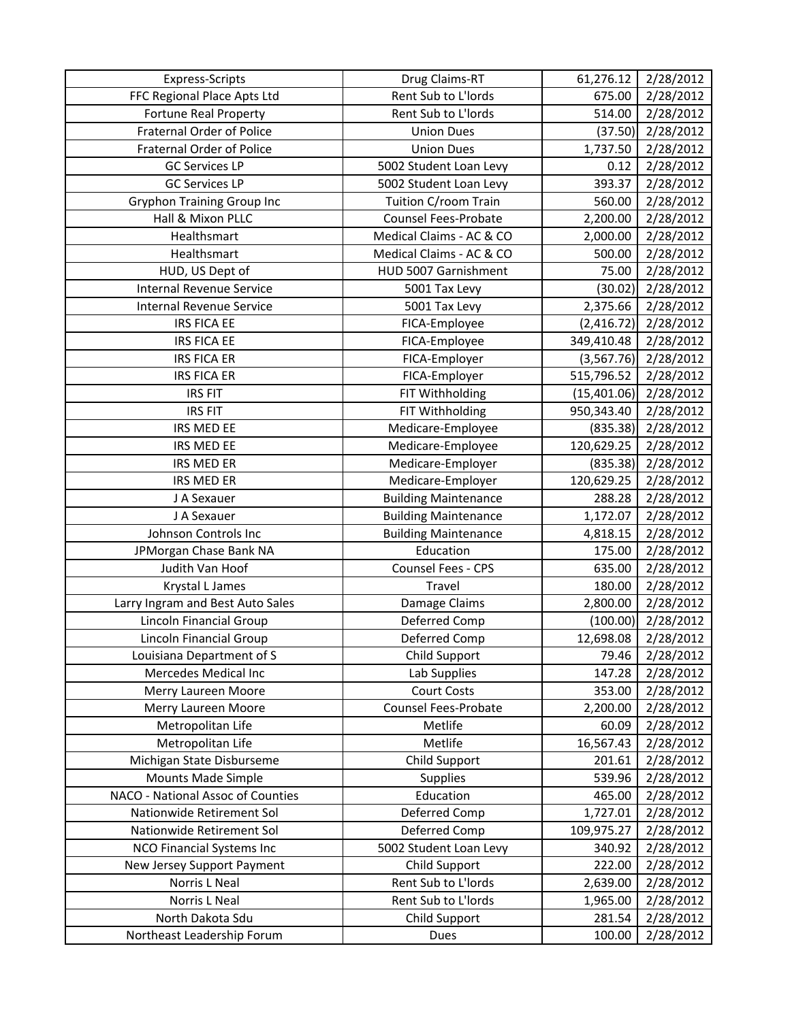| <b>Express-Scripts</b>            | Drug Claims-RT              | 61,276.12   | 2/28/2012 |
|-----------------------------------|-----------------------------|-------------|-----------|
| FFC Regional Place Apts Ltd       | Rent Sub to L'Iords         | 675.00      | 2/28/2012 |
| <b>Fortune Real Property</b>      | Rent Sub to L'Iords         | 514.00      | 2/28/2012 |
| <b>Fraternal Order of Police</b>  | <b>Union Dues</b>           | (37.50)     | 2/28/2012 |
| <b>Fraternal Order of Police</b>  | <b>Union Dues</b>           | 1,737.50    | 2/28/2012 |
| <b>GC Services LP</b>             | 5002 Student Loan Levy      | 0.12        | 2/28/2012 |
| <b>GC Services LP</b>             | 5002 Student Loan Levy      | 393.37      | 2/28/2012 |
| <b>Gryphon Training Group Inc</b> | Tuition C/room Train        | 560.00      | 2/28/2012 |
| Hall & Mixon PLLC                 | <b>Counsel Fees-Probate</b> | 2,200.00    | 2/28/2012 |
| Healthsmart                       | Medical Claims - AC & CO    | 2,000.00    | 2/28/2012 |
| Healthsmart                       | Medical Claims - AC & CO    | 500.00      | 2/28/2012 |
| HUD, US Dept of                   | HUD 5007 Garnishment        | 75.00       | 2/28/2012 |
| <b>Internal Revenue Service</b>   | 5001 Tax Levy               | (30.02)     | 2/28/2012 |
| <b>Internal Revenue Service</b>   | 5001 Tax Levy               | 2,375.66    | 2/28/2012 |
| <b>IRS FICA EE</b>                | FICA-Employee               | (2,416.72)  | 2/28/2012 |
| <b>IRS FICA EE</b>                | FICA-Employee               | 349,410.48  | 2/28/2012 |
| <b>IRS FICA ER</b>                | FICA-Employer               | (3,567.76)  | 2/28/2012 |
| <b>IRS FICA ER</b>                | FICA-Employer               | 515,796.52  | 2/28/2012 |
| <b>IRS FIT</b>                    | FIT Withholding             | (15,401.06) | 2/28/2012 |
| <b>IRS FIT</b>                    | FIT Withholding             | 950,343.40  | 2/28/2012 |
| IRS MED EE                        | Medicare-Employee           | (835.38)    | 2/28/2012 |
| IRS MED EE                        | Medicare-Employee           | 120,629.25  | 2/28/2012 |
| <b>IRS MED ER</b>                 | Medicare-Employer           | (835.38)    | 2/28/2012 |
| <b>IRS MED ER</b>                 | Medicare-Employer           | 120,629.25  | 2/28/2012 |
| J A Sexauer                       | <b>Building Maintenance</b> | 288.28      | 2/28/2012 |
| J A Sexauer                       | <b>Building Maintenance</b> | 1,172.07    | 2/28/2012 |
| Johnson Controls Inc              | <b>Building Maintenance</b> | 4,818.15    | 2/28/2012 |
| JPMorgan Chase Bank NA            | Education                   | 175.00      | 2/28/2012 |
| Judith Van Hoof                   | Counsel Fees - CPS          | 635.00      | 2/28/2012 |
| Krystal L James                   | Travel                      | 180.00      | 2/28/2012 |
| Larry Ingram and Best Auto Sales  | Damage Claims               | 2,800.00    | 2/28/2012 |
| Lincoln Financial Group           | Deferred Comp               | (100.00)    | 2/28/2012 |
| Lincoln Financial Group           | Deferred Comp               | 12,698.08   | 2/28/2012 |
| Louisiana Department of S         | Child Support               | 79.46       | 2/28/2012 |
| Mercedes Medical Inc              | Lab Supplies                | 147.28      | 2/28/2012 |
| Merry Laureen Moore               | <b>Court Costs</b>          | 353.00      | 2/28/2012 |
| Merry Laureen Moore               | <b>Counsel Fees-Probate</b> | 2,200.00    | 2/28/2012 |
| Metropolitan Life                 | Metlife                     | 60.09       | 2/28/2012 |
| Metropolitan Life                 | Metlife                     | 16,567.43   | 2/28/2012 |
| Michigan State Disburseme         | Child Support               | 201.61      | 2/28/2012 |
| <b>Mounts Made Simple</b>         | <b>Supplies</b>             | 539.96      | 2/28/2012 |
| NACO - National Assoc of Counties | Education                   | 465.00      | 2/28/2012 |
| Nationwide Retirement Sol         | Deferred Comp               | 1,727.01    | 2/28/2012 |
| Nationwide Retirement Sol         | Deferred Comp               | 109,975.27  | 2/28/2012 |
| NCO Financial Systems Inc         | 5002 Student Loan Levy      | 340.92      | 2/28/2012 |
| New Jersey Support Payment        | Child Support               | 222.00      | 2/28/2012 |
| Norris L Neal                     | Rent Sub to L'Iords         | 2,639.00    | 2/28/2012 |
| Norris L Neal                     | Rent Sub to L'Iords         | 1,965.00    | 2/28/2012 |
| North Dakota Sdu                  | Child Support               | 281.54      | 2/28/2012 |
| Northeast Leadership Forum        | Dues                        | 100.00      | 2/28/2012 |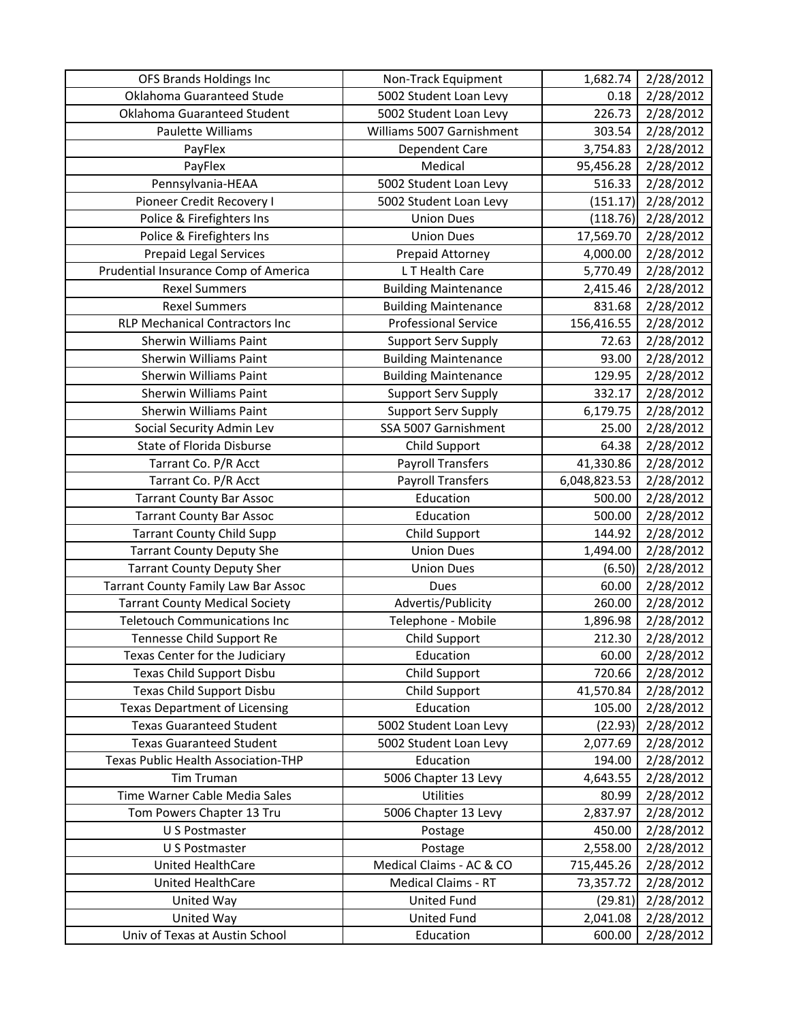| OFS Brands Holdings Inc                    | Non-Track Equipment         | 1,682.74     | 2/28/2012 |
|--------------------------------------------|-----------------------------|--------------|-----------|
| Oklahoma Guaranteed Stude                  | 5002 Student Loan Levy      | 0.18         | 2/28/2012 |
| Oklahoma Guaranteed Student                | 5002 Student Loan Levy      | 226.73       | 2/28/2012 |
| Paulette Williams                          | Williams 5007 Garnishment   | 303.54       | 2/28/2012 |
| PayFlex                                    | Dependent Care              | 3,754.83     | 2/28/2012 |
| PayFlex                                    | Medical                     | 95,456.28    | 2/28/2012 |
| Pennsylvania-HEAA                          | 5002 Student Loan Levy      | 516.33       | 2/28/2012 |
| Pioneer Credit Recovery I                  | 5002 Student Loan Levy      | (151.17)     | 2/28/2012 |
| Police & Firefighters Ins                  | <b>Union Dues</b>           | (118.76)     | 2/28/2012 |
| Police & Firefighters Ins                  | <b>Union Dues</b>           | 17,569.70    | 2/28/2012 |
| <b>Prepaid Legal Services</b>              | Prepaid Attorney            | 4,000.00     | 2/28/2012 |
| Prudential Insurance Comp of America       | L T Health Care             | 5,770.49     | 2/28/2012 |
| <b>Rexel Summers</b>                       | <b>Building Maintenance</b> | 2,415.46     | 2/28/2012 |
| <b>Rexel Summers</b>                       | <b>Building Maintenance</b> | 831.68       | 2/28/2012 |
| <b>RLP Mechanical Contractors Inc</b>      | <b>Professional Service</b> | 156,416.55   | 2/28/2012 |
| <b>Sherwin Williams Paint</b>              | <b>Support Serv Supply</b>  | 72.63        | 2/28/2012 |
| Sherwin Williams Paint                     | <b>Building Maintenance</b> | 93.00        | 2/28/2012 |
| Sherwin Williams Paint                     | <b>Building Maintenance</b> | 129.95       | 2/28/2012 |
| Sherwin Williams Paint                     | <b>Support Serv Supply</b>  | 332.17       | 2/28/2012 |
| <b>Sherwin Williams Paint</b>              | <b>Support Serv Supply</b>  | 6,179.75     | 2/28/2012 |
| Social Security Admin Lev                  | SSA 5007 Garnishment        | 25.00        | 2/28/2012 |
| State of Florida Disburse                  | Child Support               | 64.38        | 2/28/2012 |
| Tarrant Co. P/R Acct                       | <b>Payroll Transfers</b>    | 41,330.86    | 2/28/2012 |
| Tarrant Co. P/R Acct                       | <b>Payroll Transfers</b>    | 6,048,823.53 | 2/28/2012 |
| <b>Tarrant County Bar Assoc</b>            | Education                   | 500.00       | 2/28/2012 |
| <b>Tarrant County Bar Assoc</b>            | Education                   | 500.00       | 2/28/2012 |
| <b>Tarrant County Child Supp</b>           | Child Support               | 144.92       | 2/28/2012 |
| <b>Tarrant County Deputy She</b>           | <b>Union Dues</b>           | 1,494.00     | 2/28/2012 |
| <b>Tarrant County Deputy Sher</b>          | <b>Union Dues</b>           | (6.50)       | 2/28/2012 |
| <b>Tarrant County Family Law Bar Assoc</b> | Dues                        | 60.00        | 2/28/2012 |
| <b>Tarrant County Medical Society</b>      | Advertis/Publicity          | 260.00       | 2/28/2012 |
| <b>Teletouch Communications Inc</b>        | Telephone - Mobile          | 1,896.98     | 2/28/2012 |
| Tennesse Child Support Re                  | Child Support               | 212.30       | 2/28/2012 |
| Texas Center for the Judiciary             | Education                   | 60.00        | 2/28/2012 |
| <b>Texas Child Support Disbu</b>           | <b>Child Support</b>        | 720.66       | 2/28/2012 |
| Texas Child Support Disbu                  | Child Support               | 41,570.84    | 2/28/2012 |
| <b>Texas Department of Licensing</b>       | Education                   | 105.00       | 2/28/2012 |
| <b>Texas Guaranteed Student</b>            | 5002 Student Loan Levy      | (22.93)      | 2/28/2012 |
| <b>Texas Guaranteed Student</b>            | 5002 Student Loan Levy      | 2,077.69     | 2/28/2012 |
| Texas Public Health Association-THP        | Education                   | 194.00       | 2/28/2012 |
| <b>Tim Truman</b>                          | 5006 Chapter 13 Levy        | 4,643.55     | 2/28/2012 |
| Time Warner Cable Media Sales              | Utilities                   | 80.99        | 2/28/2012 |
| Tom Powers Chapter 13 Tru                  | 5006 Chapter 13 Levy        | 2,837.97     | 2/28/2012 |
| U S Postmaster                             | Postage                     | 450.00       | 2/28/2012 |
| U S Postmaster                             | Postage                     | 2,558.00     | 2/28/2012 |
| United HealthCare                          | Medical Claims - AC & CO    | 715,445.26   | 2/28/2012 |
| United HealthCare                          | Medical Claims - RT         | 73,357.72    | 2/28/2012 |
| United Way                                 | <b>United Fund</b>          | (29.81)      | 2/28/2012 |
| United Way                                 | <b>United Fund</b>          | 2,041.08     | 2/28/2012 |
| Univ of Texas at Austin School             | Education                   | 600.00       | 2/28/2012 |